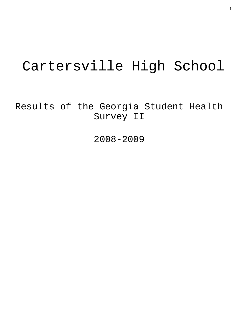# Cartersville High School

Results of the Georgia Student Health Survey II

2008-2009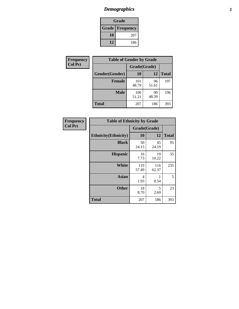# *Demographics* **2**

| Grade                    |     |  |  |  |
|--------------------------|-----|--|--|--|
| <b>Grade   Frequency</b> |     |  |  |  |
| 10                       | 207 |  |  |  |
| 12                       | 186 |  |  |  |

| Frequency      | <b>Table of Gender by Grade</b> |              |             |              |
|----------------|---------------------------------|--------------|-------------|--------------|
| <b>Col Pct</b> |                                 | Grade(Grade) |             |              |
|                | Gender(Gender)                  | 10           | 12          | <b>Total</b> |
|                | <b>Female</b>                   | 101<br>48.79 | 96<br>51.61 | 197          |
|                | <b>Male</b>                     | 106<br>51.21 | 90<br>48.39 | 196          |
|                | <b>Total</b>                    | 207          | 186         | 393          |

| <b>Frequency</b> |
|------------------|
| <b>Col Pct</b>   |

| <b>Table of Ethnicity by Grade</b> |              |              |              |  |
|------------------------------------|--------------|--------------|--------------|--|
|                                    | Grade(Grade) |              |              |  |
| <b>Ethnicity</b> (Ethnicity)       | 10           | 12           | <b>Total</b> |  |
| <b>Black</b>                       | 50<br>24.15  | 45<br>24.19  | 95           |  |
| <b>Hispanic</b>                    | 16<br>7.73   | 19<br>10.22  | 35           |  |
| White                              | 119<br>57.49 | 116<br>62.37 | 235          |  |
| <b>Asian</b>                       | 4<br>1.93    | 1<br>0.54    | 5            |  |
| <b>Other</b>                       | 18<br>8.70   | 5<br>2.69    | 23           |  |
| <b>Total</b>                       | 207          | 186          | 393          |  |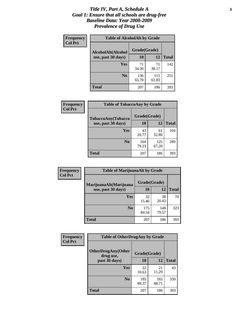### *Title IV, Part A, Schedule A* **3** *Goal 1: Ensure that all schools are drug-free Baseline Data: Year 2008-2009 Prevalence of Drug Use*

| Frequency          | <b>Table of AlcoholAlt by Grade</b> |              |              |     |  |
|--------------------|-------------------------------------|--------------|--------------|-----|--|
| <b>Col Pct</b>     | AlcoholAlt(Alcohol                  | Grade(Grade) |              |     |  |
| use, past 30 days) | <b>10</b>                           | 12           | <b>Total</b> |     |  |
|                    | Yes                                 | 71<br>34.30  | 71<br>38.17  | 142 |  |
|                    | N <sub>0</sub>                      | 136<br>65.70 | 115<br>61.83 | 251 |  |
|                    | Total                               | 207          | 186          | 393 |  |

| Frequency<br><b>Col Pct</b> | <b>Table of TobaccoAny by Grade</b> |              |              |              |  |
|-----------------------------|-------------------------------------|--------------|--------------|--------------|--|
|                             | <b>TobaccoAny(Tobacco</b>           | Grade(Grade) |              |              |  |
|                             | use, past 30 days)                  | 10           | 12           | <b>Total</b> |  |
|                             | Yes                                 | 43<br>20.77  | 61<br>32.80  | 104          |  |
|                             | N <sub>0</sub>                      | 164<br>79.23 | 125<br>67.20 | 289          |  |
|                             | <b>Total</b>                        | 207          | 186          | 393          |  |

| Frequency<br><b>Col Pct</b> | <b>Table of MarijuanaAlt by Grade</b> |              |              |              |
|-----------------------------|---------------------------------------|--------------|--------------|--------------|
|                             | MarijuanaAlt(Marijuana                | Grade(Grade) |              |              |
|                             | use, past 30 days)                    | 10           | 12           | <b>Total</b> |
|                             | <b>Yes</b>                            | 32<br>15.46  | 38<br>20.43  | 70           |
|                             | N <sub>0</sub>                        | 175<br>84.54 | 148<br>79.57 | 323          |
|                             | <b>Total</b>                          | 207          | 186          | 393          |

| <b>Frequency</b> | <b>Table of OtherDrugAny by Grade</b>  |              |              |              |  |
|------------------|----------------------------------------|--------------|--------------|--------------|--|
| <b>Col Pct</b>   | <b>OtherDrugAny(Other</b><br>drug use, | Grade(Grade) |              |              |  |
|                  | past 30 days)                          | 10           | 12           | <b>Total</b> |  |
|                  | Yes                                    | 22<br>10.63  | 21<br>11.29  | 43           |  |
|                  | N <sub>0</sub>                         | 185<br>89.37 | 165<br>88.71 | 350          |  |
|                  | <b>Total</b>                           | 207          | 186          | 393          |  |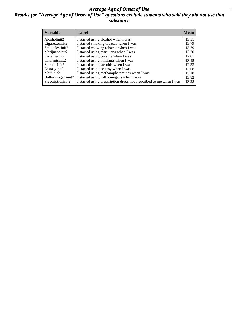### *Average Age of Onset of Use* **4** *Results for "Average Age of Onset of Use" questions exclude students who said they did not use that substance*

| <b>Variable</b>    | Label                                                              | <b>Mean</b> |
|--------------------|--------------------------------------------------------------------|-------------|
| Alcoholinit2       | I started using alcohol when I was                                 | 13.51       |
| Cigarettesinit2    | I started smoking tobacco when I was                               | 13.79       |
| Smokelessinit2     | I started chewing tobacco when I was                               | 13.79       |
| Marijuanainit2     | I started using marijuana when I was                               | 13.70       |
| Cocaineinit2       | I started using cocaine when I was                                 | 12.81       |
| Inhalantsinit2     | I started using inhalants when I was                               | 13.45       |
| Steroidsinit2      | I started using steroids when I was                                | 12.33       |
| Ecstasyinit2       | I started using ecstasy when I was                                 | 13.68       |
| Methinit2          | I started using methamphetamines when I was                        | 13.18       |
| Hallucinogensinit2 | I started using hallucinogens when I was                           | 13.82       |
| Prescriptioninit2  | I started using prescription drugs not prescribed to me when I was | 13.28       |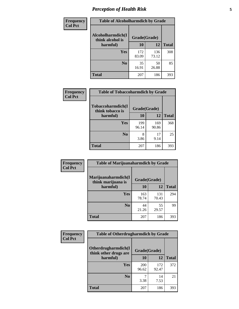# *Perception of Health Risk* **5**

| Frequency      | <b>Table of Alcoholharmdich by Grade</b> |              |              |              |
|----------------|------------------------------------------|--------------|--------------|--------------|
| <b>Col Pct</b> | Alcoholharmdich(I<br>think alcohol is    | Grade(Grade) |              |              |
|                | harmful)                                 | 10           | 12           | <b>Total</b> |
|                | <b>Yes</b>                               | 172<br>83.09 | 136<br>73.12 | 308          |
|                | N <sub>0</sub>                           | 35<br>16.91  | 50<br>26.88  | 85           |
|                | <b>Total</b>                             | 207          | 186          | 393          |

| Frequency      | <b>Table of Tobaccoharmdich by Grade</b>          |              |              |              |  |
|----------------|---------------------------------------------------|--------------|--------------|--------------|--|
| <b>Col Pct</b> | Tobaccoharmdich(I<br>think tobacco is<br>harmful) | Grade(Grade) |              |              |  |
|                |                                                   | 10           | 12           | <b>Total</b> |  |
|                | Yes                                               | 199<br>96.14 | 169<br>90.86 | 368          |  |
|                | N <sub>0</sub>                                    | 3.86         | 17<br>9.14   | 25           |  |
|                | <b>Total</b>                                      | 207          | 186          | 393          |  |

| <b>Frequency</b> | <b>Table of Marijuanaharmdich by Grade</b> |              |              |              |  |
|------------------|--------------------------------------------|--------------|--------------|--------------|--|
| <b>Col Pct</b>   | Marijuanaharmdich(I<br>think marijuana is  | Grade(Grade) |              |              |  |
|                  | harmful)                                   | 10           | 12           | <b>Total</b> |  |
|                  | Yes                                        | 163<br>78.74 | 131<br>70.43 | 294          |  |
|                  | N <sub>0</sub>                             | 44<br>21.26  | 55<br>29.57  | 99           |  |
|                  | <b>Total</b>                               | 207          | 186          | 393          |  |

| <b>Frequency</b> | <b>Table of Otherdrugharmdich by Grade</b>   |              |              |              |  |  |  |  |
|------------------|----------------------------------------------|--------------|--------------|--------------|--|--|--|--|
| <b>Col Pct</b>   | Otherdrugharmdich(I<br>think other drugs are | Grade(Grade) |              |              |  |  |  |  |
|                  | harmful)                                     | 10           | 12           | <b>Total</b> |  |  |  |  |
|                  | <b>Yes</b>                                   | 200<br>96.62 | 172<br>92.47 | 372          |  |  |  |  |
|                  | N <sub>0</sub>                               | 3.38         | 14<br>7.53   | 21           |  |  |  |  |
|                  | <b>Total</b>                                 | 207          | 186          | 393          |  |  |  |  |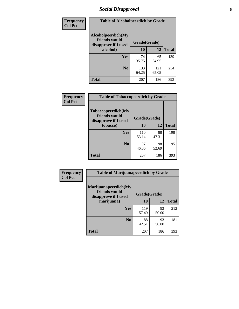# *Social Disapproval* **6**

| Frequency      | <b>Table of Alcoholpeerdich by Grade</b>                    |              |              |              |  |  |  |
|----------------|-------------------------------------------------------------|--------------|--------------|--------------|--|--|--|
| <b>Col Pct</b> | Alcoholpeerdich(My<br>friends would<br>disapprove if I used | Grade(Grade) |              |              |  |  |  |
|                | alcohol)                                                    |              | 12           | <b>Total</b> |  |  |  |
|                | <b>Yes</b>                                                  | 74<br>35.75  | 65<br>34.95  | 139          |  |  |  |
|                | N <sub>0</sub>                                              | 133<br>64.25 | 121<br>65.05 | 254          |  |  |  |
|                | <b>Total</b>                                                | 207          | 186          | 393          |  |  |  |

| <b>Frequency</b> |
|------------------|
| <b>Col Pct</b>   |

| <b>Table of Tobaccopeerdich by Grade</b>                    |              |             |              |  |  |  |  |
|-------------------------------------------------------------|--------------|-------------|--------------|--|--|--|--|
| Tobaccopeerdich(My<br>friends would<br>disapprove if I used | Grade(Grade) |             |              |  |  |  |  |
| tobacco)                                                    | 10           | 12          | <b>Total</b> |  |  |  |  |
| Yes                                                         | 110<br>53.14 | 88<br>47.31 | 198          |  |  |  |  |
| N <sub>0</sub>                                              | 97<br>46.86  | 98<br>52.69 | 195          |  |  |  |  |
| <b>Total</b>                                                | 207          | 186         | 393          |  |  |  |  |

| <b>Frequency</b> | <b>Table of Marijuanapeerdich by Grade</b>                    |              |             |              |  |  |  |  |  |
|------------------|---------------------------------------------------------------|--------------|-------------|--------------|--|--|--|--|--|
| <b>Col Pct</b>   | Marijuanapeerdich(My<br>friends would<br>disapprove if I used | Grade(Grade) |             |              |  |  |  |  |  |
|                  | marijuana)                                                    | 10           | 12          | <b>Total</b> |  |  |  |  |  |
|                  | <b>Yes</b>                                                    | 119<br>57.49 | 93<br>50.00 | 212          |  |  |  |  |  |
|                  | N <sub>0</sub>                                                | 88<br>42.51  | 93<br>50.00 | 181          |  |  |  |  |  |
|                  | <b>Total</b>                                                  | 207          | 186         | 393          |  |  |  |  |  |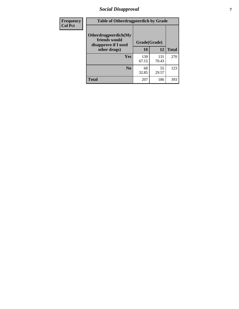# *Social Disapproval* **7**

| Frequency      | <b>Table of Otherdrugpeerdich by Grade</b>                    |              |              |              |  |  |  |  |
|----------------|---------------------------------------------------------------|--------------|--------------|--------------|--|--|--|--|
| <b>Col Pct</b> | Otherdrugpeerdich(My<br>friends would<br>disapprove if I used | Grade(Grade) |              |              |  |  |  |  |
|                | other drugs)                                                  | 10           | 12           | <b>Total</b> |  |  |  |  |
|                | Yes                                                           | 139<br>67.15 | 131<br>70.43 | 270          |  |  |  |  |
|                | N <sub>0</sub>                                                | 68<br>32.85  | 55<br>29.57  | 123          |  |  |  |  |
|                | <b>Total</b>                                                  | 207          | 186          | 393          |  |  |  |  |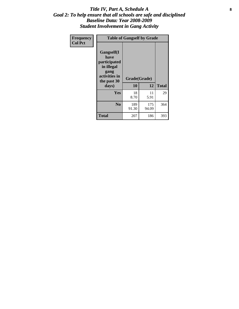### Title IV, Part A, Schedule A **8** *Goal 2: To help ensure that all schools are safe and disciplined Baseline Data: Year 2008-2009 Student Involvement in Gang Activity*

| Frequency      | <b>Table of Gangself by Grade</b>                                                                 |                    |              |              |
|----------------|---------------------------------------------------------------------------------------------------|--------------------|--------------|--------------|
| <b>Col Pct</b> | Gangself(I<br>have<br>participated<br>in illegal<br>gang<br>activities in<br>the past 30<br>days) | Grade(Grade)<br>10 | 12           | <b>Total</b> |
|                | Yes                                                                                               | 18<br>8.70         | 11<br>5.91   | 29           |
|                | N <sub>0</sub>                                                                                    | 189<br>91.30       | 175<br>94.09 | 364          |
|                | <b>Total</b>                                                                                      | 207                | 186          | 393          |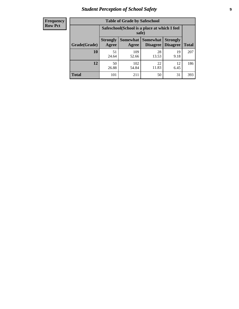# *Student Perception of School Safety* **9**

| <b>Frequency</b><br>Row Pct |
|-----------------------------|
|                             |

| <b>Table of Grade by Safeschool</b> |                                                                                                                          |              |             |            |     |  |  |
|-------------------------------------|--------------------------------------------------------------------------------------------------------------------------|--------------|-------------|------------|-----|--|--|
|                                     | Safeschool (School is a place at which I feel<br>safe)                                                                   |              |             |            |     |  |  |
| Grade(Grade)                        | Somewhat Somewhat<br><b>Strongly</b><br><b>Strongly</b><br><b>Disagree</b><br>Agree<br>Disagree<br><b>Total</b><br>Agree |              |             |            |     |  |  |
| 10                                  | 51<br>24.64                                                                                                              | 109<br>52.66 | 28<br>13.53 | 19<br>9.18 | 207 |  |  |
| 12                                  | 50<br>26.88                                                                                                              | 102<br>54.84 | 22<br>11.83 | 12<br>6.45 | 186 |  |  |
| <b>Total</b>                        | 101                                                                                                                      | 211          | 50          | 31         | 393 |  |  |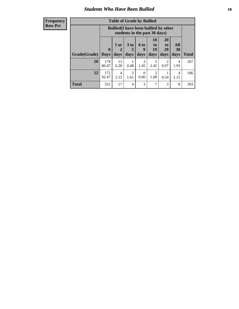### *Students Who Have Been Bullied* **10**

| <b>Frequency</b> |
|------------------|
| Row Pct          |

| <b>Table of Grade by Bullied</b> |                            |                                                                               |                              |                   |                               |                               |                          |              |
|----------------------------------|----------------------------|-------------------------------------------------------------------------------|------------------------------|-------------------|-------------------------------|-------------------------------|--------------------------|--------------|
|                                  |                            | <b>Bullied</b> (I have been bullied by other<br>students in the past 30 days) |                              |                   |                               |                               |                          |              |
| Grade(Grade)                     | $\mathbf 0$<br><b>Days</b> | 1 or<br>2<br>days                                                             | 3 <sub>to</sub><br>5<br>days | 6 to<br>9<br>days | <b>10</b><br>to<br>19<br>days | <b>20</b><br>to<br>29<br>days | <b>All</b><br>30<br>days | <b>Total</b> |
| 10                               | 179<br>86.47               | 13<br>6.28                                                                    | 0.48                         | 3<br>1.45         | 5<br>2.42                     | 2<br>0.97                     | 4<br>1.93                | 207          |
| 12                               | 172<br>92.47               | 4<br>2.15                                                                     | 3<br>1.61                    | $\theta$<br>0.00  | 2<br>1.08                     | 0.54                          | 4<br>2.15                | 186          |
| <b>Total</b>                     | 351                        | 17                                                                            | 4                            | 3                 | 7                             | 3                             | 8                        | 393          |

 $\blacksquare$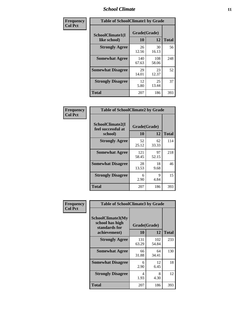### *School Climate* **11**

| Frequency      | <b>Table of SchoolClimate1 by Grade</b> |                    |              |              |  |  |  |  |
|----------------|-----------------------------------------|--------------------|--------------|--------------|--|--|--|--|
| <b>Col Pct</b> | SchoolClimate1(I<br>like school)        | Grade(Grade)<br>10 | 12           | <b>Total</b> |  |  |  |  |
|                | <b>Strongly Agree</b>                   | 26<br>12.56        | 30<br>16.13  | 56           |  |  |  |  |
|                | <b>Somewhat Agree</b>                   | 140<br>67.63       | 108<br>58.06 | 248          |  |  |  |  |
|                | <b>Somewhat Disagree</b>                | 29<br>14.01        | 23<br>12.37  | 52           |  |  |  |  |
|                | <b>Strongly Disagree</b>                | 12<br>5.80         | 25<br>13.44  | 37           |  |  |  |  |
|                | <b>Total</b>                            | 207                | 186          | 393          |  |  |  |  |

| Frequency |  |
|-----------|--|
| Col Pct   |  |

| <b>Table of SchoolClimate2 by Grade</b>           |                    |             |              |  |
|---------------------------------------------------|--------------------|-------------|--------------|--|
| SchoolClimate2(I<br>feel successful at<br>school) | Grade(Grade)<br>10 | 12          | <b>Total</b> |  |
| <b>Strongly Agree</b>                             | 52<br>25.12        | 62<br>33.33 | 114          |  |
| <b>Somewhat Agree</b>                             | 121<br>58.45       | 97<br>52.15 | 218          |  |
| <b>Somewhat Disagree</b>                          | 28<br>13.53        | 18<br>9.68  | 46           |  |
| <b>Strongly Disagree</b>                          | 6<br>2.90          | 9<br>4.84   | 15           |  |
| Total                                             | 207                | 186         | 393          |  |

| Frequency      |                                                                       | <b>Table of SchoolClimate3 by Grade</b> |              |              |  |  |
|----------------|-----------------------------------------------------------------------|-----------------------------------------|--------------|--------------|--|--|
| <b>Col Pct</b> | SchoolClimate3(My<br>school has high<br>standards for<br>achievement) | Grade(Grade)<br>10                      | 12           | <b>Total</b> |  |  |
|                | <b>Strongly Agree</b>                                                 | 131<br>63.29                            | 102<br>54.84 | 233          |  |  |
|                | <b>Somewhat Agree</b>                                                 | 66<br>31.88                             | 64<br>34.41  | 130          |  |  |
|                | <b>Somewhat Disagree</b>                                              | 6<br>2.90                               | 12<br>6.45   | 18           |  |  |
|                | <b>Strongly Disagree</b>                                              | 4<br>1.93                               | 8<br>4.30    | 12           |  |  |
|                | Total                                                                 | 207                                     | 186          | 393          |  |  |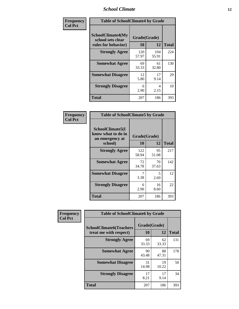### *School Climate* **12**

| Frequency      | <b>Table of SchoolClimate4 by Grade</b>                              |                    |              |              |
|----------------|----------------------------------------------------------------------|--------------------|--------------|--------------|
| <b>Col Pct</b> | <b>SchoolClimate4(My</b><br>school sets clear<br>rules for behavior) | Grade(Grade)<br>10 | 12           | <b>Total</b> |
|                | <b>Strongly Agree</b>                                                | 120<br>57.97       | 104<br>55.91 | 224          |
|                | <b>Somewhat Agree</b>                                                | 69<br>33.33        | 61<br>32.80  | 130          |
|                | <b>Somewhat Disagree</b>                                             | 12<br>5.80         | 17<br>9.14   | 29           |
|                | <b>Strongly Disagree</b>                                             | 6<br>2.90          | 4<br>2.15    | 10           |
|                | <b>Total</b>                                                         | 207                | 186          | 393          |

| <b>Table of SchoolClimate5 by Grade</b>                              |              |             |     |  |
|----------------------------------------------------------------------|--------------|-------------|-----|--|
| SchoolClimate5(I<br>know what to do in<br>an emergency at<br>school) | <b>Total</b> |             |     |  |
|                                                                      | 10           | 12          |     |  |
| <b>Strongly Agree</b>                                                | 122<br>58.94 | 95<br>51.08 | 217 |  |
| <b>Somewhat Agree</b>                                                | 72<br>34.78  | 70<br>37.63 | 142 |  |
| <b>Somewhat Disagree</b>                                             | 7<br>3.38    | 5<br>2.69   | 12  |  |
| <b>Strongly Disagree</b>                                             | 6<br>2.90    | 16<br>8.60  | 22  |  |
| <b>Total</b>                                                         | 207          | 186         | 393 |  |

| Frequency      | <b>Table of SchoolClimate6 by Grade</b>                  |                    |             |              |  |
|----------------|----------------------------------------------------------|--------------------|-------------|--------------|--|
| <b>Col Pct</b> | <b>SchoolClimate6(Teachers</b><br>treat me with respect) | Grade(Grade)<br>10 | 12          | <b>Total</b> |  |
|                | <b>Strongly Agree</b>                                    | 69<br>33.33        | 62<br>33.33 | 131          |  |
|                | <b>Somewhat Agree</b>                                    | 90<br>43.48        | 88<br>47.31 | 178          |  |
|                | <b>Somewhat Disagree</b>                                 | 31<br>14.98        | 19<br>10.22 | 50           |  |
|                | <b>Strongly Disagree</b>                                 | 17<br>8.21         | 17<br>9.14  | 34           |  |
|                | <b>Total</b>                                             | 207                | 186         | 393          |  |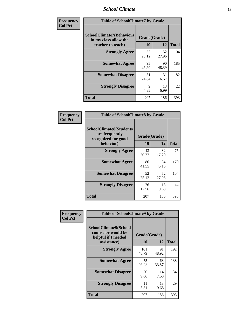### *School Climate* **13**

| Frequency      | <b>Table of SchoolClimate7 by Grade</b>                                       |                           |             |              |
|----------------|-------------------------------------------------------------------------------|---------------------------|-------------|--------------|
| <b>Col Pct</b> | <b>SchoolClimate7(Behaviors</b><br>in my class allow the<br>teacher to teach) | Grade(Grade)<br><b>10</b> | 12          | <b>Total</b> |
|                | <b>Strongly Agree</b>                                                         | 52<br>25.12               | 52<br>27.96 | 104          |
|                | <b>Somewhat Agree</b>                                                         | 95<br>45.89               | 90<br>48.39 | 185          |
|                | <b>Somewhat Disagree</b>                                                      | 51<br>24.64               | 31<br>16.67 | 82           |
|                | <b>Strongly Disagree</b>                                                      | 9<br>4.35                 | 13<br>6.99  | 22           |
|                | <b>Total</b>                                                                  | 207                       | 186         | 393          |

| Frequency      | <b>Table of SchoolClimate8 by Grade</b>                                 |              |             |              |  |
|----------------|-------------------------------------------------------------------------|--------------|-------------|--------------|--|
| <b>Col Pct</b> | <b>SchoolClimate8(Students</b><br>are frequently<br>recognized for good | Grade(Grade) |             |              |  |
|                | behavior)                                                               | 10           | 12          | <b>Total</b> |  |
|                | <b>Strongly Agree</b>                                                   | 43<br>20.77  | 32<br>17.20 | 75           |  |
|                | <b>Somewhat Agree</b>                                                   | 86<br>41.55  | 84<br>45.16 | 170          |  |
|                | <b>Somewhat Disagree</b>                                                | 52<br>25.12  | 52<br>27.96 | 104          |  |
|                | <b>Strongly Disagree</b>                                                | 26<br>12.56  | 18<br>9.68  | 44           |  |
|                | <b>Total</b>                                                            | 207          | 186         | 393          |  |

| Frequency      | <b>Table of SchoolClimate9 by Grade</b>                                           |                    |             |              |
|----------------|-----------------------------------------------------------------------------------|--------------------|-------------|--------------|
| <b>Col Pct</b> | SchoolClimate9(School<br>counselor would be<br>helpful if I needed<br>assistance) | Grade(Grade)<br>10 | 12          | <b>Total</b> |
|                | <b>Strongly Agree</b>                                                             | 101<br>48.79       | 91<br>48.92 | 192          |
|                | <b>Somewhat Agree</b>                                                             | 75<br>36.23        | 63<br>33.87 | 138          |
|                | <b>Somewhat Disagree</b>                                                          | 20<br>9.66         | 14<br>7.53  | 34           |
|                | <b>Strongly Disagree</b>                                                          | 11<br>5.31         | 18<br>9.68  | 29           |
|                | Total                                                                             | 207                | 186         | 393          |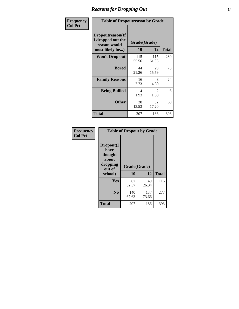### *Reasons for Dropping Out* **14**

| Frequency      | <b>Table of Dropoutreason by Grade</b>                                   |                           |              |              |
|----------------|--------------------------------------------------------------------------|---------------------------|--------------|--------------|
| <b>Col Pct</b> | Dropoutreason(If<br>I dropped out the<br>reason would<br>most likely be) | Grade(Grade)<br><b>10</b> | 12           | <b>Total</b> |
|                | Won't Drop out                                                           | 115<br>55.56              | 115<br>61.83 | 230          |
|                | <b>Bored</b>                                                             | 44<br>21.26               | 29<br>15.59  | 73           |
|                | <b>Family Reasons</b>                                                    | 16<br>7.73                | 8<br>4.30    | 24           |
|                | <b>Being Bullied</b>                                                     | 4<br>1.93                 | 2<br>1.08    | 6            |
|                | <b>Other</b>                                                             | 28<br>13.53               | 32<br>17.20  | 60           |
|                | <b>Total</b>                                                             | 207                       | 186          | 393          |

| Frequency<br><b>Col Pct</b> | <b>Table of Dropout by Grade</b>                                       |                    |       |              |  |
|-----------------------------|------------------------------------------------------------------------|--------------------|-------|--------------|--|
|                             | Dropout(I<br>have<br>thought<br>about<br>dropping<br>out of<br>school) | Grade(Grade)<br>10 | 12    | <b>Total</b> |  |
|                             | Yes                                                                    | 67                 | 49    | 116          |  |
|                             |                                                                        | 32.37              | 26.34 |              |  |
|                             | N <sub>0</sub>                                                         | 140                | 137   | 277          |  |
|                             |                                                                        | 67.63              | 73.66 |              |  |
|                             | <b>Total</b>                                                           | 207                | 186   | 393          |  |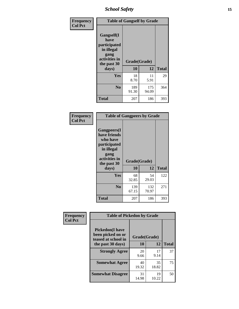*School Safety* **15**

| Frequency      | <b>Table of Gangself by Grade</b>                                                                 |                    |              |              |  |
|----------------|---------------------------------------------------------------------------------------------------|--------------------|--------------|--------------|--|
| <b>Col Pct</b> | Gangself(I<br>have<br>participated<br>in illegal<br>gang<br>activities in<br>the past 30<br>days) | Grade(Grade)<br>10 | 12           | <b>Total</b> |  |
|                | Yes                                                                                               | 18<br>8.70         | 11<br>5.91   | 29           |  |
|                | N <sub>0</sub>                                                                                    | 189<br>91.30       | 175<br>94.09 | 364          |  |
|                | <b>Total</b>                                                                                      | 207                | 186          | 393          |  |

| Frequency<br><b>Col Pct</b> | <b>Table of Gangpeers by Grade</b>                                                                                             |                    |              |              |  |  |  |  |
|-----------------------------|--------------------------------------------------------------------------------------------------------------------------------|--------------------|--------------|--------------|--|--|--|--|
|                             | <b>Gangpeers</b> (I<br>have friends<br>who have<br>participated<br>in illegal<br>gang<br>activities in<br>the past 30<br>days) | Grade(Grade)<br>10 | 12           | <b>Total</b> |  |  |  |  |
|                             | <b>Yes</b>                                                                                                                     | 68<br>32.85        | 54<br>29.03  | 122          |  |  |  |  |
|                             | N <sub>0</sub>                                                                                                                 | 139<br>67.15       | 132<br>70.97 | 271          |  |  |  |  |
|                             | <b>Total</b>                                                                                                                   | 207                | 186          | 393          |  |  |  |  |

| Frequency      | <b>Table of Pickedon by Grade</b>                                  |              |             |              |
|----------------|--------------------------------------------------------------------|--------------|-------------|--------------|
| <b>Col Pct</b> | <b>Pickedon(I have</b><br>been picked on or<br>teased at school in | Grade(Grade) |             |              |
|                | the past 30 days)                                                  | 10           | 12          | <b>Total</b> |
|                | <b>Strongly Agree</b>                                              | 20<br>9.66   | 17<br>9.14  | 37           |
|                | <b>Somewhat Agree</b>                                              | 40<br>19.32  | 35<br>18.82 | 75           |
|                | <b>Somewhat Disagree</b>                                           | 31<br>14.98  | 19<br>10.22 | 50           |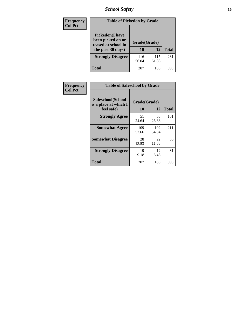# *School Safety* **16**

| <b>Frequency</b> | <b>Table of Pickedon by Grade</b>                                                        |                    |              |              |
|------------------|------------------------------------------------------------------------------------------|--------------------|--------------|--------------|
| <b>Col Pct</b>   | <b>Pickedon</b> (I have<br>been picked on or<br>teased at school in<br>the past 30 days) | Grade(Grade)<br>10 | 12           | <b>Total</b> |
|                  | <b>Strongly Disagree</b>                                                                 | 116<br>56.04       | 115<br>61.83 | 231          |
|                  | Total                                                                                    | 207                | 186          | 393          |

| Frequency      | <b>Table of Safeschool by Grade</b>                      |                    |              |              |
|----------------|----------------------------------------------------------|--------------------|--------------|--------------|
| <b>Col Pct</b> | Safeschool(School<br>is a place at which I<br>feel safe) | Grade(Grade)<br>10 | 12           | <b>Total</b> |
|                | <b>Strongly Agree</b>                                    | 51<br>24.64        | 50<br>26.88  | 101          |
|                | <b>Somewhat Agree</b>                                    | 109<br>52.66       | 102<br>54.84 | 211          |
|                | <b>Somewhat Disagree</b>                                 | 28<br>13.53        | 22<br>11.83  | 50           |
|                | <b>Strongly Disagree</b>                                 | 19<br>9.18         | 12<br>6.45   | 31           |
|                | <b>Total</b>                                             | 207                | 186          | 393          |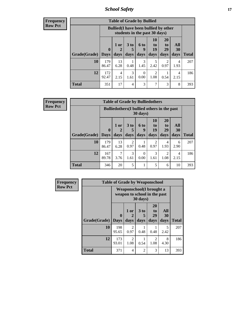*School Safety* **17**

| <b>Table of Grade by Bullied</b> |              |                                                                               |                              |                   |                        |                               |                          |              |  |  |
|----------------------------------|--------------|-------------------------------------------------------------------------------|------------------------------|-------------------|------------------------|-------------------------------|--------------------------|--------------|--|--|
|                                  |              | <b>Bullied</b> (I have been bullied by other<br>students in the past 30 days) |                              |                   |                        |                               |                          |              |  |  |
| Grade(Grade)   Days              | $\mathbf 0$  | 1 or<br>2<br>days                                                             | 3 <sub>to</sub><br>5<br>days | 6 to<br>q<br>days | 10<br>to<br>19<br>days | <b>20</b><br>to<br>29<br>days | All<br><b>30</b><br>days | <b>Total</b> |  |  |
| 10                               | 179<br>86.47 | 13<br>6.28                                                                    | 0.48                         | 3<br>1.45         | 5<br>2.42              | 2<br>0.97                     | 4<br>1.93                | 207          |  |  |
| 12                               | 172<br>92.47 | 4<br>2.15                                                                     | 3<br>1.61                    | 0<br>0.00         | $\overline{2}$<br>1.08 | 0.54                          | 4<br>2.15                | 186          |  |  |
| <b>Total</b>                     | 351          | 17                                                                            | 4                            | 3                 | 7                      | 3                             | 8                        | 393          |  |  |

| <b>Frequency</b> |
|------------------|
| <b>Row Pct</b>   |

| <b>Table of Grade by Bulliedothers</b> |              |                                                                         |                        |                  |                        |                |           |                     |  |  |  |
|----------------------------------------|--------------|-------------------------------------------------------------------------|------------------------|------------------|------------------------|----------------|-----------|---------------------|--|--|--|
|                                        |              | <b>Bulliedothers</b> (I bullied others in the past<br>$30 \text{ days}$ |                        |                  |                        |                |           |                     |  |  |  |
|                                        | $\bf{0}$     | 1 or                                                                    | 3 <sub>to</sub><br>5   | 6 to<br>9        | 10<br>to<br>19         | 20<br>to<br>29 | All<br>30 |                     |  |  |  |
| Grade(Grade)   Days<br>10              | 179          | days<br>13                                                              | days<br>$\overline{2}$ | days             | days<br>$\overline{2}$ | days<br>4      | days<br>6 | <b>Total</b><br>207 |  |  |  |
|                                        | 86.47        | 6.28                                                                    | 0.97                   | 0.48             | 0.97                   | 1.93           | 2.90      |                     |  |  |  |
| 12                                     | 167<br>89.78 | 7<br>3.76                                                               | 3<br>1.61              | $\Omega$<br>0.00 | 3<br>1.61              | 2<br>1.08      | 4<br>2.15 | 186                 |  |  |  |
| <b>Total</b>                           | 346          | 20                                                                      | 5                      |                  | 5                      | 6              | 10        | 393                 |  |  |  |

| Frequency      | <b>Table of Grade by Weaponschool</b><br>Weaponschool(I brought a<br>weapon to school in the past<br>30 days) |                         |                        |                              |                        |                          |              |
|----------------|---------------------------------------------------------------------------------------------------------------|-------------------------|------------------------|------------------------------|------------------------|--------------------------|--------------|
| <b>Row Pct</b> |                                                                                                               |                         |                        |                              |                        |                          |              |
|                | Grade(Grade)                                                                                                  | $\bf{0}$<br><b>Days</b> | 1 or<br>2<br>days      | 3 <sub>to</sub><br>5<br>days | 20<br>to<br>29<br>days | All<br><b>30</b><br>days | <b>Total</b> |
|                | 10                                                                                                            | 198<br>95.65            | 2<br>0.97              | 0.48                         | 0.48                   | 5<br>2.42                | 207          |
|                | 12                                                                                                            | 173<br>93.01            | $\overline{2}$<br>1.08 | 0.54                         | 2<br>1.08              | 8<br>4.30                | 186          |
|                | <b>Total</b>                                                                                                  | 371                     | 4                      | $\overline{2}$               | 3                      | 13                       | 393          |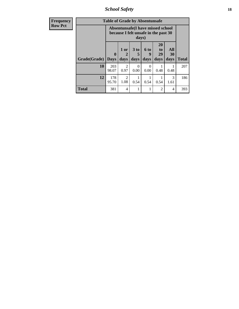*School Safety* **18**

| <b>Frequency</b> | <b>Table of Grade by Absentunsafe</b> |                                                                                    |                             |                              |                   |                                           |                   |              |  |
|------------------|---------------------------------------|------------------------------------------------------------------------------------|-----------------------------|------------------------------|-------------------|-------------------------------------------|-------------------|--------------|--|
| <b>Row Pct</b>   |                                       | Absentunsafe(I have missed school<br>because I felt unsafe in the past 30<br>days) |                             |                              |                   |                                           |                   |              |  |
|                  | Grade(Grade)                          | $\mathbf 0$<br><b>Days</b>                                                         | 1 or<br>$\mathbf 2$<br>days | 3 <sub>to</sub><br>5<br>days | 6 to<br>9<br>days | <b>20</b><br>t <sub>0</sub><br>29<br>days | All<br>30<br>days | <b>Total</b> |  |
|                  | 10                                    | 203<br>98.07                                                                       | $\mathcal{D}$<br>0.97       | 0<br>0.00                    | $\Omega$<br>0.00  | 0.48                                      | 0.48              | 207          |  |
|                  | 12                                    | 178<br>95.70                                                                       | $\mathfrak{D}$<br>1.08      | 0.54                         | 0.54              | 0.54                                      | 3<br>1.61         | 186          |  |
|                  | <b>Total</b>                          | 381                                                                                | $\overline{4}$              |                              |                   | 2                                         | 4                 | 393          |  |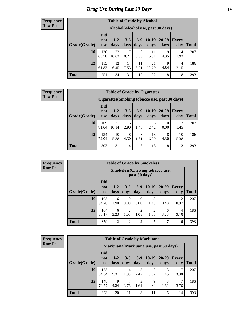# *Drug Use During Last 30 Days* **19**

#### **Frequency Row Pct**

| <b>Table of Grade by Alcohol</b> |                          |                 |                 |                 |               |                                     |              |       |  |  |  |
|----------------------------------|--------------------------|-----------------|-----------------|-----------------|---------------|-------------------------------------|--------------|-------|--|--|--|
|                                  |                          |                 |                 |                 |               | Alcohol (Alcohol use, past 30 days) |              |       |  |  |  |
| Grade(Grade)                     | <b>Did</b><br>not<br>use | $1 - 2$<br>days | $3 - 5$<br>days | $6 - 9$<br>days | 10-19<br>days | 20-29<br>days                       | Every<br>day | Total |  |  |  |
| 10                               | 136<br>65.70             | 22<br>10.63     | 17<br>8.21      | 8<br>3.86       | 11<br>5.31    | 9<br>4.35                           | 4<br>1.93    | 207   |  |  |  |
| 12                               | 115<br>61.83             | 12<br>6.45      | 14<br>7.53      | 11<br>5.91      | 21<br>11.29   | 9<br>4.84                           | 4<br>2.15    | 186   |  |  |  |
| <b>Total</b>                     | 251                      | 34              | 31              | 19              | 32            | 18                                  | 8            | 393   |  |  |  |

#### **Frequency Row Pct**

| <b>Table of Grade by Cigarettes</b> |                                 |                                                |                 |               |               |               |                     |       |  |  |
|-------------------------------------|---------------------------------|------------------------------------------------|-----------------|---------------|---------------|---------------|---------------------|-------|--|--|
|                                     |                                 | Cigarettes (Smoking tobacco use, past 30 days) |                 |               |               |               |                     |       |  |  |
| Grade(Grade)                        | <b>Did</b><br>not<br><b>use</b> | $1-2$<br>days                                  | $3 - 5$<br>days | $6-9$<br>days | 10-19<br>days | 20-29<br>days | <b>Every</b><br>day | Total |  |  |
| 10                                  | 169<br>81.64                    | 21<br>10.14                                    | 6<br>2.90       | 3<br>1.45     | 2.42          | 0<br>0.00     | 3<br>1.45           | 207   |  |  |
| 12                                  | 134<br>72.04                    | 10<br>5.38                                     | 8<br>4.30       | 3<br>1.61     | 13<br>6.99    | 8<br>4.30     | 10<br>5.38          | 186   |  |  |
| <b>Total</b>                        | 303                             | 31                                             | 14              | 6             | 18            | 8             | 13                  | 393   |  |  |

**Frequency Row Pct**

| <b>Table of Grade by Smokeless</b> |    |                                 |                                                        |                        |                        |                        |               |                        |              |  |  |  |
|------------------------------------|----|---------------------------------|--------------------------------------------------------|------------------------|------------------------|------------------------|---------------|------------------------|--------------|--|--|--|
|                                    |    |                                 | <b>Smokeless</b> (Chewing tobaccouse,<br>past 30 days) |                        |                        |                        |               |                        |              |  |  |  |
| Grade(Grade)                       |    | <b>Did</b><br>not<br><b>use</b> | $1 - 2$<br>days                                        | $3 - 5$<br>days        | $6 - 9$<br>days        | $10-19$<br>days        | 20-29<br>days | Every<br>day           | <b>Total</b> |  |  |  |
|                                    | 10 | 195<br>94.20                    | 6<br>2.90                                              | $\theta$<br>0.00       | 0<br>0.00              | 3<br>1.45              | 0.48          | $\mathfrak{D}$<br>0.97 | 207          |  |  |  |
|                                    | 12 | 164<br>88.17                    | 6<br>3.23                                              | $\overline{2}$<br>1.08 | $\overline{2}$<br>1.08 | $\overline{2}$<br>1.08 | 6<br>3.23     | 4<br>2.15              | 186          |  |  |  |
| <b>Total</b>                       |    | 359                             | 12                                                     | $\overline{2}$         | $\overline{2}$         | 5                      | 7             | 6                      | 393          |  |  |  |

| <b>Table of Grade by Marijuana</b> |                                 |                                         |                 |               |                 |                   |                     |              |  |  |
|------------------------------------|---------------------------------|-----------------------------------------|-----------------|---------------|-----------------|-------------------|---------------------|--------------|--|--|
|                                    |                                 | Marijuana (Marijuana use, past 30 days) |                 |               |                 |                   |                     |              |  |  |
| Grade(Grade)                       | <b>Did</b><br>not<br><b>use</b> | $1 - 2$<br>days                         | $3 - 5$<br>days | $6-9$<br>days | $10-19$<br>days | $20 - 29$<br>days | <b>Every</b><br>day | <b>Total</b> |  |  |
| 10                                 | 175<br>84.54                    | 11<br>5.31                              | 4<br>1.93       | 5<br>2.42     | 2<br>0.97       | 3<br>1.45         | 3.38                | 207          |  |  |
| 12                                 | 148<br>79.57                    | 9<br>4.84                               | 7<br>3.76       | 3<br>1.61     | 9<br>4.84       | 3<br>1.61         | 3.76                | 186          |  |  |
| <b>Total</b>                       | 323                             | 20                                      | 11              | 8             | 11              | 6                 | 14                  | 393          |  |  |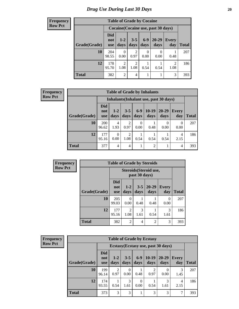#### **Frequency Row Pct**

| <b>Table of Grade by Cocaine</b> |                          |                                     |                 |                 |                           |              |              |  |  |  |
|----------------------------------|--------------------------|-------------------------------------|-----------------|-----------------|---------------------------|--------------|--------------|--|--|--|
|                                  |                          | Cocaine (Cocaine use, past 30 days) |                 |                 |                           |              |              |  |  |  |
| Grade(Grade)                     | Did<br>not<br><b>use</b> | $1-2$<br>days                       | $3 - 5$<br>days | $6 - 9$<br>days | $20 - 29$<br>days         | Every<br>day | <b>Total</b> |  |  |  |
| 10                               | 204<br>98.55             | 0<br>0.00                           | 2<br>0.97       | 0.00            | $\mathbf{\Omega}$<br>0.00 | 0.48         | 207          |  |  |  |
| 12                               | 178<br>95.70             | 2<br>1.08                           | 2<br>1.08       | 0.54            | 0.54                      | 2<br>1.08    | 186          |  |  |  |
| <b>Total</b>                     | 382                      | $\overline{2}$                      | 4               |                 |                           | 3            | 393          |  |  |  |

| <b>Table of Grade by Inhalants</b> |                                 |                                        |                 |                  |                 |                   |                  |       |  |  |
|------------------------------------|---------------------------------|----------------------------------------|-----------------|------------------|-----------------|-------------------|------------------|-------|--|--|
|                                    |                                 | Inhalants (Inhalant use, past 30 days) |                 |                  |                 |                   |                  |       |  |  |
| Grade(Grade)                       | <b>Did</b><br>not<br><b>use</b> | $1-2$<br>days                          | $3 - 5$<br>days | $6 - 9$<br>days  | $10-19$<br>days | $20 - 29$<br>days | Every<br>day     | Total |  |  |
| 10                                 | 200<br>96.62                    | 4<br>1.93                              | 2<br>0.97       | $\Omega$<br>0.00 | 0.48            | $\Omega$<br>0.00  | $\Omega$<br>0.00 | 207   |  |  |
| 12                                 | 177<br>95.16                    | 0<br>0.00                              | 2<br>1.08       | 0.54             | 0.54            | 0.54              | 4<br>2.15        | 186   |  |  |
| <b>Total</b>                       | 377                             | 4                                      | 4               |                  | $\overline{2}$  |                   | 4                | 393   |  |  |

| Frequency      |              |                                 |                        | <b>Table of Grade by Steroids</b> |                   |                     |              |  |  |
|----------------|--------------|---------------------------------|------------------------|-----------------------------------|-------------------|---------------------|--------------|--|--|
| <b>Row Pct</b> |              | Steroids (Steroid use,          |                        |                                   |                   |                     |              |  |  |
|                | Grade(Grade) | <b>Did</b><br>not<br><b>use</b> | $1-2$<br>days          | $3 - 5$<br>days                   | $20 - 29$<br>days | <b>Every</b><br>day | <b>Total</b> |  |  |
|                | 10           | 205<br>99.03                    | 0<br>0.00              | 0.48                              | 0.48              | $\Omega$<br>0.00    | 207          |  |  |
|                | 12           | 177<br>95.16                    | $\overline{2}$<br>1.08 | 3<br>1.61                         | 0.54              | 3<br>1.61           | 186          |  |  |
|                | <b>Total</b> | 382                             | $\overline{2}$         | 4                                 | $\overline{2}$    | 3                   | 393          |  |  |

| <b>Frequency</b> |
|------------------|
| <b>Row Pct</b>   |

| <b>Table of Grade by Ecstasy</b> |                          |                                     |                 |                  |                 |                   |              |              |  |  |
|----------------------------------|--------------------------|-------------------------------------|-----------------|------------------|-----------------|-------------------|--------------|--------------|--|--|
|                                  |                          | Ecstasy (Ecstasy use, past 30 days) |                 |                  |                 |                   |              |              |  |  |
| Grade(Grade)                     | Did<br>not<br><b>use</b> | $1-2$<br>days                       | $3 - 5$<br>days | $6-9$<br>days    | $10-19$<br>days | $20 - 29$<br>days | Every<br>day | <b>Total</b> |  |  |
| 10                               | 199<br>96.14             | $\mathcal{D}$<br>0.97               | 0<br>0.00       | 0.48             | 2<br>0.97       | 0.00              | 3<br>1.45    | 207          |  |  |
| 12                               | 174<br>93.55             | 0.54                                | 3<br>1.61       | $\theta$<br>0.00 | 0.54            | 3<br>1.61         | 4<br>2.15    | 186          |  |  |
| Total                            | 373                      | 3                                   | 3               |                  | 3               | 3                 | 7            | 393          |  |  |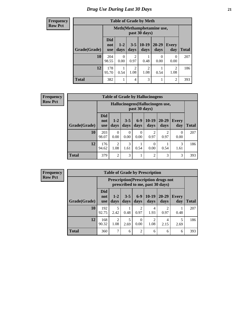#### **Frequency Row Pct**

| <b>Table of Grade by Meth</b> |                                 |                                             |                        |                        |                   |                     |              |  |  |
|-------------------------------|---------------------------------|---------------------------------------------|------------------------|------------------------|-------------------|---------------------|--------------|--|--|
|                               |                                 | Meth (Methamphetamine use,<br>past 30 days) |                        |                        |                   |                     |              |  |  |
| Grade(Grade)                  | <b>Did</b><br>not<br><b>use</b> | $1 - 2$<br>days                             | $3 - 5$<br>days        | $10-19$<br>days        | $20 - 29$<br>days | <b>Every</b><br>day | <b>Total</b> |  |  |
| 10                            | 204<br>98.55                    | 0<br>0.00                                   | $\overline{2}$<br>0.97 | 0.48                   | 0<br>0.00         | 0<br>0.00           | 207          |  |  |
| 12                            | 178<br>95.70                    | 0.54                                        | $\mathfrak{D}$<br>1.08 | $\mathfrak{D}$<br>1.08 | 0.54              | 2<br>1.08           | 186          |  |  |
| <b>Total</b>                  | 382                             | 1                                           | 4                      | 3                      |                   | $\overline{c}$      | 393          |  |  |

**Frequency Row Pct**

| <b>Table of Grade by Hallucinogens</b> |                                 |                                                   |                 |                 |                 |                   |                     |              |  |
|----------------------------------------|---------------------------------|---------------------------------------------------|-----------------|-----------------|-----------------|-------------------|---------------------|--------------|--|
|                                        |                                 | Hallucinogens (Hallucinogen use,<br>past 30 days) |                 |                 |                 |                   |                     |              |  |
| Grade(Grade)                           | <b>Did</b><br>not<br><b>use</b> | $1 - 2$<br>days                                   | $3 - 5$<br>days | $6 - 9$<br>days | $10-19$<br>days | $20 - 29$<br>days | <b>Every</b><br>day | <b>Total</b> |  |
| 10                                     | 203<br>98.07                    | 0<br>0.00                                         | 0<br>0.00       | 0<br>0.00       | 0.97            | 2<br>0.97         | 0<br>0.00           | 207          |  |
| 12                                     | 176<br>94.62                    | $\mathfrak{D}$<br>1.08                            | 3<br>1.61       | 0.54            | 0<br>0.00       | 0.54              | 3<br>1.61           | 186          |  |
| <b>Total</b>                           | 379                             | $\overline{2}$                                    | 3               | 1               | $\overline{2}$  | 3                 | 3                   | 393          |  |

| <b>Table of Grade by Prescription</b> |                                 |                                                                                |                 |                  |                        |                        |                     |              |  |  |
|---------------------------------------|---------------------------------|--------------------------------------------------------------------------------|-----------------|------------------|------------------------|------------------------|---------------------|--------------|--|--|
|                                       |                                 | <b>Prescription</b> (Prescription drugs not<br>prescribed to me, past 30 days) |                 |                  |                        |                        |                     |              |  |  |
| Grade(Grade)                          | <b>Did</b><br>not<br><b>use</b> | $1 - 2$<br>days                                                                | $3 - 5$<br>days | $6-9$<br>days    | $10-19$<br>days        | $20 - 29$<br>days      | <b>Every</b><br>day | <b>Total</b> |  |  |
| 10                                    | 192<br>92.75                    | 5<br>2.42                                                                      | 0.48            | 2<br>0.97        | 4<br>1.93              | $\mathfrak{D}$<br>0.97 | 0.48                | 207          |  |  |
| 12                                    | 168<br>90.32                    | $\mathfrak{D}$<br>1.08                                                         | 5<br>2.69       | $\Omega$<br>0.00 | $\mathfrak{D}$<br>1.08 | 4<br>2.15              | 5<br>2.69           | 186          |  |  |
| <b>Total</b>                          | 360                             | 7                                                                              | 6               | $\overline{2}$   | 6                      | 6                      | 6                   | 393          |  |  |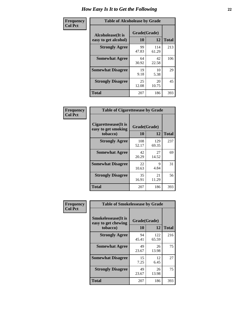| Frequency      |                                                   | <b>Table of Alcoholease by Grade</b> |              |     |  |  |  |  |  |  |  |
|----------------|---------------------------------------------------|--------------------------------------|--------------|-----|--|--|--|--|--|--|--|
| <b>Col Pct</b> | <b>Alcoholease</b> (It is<br>easy to get alcohol) | Grade(Grade)<br>10                   | <b>Total</b> |     |  |  |  |  |  |  |  |
|                | <b>Strongly Agree</b>                             | 99<br>47.83                          | 114<br>61.29 | 213 |  |  |  |  |  |  |  |
|                | <b>Somewhat Agree</b>                             | 64<br>30.92                          | 42<br>22.58  | 106 |  |  |  |  |  |  |  |
|                | <b>Somewhat Disagree</b>                          | 19<br>9.18                           | 10<br>5.38   | 29  |  |  |  |  |  |  |  |
|                | <b>Strongly Disagree</b>                          | 25<br>12.08                          | 20<br>10.75  | 45  |  |  |  |  |  |  |  |
|                | <b>Total</b>                                      | 207                                  | 186          | 393 |  |  |  |  |  |  |  |

| Frequency      | <b>Table of Cigarettesease by Grade</b>                  |                    |              |              |  |  |  |  |
|----------------|----------------------------------------------------------|--------------------|--------------|--------------|--|--|--|--|
| <b>Col Pct</b> | Cigarettesease (It is<br>easy to get smoking<br>tobacco) | Grade(Grade)<br>10 | 12           | <b>Total</b> |  |  |  |  |
|                | <b>Strongly Agree</b>                                    | 108<br>52.17       | 129<br>69.35 | 237          |  |  |  |  |
|                | <b>Somewhat Agree</b>                                    | 42<br>20.29        | 27<br>14.52  | 69           |  |  |  |  |
|                | <b>Somewhat Disagree</b>                                 | 22<br>10.63        | 9<br>4.84    | 31           |  |  |  |  |
|                | <b>Strongly Disagree</b>                                 | 35<br>16.91        | 21<br>11.29  | 56           |  |  |  |  |
|                | <b>Total</b>                                             | 207                | 186          | 393          |  |  |  |  |

| Frequency      | <b>Table of Smokelessease by Grade</b>             |              |              |              |  |  |  |  |  |
|----------------|----------------------------------------------------|--------------|--------------|--------------|--|--|--|--|--|
| <b>Col Pct</b> | <b>Smokelessease</b> (It is<br>easy to get chewing | Grade(Grade) |              |              |  |  |  |  |  |
|                | tobacco)                                           | 10           | 12           | <b>Total</b> |  |  |  |  |  |
|                | <b>Strongly Agree</b>                              | 94<br>45.41  | 122<br>65.59 | 216          |  |  |  |  |  |
|                | <b>Somewhat Agree</b>                              | 49<br>23.67  | 26<br>13.98  | 75           |  |  |  |  |  |
|                | <b>Somewhat Disagree</b>                           | 15<br>7.25   | 12<br>6.45   | 27           |  |  |  |  |  |
|                | <b>Strongly Disagree</b>                           | 49<br>23.67  | 26<br>13.98  | 75           |  |  |  |  |  |
|                | <b>Total</b>                                       | 207          | 186          | 393          |  |  |  |  |  |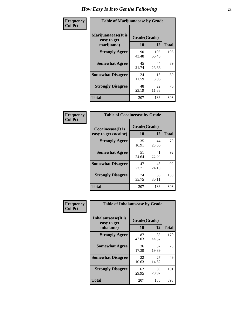| Frequency      | <b>Table of Marijuanaease by Grade</b>           |                    |              |     |  |  |  |  |  |  |  |  |
|----------------|--------------------------------------------------|--------------------|--------------|-----|--|--|--|--|--|--|--|--|
| <b>Col Pct</b> | Marijuanaease(It is<br>easy to get<br>marijuana) | Grade(Grade)<br>10 | <b>Total</b> |     |  |  |  |  |  |  |  |  |
|                | <b>Strongly Agree</b>                            | 90<br>43.48        | 105<br>56.45 | 195 |  |  |  |  |  |  |  |  |
|                | <b>Somewhat Agree</b>                            | 45<br>21.74        | 44<br>23.66  | 89  |  |  |  |  |  |  |  |  |
|                | <b>Somewhat Disagree</b>                         | 24<br>11.59        | 15<br>8.06   | 39  |  |  |  |  |  |  |  |  |
|                | <b>Strongly Disagree</b>                         | 48<br>23.19        | 22<br>11.83  | 70  |  |  |  |  |  |  |  |  |
|                | Total                                            | 207                | 186          | 393 |  |  |  |  |  |  |  |  |

| <b>Table of Cocaineease by Grade</b> |             |              |              |  |  |  |  |  |  |  |  |
|--------------------------------------|-------------|--------------|--------------|--|--|--|--|--|--|--|--|
| <b>Cocaineease</b> (It is            | 10          | Grade(Grade) |              |  |  |  |  |  |  |  |  |
| easy to get cocaine)                 |             | 12           | <b>Total</b> |  |  |  |  |  |  |  |  |
| <b>Strongly Agree</b>                | 35<br>16.91 | 44<br>23.66  | 79           |  |  |  |  |  |  |  |  |
| <b>Somewhat Agree</b>                | 51<br>24.64 | 41<br>22.04  | 92           |  |  |  |  |  |  |  |  |
| <b>Somewhat Disagree</b>             | 47<br>22.71 | 45<br>24.19  | 92           |  |  |  |  |  |  |  |  |
| <b>Strongly Disagree</b>             | 74<br>35.75 | 56<br>30.11  | 130          |  |  |  |  |  |  |  |  |
| <b>Total</b>                         | 207         | 186          | 393          |  |  |  |  |  |  |  |  |

| Frequency      | <b>Table of Inhalantsease by Grade</b>     |              |             |              |
|----------------|--------------------------------------------|--------------|-------------|--------------|
| <b>Col Pct</b> | <b>Inhalantsease</b> (It is<br>easy to get | Grade(Grade) |             |              |
|                | inhalants)                                 | 10           | 12          | <b>Total</b> |
|                | <b>Strongly Agree</b>                      | 87<br>42.03  | 83<br>44.62 | 170          |
|                | <b>Somewhat Agree</b>                      | 36<br>17.39  | 37<br>19.89 | 73           |
|                | <b>Somewhat Disagree</b>                   | 22<br>10.63  | 27<br>14.52 | 49           |
|                | <b>Strongly Disagree</b>                   | 62<br>29.95  | 39<br>20.97 | 101          |
|                | <b>Total</b>                               | 207          | 186         | 393          |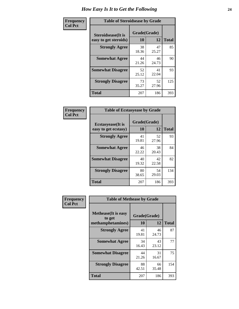| Frequency      | <b>Table of Steroidsease by Grade</b>               |                    |              |     |  |  |  |  |  |  |  |  |
|----------------|-----------------------------------------------------|--------------------|--------------|-----|--|--|--|--|--|--|--|--|
| <b>Col Pct</b> | <b>Steroidsease</b> (It is<br>easy to get steroids) | Grade(Grade)<br>10 | <b>Total</b> |     |  |  |  |  |  |  |  |  |
|                | <b>Strongly Agree</b>                               | 38<br>18.36        | 47<br>25.27  | 85  |  |  |  |  |  |  |  |  |
|                | <b>Somewhat Agree</b>                               | 44<br>21.26        | 46<br>24.73  | 90  |  |  |  |  |  |  |  |  |
|                | <b>Somewhat Disagree</b>                            | 52<br>25.12        | 41<br>22.04  | 93  |  |  |  |  |  |  |  |  |
|                | <b>Strongly Disagree</b>                            | 73<br>35.27        | 52<br>27.96  | 125 |  |  |  |  |  |  |  |  |
|                | <b>Total</b>                                        | 207                | 186          | 393 |  |  |  |  |  |  |  |  |

| Frequency      | <b>Table of Ecstasyease by Grade</b>              |                    |             |              |  |  |  |  |  |  |  |
|----------------|---------------------------------------------------|--------------------|-------------|--------------|--|--|--|--|--|--|--|
| <b>Col Pct</b> | <b>Ecstasyease</b> (It is<br>easy to get ecstasy) | Grade(Grade)<br>10 | 12          | <b>Total</b> |  |  |  |  |  |  |  |
|                | <b>Strongly Agree</b>                             | 41<br>19.81        | 52<br>27.96 | 93           |  |  |  |  |  |  |  |
|                | <b>Somewhat Agree</b>                             | 46<br>22.22        | 38<br>20.43 | 84           |  |  |  |  |  |  |  |
|                | <b>Somewhat Disagree</b>                          | 40<br>19.32        | 42<br>22.58 | 82           |  |  |  |  |  |  |  |
|                | <b>Strongly Disagree</b>                          | 80<br>38.65        | 54<br>29.03 | 134          |  |  |  |  |  |  |  |
|                | Total                                             | 207                | 186         | 393          |  |  |  |  |  |  |  |

| Frequency      | <b>Table of Methease by Grade</b>                          |                    |             |              |
|----------------|------------------------------------------------------------|--------------------|-------------|--------------|
| <b>Col Pct</b> | <b>Methease</b> (It is easy<br>to get<br>methamphetamines) | Grade(Grade)<br>10 | 12          | <b>Total</b> |
|                | <b>Strongly Agree</b>                                      | 41<br>19.81        | 46<br>24.73 | 87           |
|                | <b>Somewhat Agree</b>                                      | 34<br>16.43        | 43<br>23.12 | 77           |
|                | <b>Somewhat Disagree</b>                                   | 44<br>21.26        | 31<br>16.67 | 75           |
|                | <b>Strongly Disagree</b>                                   | 88<br>42.51        | 66<br>35.48 | 154          |
|                | <b>Total</b>                                               | 207                | 186         | 393          |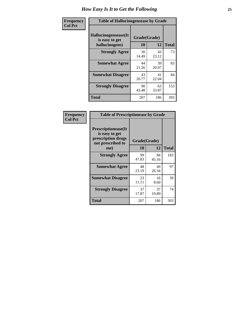| <b>Frequency</b> |                                                           | <b>Table of Hallucinogensease by Grade</b> |             |              |  |  |  |  |  |  |  |  |  |  |
|------------------|-----------------------------------------------------------|--------------------------------------------|-------------|--------------|--|--|--|--|--|--|--|--|--|--|
| <b>Col Pct</b>   | Hallucinogensease(It)<br>is easy to get<br>hallucinogens) | Grade(Grade)<br>10                         | 12          | <b>Total</b> |  |  |  |  |  |  |  |  |  |  |
|                  | <b>Strongly Agree</b>                                     | 30<br>14.49                                | 43<br>23.12 | 73           |  |  |  |  |  |  |  |  |  |  |
|                  | <b>Somewhat Agree</b>                                     | 44<br>21.26                                | 39<br>20.97 | 83           |  |  |  |  |  |  |  |  |  |  |
|                  | <b>Somewhat Disagree</b>                                  | 43<br>20.77                                | 41<br>22.04 | 84           |  |  |  |  |  |  |  |  |  |  |
|                  | <b>Strongly Disagree</b>                                  | 90<br>43.48                                | 63<br>33.87 | 153          |  |  |  |  |  |  |  |  |  |  |
|                  | <b>Total</b>                                              | 207                                        | 186         | 393          |  |  |  |  |  |  |  |  |  |  |

| <b>Table of Prescriptionease by Grade</b>                                                |              |             |              |  |  |  |  |  |  |  |  |  |
|------------------------------------------------------------------------------------------|--------------|-------------|--------------|--|--|--|--|--|--|--|--|--|
| <b>Prescriptionease</b> (It<br>is easy to get<br>prescription drugs<br>not prescribed to | Grade(Grade) |             |              |  |  |  |  |  |  |  |  |  |
| me)                                                                                      | 10           | 12          | <b>Total</b> |  |  |  |  |  |  |  |  |  |
| <b>Strongly Agree</b>                                                                    | 99<br>47.83  | 84<br>45.16 | 183          |  |  |  |  |  |  |  |  |  |
| <b>Somewhat Agree</b>                                                                    | 48<br>23.19  | 49<br>26.34 | 97           |  |  |  |  |  |  |  |  |  |
| <b>Somewhat Disagree</b>                                                                 | 23<br>11.11  | 16<br>8.60  | 39           |  |  |  |  |  |  |  |  |  |
| <b>Strongly Disagree</b>                                                                 | 37<br>17.87  | 37<br>19.89 | 74           |  |  |  |  |  |  |  |  |  |
| Total                                                                                    | 207          | 186         | 393          |  |  |  |  |  |  |  |  |  |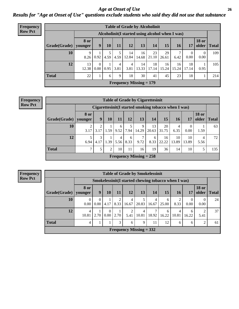*Age at Onset of Use* **26** *Results for "Age at Onset of Use" questions exclude students who said they did not use that substance*

| <b>Frequency</b> | <b>Table of Grade by Alcoholinit</b> |                        |                  |      |           |                        |                                |                                                  |             |             |                  |                       |              |
|------------------|--------------------------------------|------------------------|------------------|------|-----------|------------------------|--------------------------------|--------------------------------------------------|-------------|-------------|------------------|-----------------------|--------------|
| <b>Row Pct</b>   |                                      |                        |                  |      |           |                        |                                | Alcoholinit (I started using alcohol when I was) |             |             |                  |                       |              |
|                  | Grade(Grade)                         | <b>8 or</b><br>younger | 9                | 10   | 11        | 12                     | 13                             | 14                                               | 15          | 16          | 17               | <b>18 or</b><br>older | <b>Total</b> |
|                  | 10                                   | 9<br>8.26              | 0.92             | 4.59 | 4.59      | 14<br>12.84            | 16<br>14.68                    | 23<br>21.10                                      | 29<br>26.61 | 6.42        | $\theta$<br>0.00 | $\theta$<br>0.00      | 109          |
|                  | 12                                   | 13<br>12.38            | $\Omega$<br>0.00 | 0.95 | 4<br>3.81 | $\overline{4}$<br>3.81 | 14<br>13.33                    | 18<br>17.14                                      | 16<br>15.24 | 16<br>15.24 | 18<br>17.14      | 0.95                  | 105          |
|                  | <b>Total</b>                         | 22                     |                  | 6    | 9         | 18                     | 30                             | 41                                               | 45          | 23          | 18               |                       | 214          |
|                  |                                      |                        |                  |      |           |                        | <b>Frequency Missing = 179</b> |                                                  |             |             |                  |                       |              |

| Frequency      | <b>Table of Grade by Cigarettesinit</b> |                        |                                                      |                |           |           |                           |              |                          |             |                  |                       |              |
|----------------|-----------------------------------------|------------------------|------------------------------------------------------|----------------|-----------|-----------|---------------------------|--------------|--------------------------|-------------|------------------|-----------------------|--------------|
| <b>Row Pct</b> |                                         |                        | Cigarettesinit(I started smoking tobacco when I was) |                |           |           |                           |              |                          |             |                  |                       |              |
|                | Grade(Grade)   younger                  | <b>8 or</b>            | 9                                                    | 10             | 11        | 12        | 13                        | 14           | 15                       | 16          | 17               | <b>18 or</b><br>older | <b>Total</b> |
|                | 10                                      | $\overline{2}$<br>3.17 | ∍<br>3.17                                            | 1.59           | 6<br>9.52 | 7.94      | 9<br>14.29                | 13<br> 20.63 | 20<br>31.75              | 6.35        | $\theta$<br>0.00 | 1.59                  | 63           |
|                | 12                                      | 5<br>6.94              | 3<br>4.17                                            | 1.39           | 4<br>5.56 | 6<br>8.33 | $\mathcal{I}$<br>9.72     | 6<br>8.33    | 16 <sup>1</sup><br>22.22 | 10<br>13.89 | 10<br>13.89      | 5.56                  | 72           |
|                | <b>Total</b>                            | $\mathcal{I}$          | 5                                                    | $\overline{2}$ | 10        | 11        | 16                        | 19           | 36                       | 14          | 10               |                       | 135          |
|                |                                         |                        |                                                      |                |           |           | Frequency Missing $= 258$ |              |                          |             |                  |                       |              |

**Frequency Row Pct**

|              | <b>Table of Grade by Smokelessinit</b> |                  |                  |           |                                                     |            |            |            |            |                  |                       |              |  |  |
|--------------|----------------------------------------|------------------|------------------|-----------|-----------------------------------------------------|------------|------------|------------|------------|------------------|-----------------------|--------------|--|--|
|              |                                        |                  |                  |           | Smokelessinit(I started chewing tobacco when I was) |            |            |            |            |                  |                       |              |  |  |
| Grade(Grade) | 8 or<br>younger                        | $\boldsymbol{9}$ | 10               | 11        | 12                                                  | 13         | 14         | 15         | 16         | 17               | <b>18 or</b><br>older | <b>Total</b> |  |  |
| 10           | $\theta$<br>0.00                       | 0<br>0.00        | 4.17             | 2<br>8.33 | 4<br>16.67                                          | 5<br>20.83 | 4<br>16.67 | 6<br>25.00 | 8.33       | $\theta$<br>0.00 | $\Omega$<br>0.00      | 24           |  |  |
| 12           | 4<br>10.81                             | 2.70             | $\Omega$<br>0.00 | 2.70      | 2<br>5.41                                           | 4<br>10.81 | 18.92      | 6<br>16.22 | 4<br>10.81 | 6<br>16.22       | 5.41                  | 37           |  |  |
| <b>Total</b> | 4                                      |                  |                  | 3         | 6                                                   | 9          | 11         | 12         | 6          | 6                | $\overline{c}$        | 61           |  |  |
|              |                                        |                  |                  |           | Frequency Missing $= 332$                           |            |            |            |            |                  |                       |              |  |  |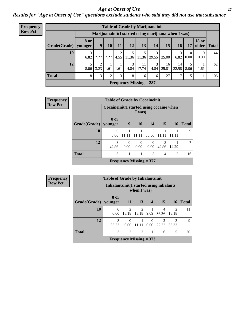### *Age at Onset of Use* **27**

*Results for "Age at Onset of Use" questions exclude students who said they did not use that substance*

| <b>Frequency</b> | <b>Table of Grade by Marijuanainit</b> |                 |                        |      |      |           |                                                      |             |             |             |                  |                       |              |
|------------------|----------------------------------------|-----------------|------------------------|------|------|-----------|------------------------------------------------------|-------------|-------------|-------------|------------------|-----------------------|--------------|
| <b>Row Pct</b>   |                                        |                 |                        |      |      |           | Marijuanainit (I started using marijuana when I was) |             |             |             |                  |                       |              |
|                  | Grade(Grade)                           | 8 or<br>younger | 9                      | 10   | 11   | 12        | 13                                                   | 14          | 15          | 16          | 17               | <b>18 or</b><br>older | <b>Total</b> |
|                  | 10                                     | 3<br>6.82       | 2.27                   | 2.27 | 4.55 | 11.36     | 11.36                                                | 13<br>29.55 | 11<br>25.00 | 3<br>6.82   | $\theta$<br>0.00 | $\Omega$<br>0.00      | 44           |
|                  | 12                                     | 5<br>8.06       | $\overline{2}$<br>3.23 | 1.61 | 1.61 | 3<br>4.84 | 11<br>17.74                                          | 3<br>4.84   | 16<br>25.81 | 14<br>22.58 | 5<br>8.06        | 1.61                  | 62           |
|                  | <b>Total</b>                           | 8               | 3                      | C.   | 3    | 8         | 16                                                   | 16          | 27          | 17          | 5                |                       | 106          |
|                  |                                        |                 |                        |      |      |           | Frequency Missing $= 287$                            |             |             |             |                  |                       |              |

| Frequency      |                        | <b>Table of Grade by Cocaineinit</b>     |                  |                           |            |                |                |              |
|----------------|------------------------|------------------------------------------|------------------|---------------------------|------------|----------------|----------------|--------------|
| <b>Row Pct</b> |                        | Cocaineinit(I started using cocaine when |                  | I was)                    |            |                |                |              |
|                | Grade(Grade)   younger | 8 or                                     | 9                | <b>10</b>                 | 14         | 15             | 16             | <b>Total</b> |
|                | 10                     | 0.00                                     | 11.11            | 11.11                     | 5<br>55.56 | 11.11          | 11.11          | 9            |
|                | 12                     | 3<br>42.86                               | $\Omega$<br>0.00 | $\theta$<br>0.00          | 0.00       | 3<br>42.86     | 14.29          |              |
|                | <b>Total</b>           | 3                                        |                  | 1                         | 5          | $\overline{4}$ | $\overline{2}$ | 16           |
|                |                        |                                          |                  | Frequency Missing $= 377$ |            |                |                |              |

| <b>Frequency</b> |              | <b>Table of Grade by Inhalantsinit</b> |                                                         |                         |                  |            |                         |              |  |  |  |
|------------------|--------------|----------------------------------------|---------------------------------------------------------|-------------------------|------------------|------------|-------------------------|--------------|--|--|--|
| <b>Row Pct</b>   |              |                                        | Inhalantsinit (I started using inhalants<br>when I was) |                         |                  |            |                         |              |  |  |  |
|                  | Grade(Grade) | 8 or<br>vounger                        | <b>11</b>                                               | 13                      | 14               | 15         | <b>16</b>               | <b>Total</b> |  |  |  |
|                  | 10           | 0<br>0.00                              | $\overline{c}$<br>18.18                                 | $\overline{c}$<br>18.18 | 9.09             | 4<br>36.36 | $\overline{2}$<br>18.18 | 11           |  |  |  |
|                  | 12           | 3<br>33.33                             | $\Omega$<br>0.00                                        | 11.11                   | $\Omega$<br>0.00 | 22.22      | 3<br>33.33              | 9            |  |  |  |
|                  | <b>Total</b> | 3                                      | $\overline{2}$                                          | 3                       |                  | 6          | 5                       | 20           |  |  |  |
|                  |              |                                        | <b>Frequency Missing = 373</b>                          |                         |                  |            |                         |              |  |  |  |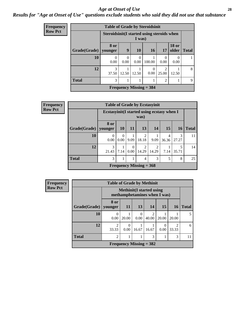#### *Age at Onset of Use* **28**

### *Results for "Age at Onset of Use" questions exclude students who said they did not use that substance*

| <b>Frequency</b> |                        | <b>Table of Grade by Steroidsinit</b>      |           |                  |                           |                         |                       |              |
|------------------|------------------------|--------------------------------------------|-----------|------------------|---------------------------|-------------------------|-----------------------|--------------|
| <b>Row Pct</b>   |                        | Steroidsinit(I started using steroids when |           | I was)           |                           |                         |                       |              |
|                  | Grade(Grade)   younger | 8 or                                       | 9         | <b>10</b>        | 16                        | 17                      | <b>18 or</b><br>older | <b>Total</b> |
|                  | 10                     | $\Omega$<br>0.00                           | 0<br>0.00 | $\Omega$<br>0.00 | 100.00                    | $\Omega$<br>0.00        | 0.00                  |              |
|                  | 12                     | 3<br>37.50                                 | 12.50     | 12.50            | $\Omega$<br>0.00          | $\overline{2}$<br>25.00 | 12.50                 | 8            |
|                  | <b>Total</b>           | 3                                          |           |                  |                           | $\overline{2}$          |                       | 9            |
|                  |                        |                                            |           |                  | Frequency Missing $=$ 384 |                         |                       |              |

| Frequency      |              |                  |                                                     |                  | <b>Table of Grade by Ecstasyinit</b> |                        |            |            |              |  |
|----------------|--------------|------------------|-----------------------------------------------------|------------------|--------------------------------------|------------------------|------------|------------|--------------|--|
| <b>Row Pct</b> |              |                  | Ecstasyinit (I started using ecstasy when I<br>was) |                  |                                      |                        |            |            |              |  |
|                | Grade(Grade) | 8 or<br>younger  | 10 <sup>1</sup>                                     | <b>11</b>        | 13                                   | 14                     | 15         | <b>16</b>  | <b>Total</b> |  |
|                | 10           | $\theta$<br>0.00 | $\Omega$<br>0.00 <sub>l</sub>                       | 9.09             | $\mathfrak{D}$<br>18.18              | 9.09                   | 4<br>36.36 | 3<br>27.27 | 11           |  |
|                | 12           | 3<br>21.43       | 7.14                                                | $\Omega$<br>0.00 | ာ<br>14.29                           | $\mathcal{D}$<br>14.29 | 7.14       | 35.71      | 14           |  |
|                | <b>Total</b> | 3                |                                                     |                  | 4                                    | 3                      | 5          | 8          | 25           |  |
|                |              |                  |                                                     |                  | Frequency Missing $=$ 368            |                        |            |            |              |  |

| Frequency      | <b>Table of Grade by Methinit</b> |                                                                 |           |                           |                         |           |                         |              |
|----------------|-----------------------------------|-----------------------------------------------------------------|-----------|---------------------------|-------------------------|-----------|-------------------------|--------------|
| <b>Row Pct</b> |                                   | <b>Methinit(I started using</b><br>methamphetamines when I was) |           |                           |                         |           |                         |              |
|                | Grade(Grade)                      | 8 or<br>younger                                                 | <b>11</b> | 13                        | <b>14</b>               | 15        | <b>16</b>               | <b>Total</b> |
|                | 10                                | 0<br>0.00                                                       | 20.00     | $\theta$<br>0.00          | $\mathfrak{D}$<br>40.00 | 20.00     | 20.00                   |              |
|                | 12                                | $\mathfrak{D}$<br>33.33                                         | 0<br>0.00 | 16.67                     | 16.67                   | 0<br>0.00 | $\mathfrak{D}$<br>33.33 | 6            |
|                | <b>Total</b>                      | 2                                                               |           |                           | 3                       |           | 3                       | 11           |
|                |                                   |                                                                 |           | Frequency Missing $=$ 382 |                         |           |                         |              |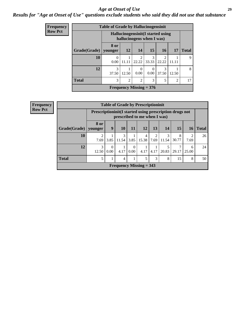### *Age at Onset of Use* **29**

### *Results for "Age at Onset of Use" questions exclude students who said they did not use that substance*

| Frequency      |              | <b>Table of Grade by Hallucinogensinit</b> |                                                                 |                                |                  |                         |                |              |  |  |
|----------------|--------------|--------------------------------------------|-----------------------------------------------------------------|--------------------------------|------------------|-------------------------|----------------|--------------|--|--|
| <b>Row Pct</b> |              |                                            | Hallucinogensinit (I started using<br>hallucinogens when I was) |                                |                  |                         |                |              |  |  |
|                | Grade(Grade) | 8 or<br>younger                            | 12                                                              | 14                             | 15               | 16                      | 17             | <b>Total</b> |  |  |
|                | 10           | $\Omega$<br>0.00                           | 11.11                                                           | $\overline{c}$<br>22.22        | 3<br>33.33       | $\mathfrak{D}$<br>22.22 | 11.11          | 9            |  |  |
|                | 12           | 3<br>37.50                                 | 12.50                                                           | $\Omega$<br>0.00               | $\theta$<br>0.00 | 3<br>37.50              | 12.50          | 8            |  |  |
|                | <b>Total</b> | 3                                          | $\overline{2}$                                                  | $\overline{2}$                 | 3                | 5                       | $\overline{2}$ | 17           |  |  |
|                |              |                                            |                                                                 | <b>Frequency Missing = 376</b> |                  |                         |                |              |  |  |

| <b>Frequency</b>          | <b>Table of Grade by Prescriptioninit</b> |                 |                                                                                         |            |                  |            |      |            |            |            |              |  |
|---------------------------|-------------------------------------------|-----------------|-----------------------------------------------------------------------------------------|------------|------------------|------------|------|------------|------------|------------|--------------|--|
| <b>Row Pct</b>            |                                           |                 | Prescriptioninit(I started using prescription drugs not<br>prescribed to me when I was) |            |                  |            |      |            |            |            |              |  |
|                           | Grade(Grade)                              | 8 or<br>younger | 9                                                                                       | 10         | 11               | 12         | 13   | 14         | 15         | 16         | <b>Total</b> |  |
|                           | 10                                        | 7.69            | 3.85                                                                                    | 3<br>11.54 | 3.85             | 4<br>15.38 | 7.69 | 3<br>11.54 | 8<br>30.77 | 2<br>7.69  | 26           |  |
|                           | 12                                        | 3<br>12.50      | $\theta$<br>0.00                                                                        | 4.17       | $\Omega$<br>0.00 | 4.17       | 4.17 | 5<br>20.83 | 29.17      | 6<br>25.00 | 24           |  |
|                           | <b>Total</b>                              | 5               |                                                                                         | 4          |                  | 5          | 3    | 8          | 15         | 8          | 50           |  |
| Frequency Missing $=$ 343 |                                           |                 |                                                                                         |            |                  |            |      |            |            |            |              |  |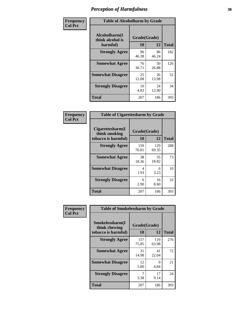| Frequency      | <b>Table of Alcoholharm by Grade</b>          |                    |             |              |  |  |  |
|----------------|-----------------------------------------------|--------------------|-------------|--------------|--|--|--|
| <b>Col Pct</b> | Alcoholharm(I<br>think alcohol is<br>harmful) | Grade(Grade)<br>10 | 12          | <b>Total</b> |  |  |  |
|                | <b>Strongly Agree</b>                         | 96<br>46.38        | 86<br>46.24 | 182          |  |  |  |
|                | <b>Somewhat Agree</b>                         | 76<br>36.71        | 50<br>26.88 | 126          |  |  |  |
|                | <b>Somewhat Disagree</b>                      | 25<br>12.08        | 26<br>13.98 | 51           |  |  |  |
|                | <b>Strongly Disagree</b>                      | 10<br>4.83         | 24<br>12.90 | 34           |  |  |  |
|                | <b>Total</b>                                  | 207                | 186         | 393          |  |  |  |

| <b>Table of Cigarettesharm by Grade</b>                  |                    |              |              |  |  |  |  |  |
|----------------------------------------------------------|--------------------|--------------|--------------|--|--|--|--|--|
| Cigarettesharm(I<br>think smoking<br>tobacco is harmful) | Grade(Grade)<br>10 | 12           | <b>Total</b> |  |  |  |  |  |
| <b>Strongly Agree</b>                                    | 159<br>76.81       | 129<br>69.35 | 288          |  |  |  |  |  |
| <b>Somewhat Agree</b>                                    | 38<br>18.36        | 35<br>18.82  | 73           |  |  |  |  |  |
| <b>Somewhat Disagree</b>                                 | 4<br>1.93          | 6<br>3.23    | 10           |  |  |  |  |  |
| <b>Strongly Disagree</b>                                 | 6<br>2.90          | 16<br>8.60   | 22           |  |  |  |  |  |
| <b>Total</b>                                             | 207                | 186          | 393          |  |  |  |  |  |

| Frequency      | <b>Table of Smokelessharm by Grade</b>                  |                    |              |              |
|----------------|---------------------------------------------------------|--------------------|--------------|--------------|
| <b>Col Pct</b> | Smokelessharm(I<br>think chewing<br>tobacco is harmful) | Grade(Grade)<br>10 | 12           | <b>Total</b> |
|                | <b>Strongly Agree</b>                                   | 157<br>75.85       | 119<br>63.98 | 276          |
|                | <b>Somewhat Agree</b>                                   | 31<br>14.98        | 41<br>22.04  | 72           |
|                | <b>Somewhat Disagree</b>                                | 12<br>5.80         | 9<br>4.84    | 21           |
|                | <b>Strongly Disagree</b>                                | 7<br>3.38          | 17<br>9.14   | 24           |
|                | <b>Total</b>                                            | 207                | 186          | 393          |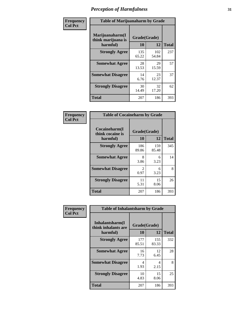| Frequency      | <b>Table of Marijuanaharm by Grade</b>            |                    |              |              |  |  |  |  |
|----------------|---------------------------------------------------|--------------------|--------------|--------------|--|--|--|--|
| <b>Col Pct</b> | Marijuanaharm(I<br>think marijuana is<br>harmful) | Grade(Grade)<br>10 | 12           | <b>Total</b> |  |  |  |  |
|                | <b>Strongly Agree</b>                             | 135<br>65.22       | 102<br>54.84 | 237          |  |  |  |  |
|                | <b>Somewhat Agree</b>                             | 28<br>13.53        | 29<br>15.59  | 57           |  |  |  |  |
|                | <b>Somewhat Disagree</b>                          | 14<br>6.76         | 23<br>12.37  | 37           |  |  |  |  |
|                | <b>Strongly Disagree</b>                          | 30<br>14.49        | 32<br>17.20  | 62           |  |  |  |  |
|                | <b>Total</b>                                      | 207                | 186          | 393          |  |  |  |  |

| <b>Table of Cocaineharm by Grade</b>          |                    |              |     |  |  |  |  |  |
|-----------------------------------------------|--------------------|--------------|-----|--|--|--|--|--|
| Cocaineharm(I<br>think cocaine is<br>harmful) | Grade(Grade)<br>10 | <b>Total</b> |     |  |  |  |  |  |
| <b>Strongly Agree</b>                         | 186<br>89.86       | 159<br>85.48 | 345 |  |  |  |  |  |
| <b>Somewhat Agree</b>                         | 8<br>3.86          | 6<br>3.23    | 14  |  |  |  |  |  |
| <b>Somewhat Disagree</b>                      | 2<br>0.97          | 6<br>3.23    | 8   |  |  |  |  |  |
| <b>Strongly Disagree</b>                      | 11<br>5.31         | 15<br>8.06   | 26  |  |  |  |  |  |
| Total                                         | 207                | 186          | 393 |  |  |  |  |  |

| Frequency      | <b>Table of Inhalantsharm by Grade</b>             |                    |              |              |
|----------------|----------------------------------------------------|--------------------|--------------|--------------|
| <b>Col Pct</b> | Inhalantsharm(I<br>think inhalants are<br>harmful) | Grade(Grade)<br>10 | 12           | <b>Total</b> |
|                | <b>Strongly Agree</b>                              | 177<br>85.51       | 155<br>83.33 | 332          |
|                | <b>Somewhat Agree</b>                              | 16<br>7.73         | 12<br>6.45   | 28           |
|                | <b>Somewhat Disagree</b>                           | 4<br>1.93          | 4<br>2.15    | 8            |
|                | <b>Strongly Disagree</b>                           | 10<br>4.83         | 15<br>8.06   | 25           |
|                | Total                                              | 207                | 186          | 393          |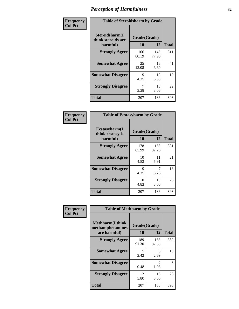| Frequency      | <b>Table of Steroidsharm by Grade</b>            |                    |              |              |
|----------------|--------------------------------------------------|--------------------|--------------|--------------|
| <b>Col Pct</b> | Steroidsharm(I<br>think steroids are<br>harmful) | Grade(Grade)<br>10 | 12           | <b>Total</b> |
|                | <b>Strongly Agree</b>                            | 166<br>80.19       | 145<br>77.96 | 311          |
|                | <b>Somewhat Agree</b>                            | 25<br>12.08        | 16<br>8.60   | 41           |
|                | <b>Somewhat Disagree</b>                         | 9<br>4.35          | 10<br>5.38   | 19           |
|                | <b>Strongly Disagree</b>                         | 3.38               | 15<br>8.06   | 22           |
|                | <b>Total</b>                                     | 207                | 186          | 393          |

| <b>Table of Ecstasyharm by Grade</b>          |                    |              |              |  |  |
|-----------------------------------------------|--------------------|--------------|--------------|--|--|
| Ecstasyharm(I<br>think ecstasy is<br>harmful) | Grade(Grade)<br>10 | 12           | <b>Total</b> |  |  |
| <b>Strongly Agree</b>                         | 178<br>85.99       | 153<br>82.26 | 331          |  |  |
| <b>Somewhat Agree</b>                         | 10<br>4.83         | 11<br>5.91   | 21           |  |  |
| <b>Somewhat Disagree</b>                      | 9<br>4.35          | 7<br>3.76    | 16           |  |  |
| <b>Strongly Disagree</b>                      | 10<br>4.83         | 15<br>8.06   | 25           |  |  |
| Total                                         | 207                | 186          | 393          |  |  |

| Frequency      | <b>Table of Methharm by Grade</b>                            |                           |                       |              |
|----------------|--------------------------------------------------------------|---------------------------|-----------------------|--------------|
| <b>Col Pct</b> | <b>Methharm</b> (I think<br>methamphetamines<br>are harmful) | Grade(Grade)<br><b>10</b> | 12                    | <b>Total</b> |
|                | <b>Strongly Agree</b>                                        | 189<br>91.30              | 163<br>87.63          | 352          |
|                | <b>Somewhat Agree</b>                                        | 5<br>2.42                 | 5<br>2.69             | 10           |
|                | <b>Somewhat Disagree</b>                                     | 0.48                      | $\mathcal{L}$<br>1.08 | 3            |
|                | <b>Strongly Disagree</b>                                     | 12<br>5.80                | 16<br>8.60            | 28           |
|                | Total                                                        | 207                       | 186                   | 393          |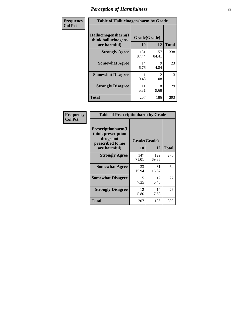| Frequency      | <b>Table of Hallucinogensharm by Grade</b>                 |                    |                       |              |
|----------------|------------------------------------------------------------|--------------------|-----------------------|--------------|
| <b>Col Pct</b> | Hallucinogensharm(I<br>think hallucinogens<br>are harmful) | Grade(Grade)<br>10 | 12                    | <b>Total</b> |
|                | <b>Strongly Agree</b>                                      | 181<br>87.44       | 157<br>84.41          | 338          |
|                | <b>Somewhat Agree</b>                                      | 14<br>6.76         | 9<br>4.84             | 23           |
|                | <b>Somewhat Disagree</b>                                   | 0.48               | $\mathcal{L}$<br>1.08 | 3            |
|                | <b>Strongly Disagree</b>                                   | 11<br>5.31         | 18<br>9.68            | 29           |
|                | <b>Total</b>                                               | 207                | 186                   | 393          |

| <b>Table of Prescriptionharm by Grade</b>                                         |              |              |              |  |
|-----------------------------------------------------------------------------------|--------------|--------------|--------------|--|
| <b>Prescriptionharm(I)</b><br>think prescription<br>drugs not<br>prescribed to me | Grade(Grade) |              |              |  |
| are harmful)                                                                      | 10           | 12           | <b>Total</b> |  |
| <b>Strongly Agree</b>                                                             | 147<br>71.01 | 129<br>69.35 | 276          |  |
| <b>Somewhat Agree</b>                                                             | 33<br>15.94  | 31<br>16.67  | 64           |  |
| <b>Somewhat Disagree</b>                                                          | 15<br>7.25   | 12<br>6.45   | 27           |  |
| <b>Strongly Disagree</b>                                                          | 12<br>5.80   | 14<br>7.53   | 26           |  |
| Total                                                                             | 207          | 186          | 393          |  |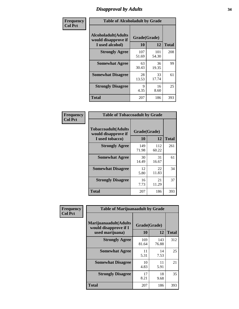# *Disapproval by Adults* **34**

| Frequency      | <b>Table of Alcoholadult by Grade</b>                                 |                    |              |              |
|----------------|-----------------------------------------------------------------------|--------------------|--------------|--------------|
| <b>Col Pct</b> | <b>Alcoholadult</b> (Adults<br>would disapprove if<br>I used alcohol) | Grade(Grade)<br>10 | 12           | <b>Total</b> |
|                | <b>Strongly Agree</b>                                                 | 107<br>51.69       | 101<br>54.30 | 208          |
|                | <b>Somewhat Agree</b>                                                 | 63<br>30.43        | 36<br>19.35  | 99           |
|                | <b>Somewhat Disagree</b>                                              | 28<br>13.53        | 33<br>17.74  | 61           |
|                | <b>Strongly Disagree</b>                                              | 9<br>4.35          | 16<br>8.60   | 25           |
|                | <b>Total</b>                                                          | 207                | 186          | 393          |

| <b>Table of Tobaccoadult by Grade</b>                                |                    |              |              |  |  |
|----------------------------------------------------------------------|--------------------|--------------|--------------|--|--|
| <b>Tobaccoadult(Adults</b><br>would disapprove if<br>I used tobacco) | Grade(Grade)<br>10 | 12           | <b>Total</b> |  |  |
| <b>Strongly Agree</b>                                                | 149<br>71.98       | 112<br>60.22 | 261          |  |  |
| <b>Somewhat Agree</b>                                                | 30<br>14.49        | 31<br>16.67  | 61           |  |  |
| <b>Somewhat Disagree</b>                                             | 12<br>5.80         | 22<br>11.83  | 34           |  |  |
| <b>Strongly Disagree</b>                                             | 16<br>7.73         | 21<br>11.29  | 37           |  |  |
| <b>Total</b>                                                         | 207                | 186          | 393          |  |  |

| Frequency<br><b>Col Pct</b> | <b>Table of Marijuanaadult by Grade</b>                           |                    |              |              |
|-----------------------------|-------------------------------------------------------------------|--------------------|--------------|--------------|
|                             | Marijuanaadult(Adults<br>would disapprove if I<br>used marijuana) | Grade(Grade)<br>10 | 12           | <b>Total</b> |
|                             | <b>Strongly Agree</b>                                             | 169<br>81.64       | 143<br>76.88 | 312          |
|                             | <b>Somewhat Agree</b>                                             | 11<br>5.31         | 14<br>7.53   | 25           |
|                             | <b>Somewhat Disagree</b>                                          | 10<br>4.83         | 11<br>5.91   | 21           |
|                             | <b>Strongly Disagree</b>                                          | 17<br>8.21         | 18<br>9.68   | 35           |
|                             | <b>Total</b>                                                      | 207                | 186          | 393          |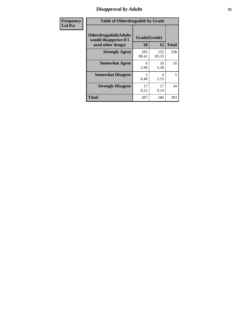# *Disapproval by Adults* **35**

| <b>Frequency</b> | <b>Table of Otherdrugadult by Grade</b>                                     |                    |              |              |
|------------------|-----------------------------------------------------------------------------|--------------------|--------------|--------------|
| <b>Col Pct</b>   | <b>Otherdrugadult</b> (Adults<br>would disapprove if I<br>used other drugs) | Grade(Grade)<br>10 | 12           | <b>Total</b> |
|                  | <b>Strongly Agree</b>                                                       | 183<br>88.41       | 155<br>83.33 | 338          |
|                  | <b>Somewhat Agree</b>                                                       | 6<br>2.90          | 10<br>5.38   | 16           |
|                  | <b>Somewhat Disagree</b>                                                    | 0.48               | 4<br>2.15    | 5            |
|                  | <b>Strongly Disagree</b>                                                    | 17<br>8.21         | 17<br>9.14   | 34           |
|                  | <b>Total</b>                                                                | 207                | 186          | 393          |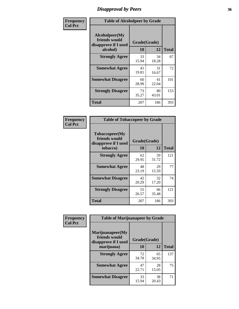# *Disapproval by Peers* **36**

| Frequency      | <b>Table of Alcoholpeer by Grade</b>                    |              |             |              |
|----------------|---------------------------------------------------------|--------------|-------------|--------------|
| <b>Col Pct</b> | Alcoholpeer(My<br>friends would<br>disapprove if I used | Grade(Grade) |             |              |
|                | alcohol)                                                | 10           | 12          | <b>Total</b> |
|                | <b>Strongly Agree</b>                                   | 33<br>15.94  | 34<br>18.28 | 67           |
|                | <b>Somewhat Agree</b>                                   | 41<br>19.81  | 31<br>16.67 | 72           |
|                | <b>Somewhat Disagree</b>                                | 60<br>28.99  | 41<br>22.04 | 101          |
|                | <b>Strongly Disagree</b>                                | 73<br>35.27  | 80<br>43.01 | 153          |
|                | Total                                                   | 207          | 186         | 393          |

| Frequency      | <b>Table of Tobaccopeer by Grade</b>                                |                    |             |              |
|----------------|---------------------------------------------------------------------|--------------------|-------------|--------------|
| <b>Col Pct</b> | Tobaccopeer(My<br>friends would<br>disapprove if I used<br>tobacco) | Grade(Grade)<br>10 | 12          | <b>Total</b> |
|                | <b>Strongly Agree</b>                                               | 62<br>29.95        | 59<br>31.72 | 121          |
|                | <b>Somewhat Agree</b>                                               | 48<br>23.19        | 29<br>15.59 | 77           |
|                | <b>Somewhat Disagree</b>                                            | 42<br>20.29        | 32<br>17.20 | 74           |
|                | <b>Strongly Disagree</b>                                            | 55<br>26.57        | 66<br>35.48 | 121          |
|                | Total                                                               | 207                | 186         | 393          |

| Frequency      | <b>Table of Marijuanapeer by Grade</b>                    |              |             |              |
|----------------|-----------------------------------------------------------|--------------|-------------|--------------|
| <b>Col Pct</b> | Marijuanapeer(My<br>friends would<br>disapprove if I used | Grade(Grade) |             |              |
|                | marijuana)                                                | 10           | 12          | <b>Total</b> |
|                | <b>Strongly Agree</b>                                     | 72<br>34.78  | 65<br>34.95 | 137          |
|                | <b>Somewhat Agree</b>                                     | 47<br>22.71  | 28<br>15.05 | 75           |
|                | <b>Somewhat Disagree</b>                                  | 33<br>15.94  | 38<br>20.43 | 71           |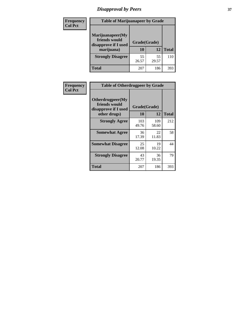# *Disapproval by Peers* **37**

| Frequency<br><b>Col Pct</b> | <b>Table of Marijuanapeer by Grade</b>                                  |                    |             |              |
|-----------------------------|-------------------------------------------------------------------------|--------------------|-------------|--------------|
|                             | Marijuanapeer(My<br>friends would<br>disapprove if I used<br>marijuana) | Grade(Grade)<br>10 | 12          | <b>Total</b> |
|                             | <b>Strongly Disagree</b>                                                | 55<br>26.57        | 55<br>29.57 | 110          |
|                             | Total                                                                   | 207                | 186         | 393          |

| Frequency      | <b>Table of Otherdrugpeer by Grade</b>                                    |                    |              |              |
|----------------|---------------------------------------------------------------------------|--------------------|--------------|--------------|
| <b>Col Pct</b> | Otherdrugpeer(My<br>friends would<br>disapprove if I used<br>other drugs) | Grade(Grade)<br>10 | 12           | <b>Total</b> |
|                | <b>Strongly Agree</b>                                                     | 103<br>49.76       | 109<br>58.60 | 212          |
|                | <b>Somewhat Agree</b>                                                     | 36<br>17.39        | 22<br>11.83  | 58           |
|                | <b>Somewhat Disagree</b>                                                  | 25<br>12.08        | 19<br>10.22  | 44           |
|                | <b>Strongly Disagree</b>                                                  | 43<br>20.77        | 36<br>19.35  | 79           |
|                | <b>Total</b>                                                              | 207                | 186          | 393          |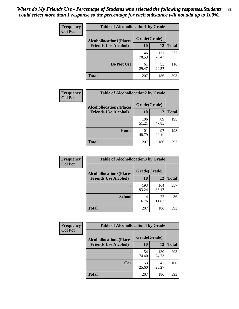| Frequency<br><b>Col Pct</b> | <b>Table of Alcohollocation1 by Grade</b> |              |              |              |
|-----------------------------|-------------------------------------------|--------------|--------------|--------------|
|                             | <b>Alcohollocation1(Places</b>            | Grade(Grade) |              |              |
|                             | <b>Friends Use Alcohol)</b>               | 10           | 12           | <b>Total</b> |
|                             |                                           | 146<br>70.53 | 131<br>70.43 | 277          |
|                             | Do Not Use                                | 61<br>29.47  | 55<br>29.57  | 116          |
|                             | <b>Total</b>                              | 207          | 186          | 393          |

| Frequency      | <b>Table of Alcohollocation2 by Grade</b>                     |                    |             |              |
|----------------|---------------------------------------------------------------|--------------------|-------------|--------------|
| <b>Col Pct</b> | <b>Alcohollocation2(Places</b><br><b>Friends Use Alcohol)</b> | Grade(Grade)<br>10 | <b>12</b>   | <b>Total</b> |
|                |                                                               | 106<br>51.21       | 89<br>47.85 | 195          |
|                | Home                                                          | 101<br>48.79       | 97<br>52.15 | 198          |
|                | <b>Total</b>                                                  | 207                | 186         | 393          |

| Frequency<br><b>Col Pct</b> | <b>Table of Alcohollocation 3 by Grade</b> |              |              |              |
|-----------------------------|--------------------------------------------|--------------|--------------|--------------|
|                             | <b>Alcohollocation3(Places</b>             | Grade(Grade) |              |              |
|                             | <b>Friends Use Alcohol)</b>                | 10           | 12           | <b>Total</b> |
|                             |                                            | 193<br>93.24 | 164<br>88.17 | 357          |
|                             | <b>School</b>                              | 14<br>6.76   | 22<br>11.83  | 36           |
|                             | <b>Total</b>                               | 207          | 186          | 393          |

| <b>Frequency</b> | <b>Table of Alcohollocation4 by Grade</b> |              |              |              |
|------------------|-------------------------------------------|--------------|--------------|--------------|
| <b>Col Pct</b>   | <b>Alcohollocation4(Places</b>            | Grade(Grade) |              |              |
|                  | <b>Friends Use Alcohol)</b>               | 10           | 12           | <b>Total</b> |
|                  |                                           | 154<br>74.40 | 139<br>74.73 | 293          |
|                  | Car                                       | 53<br>25.60  | 47<br>25.27  | 100          |
|                  | <b>Total</b>                              | 207          | 186          | 393          |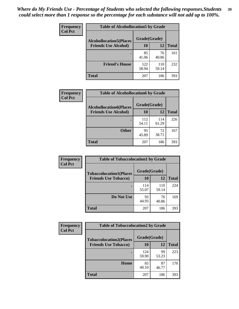| Frequency<br><b>Col Pct</b> | <b>Table of Alcohollocation5 by Grade</b>      |              |              |              |  |
|-----------------------------|------------------------------------------------|--------------|--------------|--------------|--|
|                             | Grade(Grade)<br><b>Alcohollocation5(Places</b> |              |              |              |  |
|                             | <b>Friends Use Alcohol)</b>                    | 10           | 12           | <b>Total</b> |  |
|                             |                                                | 85<br>41.06  | 76<br>40.86  | 161          |  |
|                             | <b>Friend's House</b>                          | 122<br>58.94 | 110<br>59.14 | 232          |  |
|                             | <b>Total</b>                                   | 207          | 186          | 393          |  |

| Frequency      | <b>Table of Alcohollocation6 by Grade</b>                     |                           |              |              |
|----------------|---------------------------------------------------------------|---------------------------|--------------|--------------|
| <b>Col Pct</b> | <b>Alcohollocation6(Places</b><br><b>Friends Use Alcohol)</b> | Grade(Grade)<br><b>10</b> | <b>12</b>    | <b>Total</b> |
|                |                                                               | 112<br>54.11              | 114<br>61.29 | 226          |
|                | <b>Other</b>                                                  | 95<br>45.89               | 72<br>38.71  | 167          |
|                | Total                                                         | 207                       | 186          | 393          |

| Frequency      | <b>Table of Tobaccolocation1 by Grade</b> |              |              |              |
|----------------|-------------------------------------------|--------------|--------------|--------------|
| <b>Col Pct</b> | <b>Tobaccolocation1(Places</b>            | Grade(Grade) |              |              |
|                | <b>Friends Use Tobacco)</b>               | 10           | <b>12</b>    | <b>Total</b> |
|                |                                           | 114<br>55.07 | 110<br>59.14 | 224          |
|                | Do Not Use                                | 93<br>44.93  | 76<br>40.86  | 169          |
|                | <b>Total</b>                              | 207          | 186          | 393          |

| Frequency      | <b>Table of Tobaccolocation2 by Grade</b> |              |             |              |  |
|----------------|-------------------------------------------|--------------|-------------|--------------|--|
| <b>Col Pct</b> | <b>Tobaccolocation2(Places</b>            | Grade(Grade) |             |              |  |
|                | <b>Friends Use Tobacco)</b>               | 10           | 12          | <b>Total</b> |  |
|                |                                           | 124<br>59.90 | 99<br>53.23 | 223          |  |
|                | Home                                      | 83<br>40.10  | 87<br>46.77 | 170          |  |
|                | <b>Total</b>                              | 207          | 186         | 393          |  |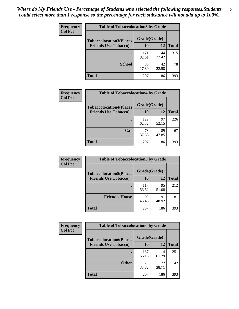| Frequency      | <b>Table of Tobaccolocation 3 by Grade</b> |              |              |              |
|----------------|--------------------------------------------|--------------|--------------|--------------|
| <b>Col Pct</b> | <b>Tobaccolocation3(Places</b>             | Grade(Grade) |              |              |
|                | <b>Friends Use Tobacco)</b>                | 10           | 12           | <b>Total</b> |
|                |                                            | 171<br>82.61 | 144<br>77.42 | 315          |
|                | <b>School</b>                              | 36<br>17.39  | 42<br>22.58  | 78           |
|                | <b>Total</b>                               | 207          | 186          | 393          |

| Frequency      | <b>Table of Tobaccolocation4 by Grade</b>                     |                    |             |              |
|----------------|---------------------------------------------------------------|--------------------|-------------|--------------|
| <b>Col Pct</b> | <b>Tobaccolocation4(Places</b><br><b>Friends Use Tobacco)</b> | Grade(Grade)<br>10 | 12          | <b>Total</b> |
|                |                                                               | 129<br>62.32       | 97<br>52.15 | 226          |
|                | Car                                                           | 78<br>37.68        | 89<br>47.85 | 167          |
|                | <b>Total</b>                                                  | 207                | 186         | 393          |

| Frequency      | <b>Table of Tobaccolocation5 by Grade</b>                     |                    |             |              |
|----------------|---------------------------------------------------------------|--------------------|-------------|--------------|
| <b>Col Pct</b> | <b>Tobaccolocation5(Places</b><br><b>Friends Use Tobacco)</b> | Grade(Grade)<br>10 | 12          | <b>Total</b> |
|                |                                                               | 117<br>56.52       | 95<br>51.08 | 212          |
|                | <b>Friend's House</b>                                         | 90<br>43.48        | 91<br>48.92 | 181          |
|                | <b>Total</b>                                                  | 207                | 186         | 393          |

| <b>Frequency</b> | <b>Table of Tobaccolocation6 by Grade</b> |              |              |              |  |  |
|------------------|-------------------------------------------|--------------|--------------|--------------|--|--|
| <b>Col Pct</b>   | <b>Tobaccolocation6(Places</b>            | Grade(Grade) |              |              |  |  |
|                  | <b>Friends Use Tobacco)</b>               | 10           | 12           | <b>Total</b> |  |  |
|                  |                                           | 137<br>66.18 | 114<br>61.29 | 251          |  |  |
|                  | <b>Other</b>                              | 70<br>33.82  | 72<br>38.71  | 142          |  |  |
|                  | <b>Total</b>                              | 207          | 186          | 393          |  |  |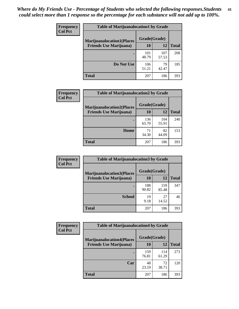| Frequency      | <b>Table of Marijuanalocation1 by Grade</b> |              |              |              |
|----------------|---------------------------------------------|--------------|--------------|--------------|
| <b>Col Pct</b> | <b>Marijuanalocation1(Places</b>            | Grade(Grade) |              |              |
|                | <b>Friends Use Marijuana</b> )              | <b>10</b>    | 12           | <b>Total</b> |
|                |                                             | 101<br>48.79 | 107<br>57.53 | 208          |
|                | Do Not Use                                  | 106<br>51.21 | 79<br>42.47  | 185          |
|                | <b>Total</b>                                | 207          | 186          | 393          |

| <b>Frequency</b> | <b>Table of Marijuanalocation2 by Grade</b>                        |                    |              |              |
|------------------|--------------------------------------------------------------------|--------------------|--------------|--------------|
| <b>Col Pct</b>   | <b>Marijuanalocation2(Places</b><br><b>Friends Use Marijuana</b> ) | Grade(Grade)<br>10 | 12           | <b>Total</b> |
|                  |                                                                    | 136<br>65.70       | 104<br>55.91 | 240          |
|                  | <b>Home</b>                                                        | 71<br>34.30        | 82<br>44.09  | 153          |
|                  | <b>Total</b>                                                       | 207                | 186          | 393          |

| Frequency<br><b>Col Pct</b> | <b>Table of Marijuanalocation3 by Grade</b> |              |              |              |
|-----------------------------|---------------------------------------------|--------------|--------------|--------------|
|                             | <b>Marijuanalocation3(Places</b>            | Grade(Grade) |              |              |
|                             | <b>Friends Use Marijuana</b> )              | 10           | 12           | <b>Total</b> |
|                             |                                             | 188<br>90.82 | 159<br>85.48 | 347          |
|                             | <b>School</b>                               | 19<br>9.18   | 27<br>14.52  | 46           |
|                             | <b>Total</b>                                | 207          | 186          | 393          |

| <b>Frequency</b> | <b>Table of Marijuanalocation4 by Grade</b> |              |              |              |  |
|------------------|---------------------------------------------|--------------|--------------|--------------|--|
| <b>Col Pct</b>   | <b>Marijuanalocation4(Places</b>            | Grade(Grade) |              |              |  |
|                  | <b>Friends Use Marijuana</b> )              | <b>10</b>    | 12           | <b>Total</b> |  |
|                  |                                             | 159<br>76.81 | 114<br>61.29 | 273          |  |
|                  | Car                                         | 48<br>23.19  | 72<br>38.71  | 120          |  |
|                  | <b>Total</b>                                | 207          | 186          | 393          |  |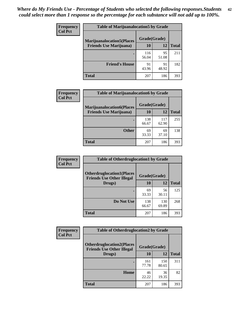| <b>Frequency</b> | <b>Table of Marijuanalocation5 by Grade</b>                         |              |             |              |
|------------------|---------------------------------------------------------------------|--------------|-------------|--------------|
| <b>Col Pct</b>   | <b>Marijuanalocation5</b> (Places<br><b>Friends Use Marijuana</b> ) | Grade(Grade) |             |              |
|                  |                                                                     | 10           | 12          | <b>Total</b> |
|                  |                                                                     | 116<br>56.04 | 95<br>51.08 | 211          |
|                  | <b>Friend's House</b>                                               | 91<br>43.96  | 91<br>48.92 | 182          |
|                  | <b>Total</b>                                                        | 207          | 186         | 393          |

| <b>Frequency</b><br><b>Col Pct</b> | <b>Table of Marijuanalocation6 by Grade</b>                        |                    |              |              |
|------------------------------------|--------------------------------------------------------------------|--------------------|--------------|--------------|
|                                    | <b>Marijuanalocation6(Places</b><br><b>Friends Use Marijuana</b> ) | Grade(Grade)<br>10 | 12           | <b>Total</b> |
|                                    |                                                                    | 138<br>66.67       | 117<br>62.90 | 255          |
|                                    | <b>Other</b>                                                       | 69<br>33.33        | 69<br>37.10  | 138          |
|                                    | <b>Total</b>                                                       | 207                | 186          | 393          |

| <b>Frequency</b> | <b>Table of Otherdruglocation1 by Grade</b>                          |              |              |              |  |
|------------------|----------------------------------------------------------------------|--------------|--------------|--------------|--|
| <b>Col Pct</b>   | <b>Otherdruglocation1(Places</b><br><b>Friends Use Other Illegal</b> | Grade(Grade) |              |              |  |
|                  | Drugs)                                                               | 10           | 12           | <b>Total</b> |  |
|                  |                                                                      | 69<br>33.33  | 56<br>30.11  | 125          |  |
|                  | Do Not Use                                                           | 138<br>66.67 | 130<br>69.89 | 268          |  |
|                  | <b>Total</b>                                                         | 207          | 186          | 393          |  |

| Frequency      | <b>Table of Otherdruglocation2 by Grade</b>                          |              |              |              |  |
|----------------|----------------------------------------------------------------------|--------------|--------------|--------------|--|
| <b>Col Pct</b> | <b>Otherdruglocation2(Places</b><br><b>Friends Use Other Illegal</b> | Grade(Grade) |              |              |  |
|                | Drugs)                                                               | 10           | 12           | <b>Total</b> |  |
|                |                                                                      | 161<br>77.78 | 150<br>80.65 | 311          |  |
|                | <b>Home</b>                                                          | 46<br>22.22  | 36<br>19.35  | 82           |  |
|                | <b>Total</b>                                                         | 207          | 186          | 393          |  |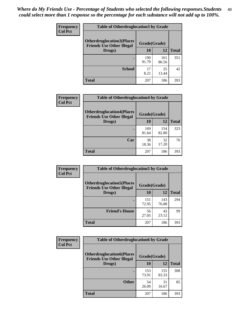| <b>Frequency</b> | <b>Table of Otherdruglocation3 by Grade</b>                           |              |              |              |
|------------------|-----------------------------------------------------------------------|--------------|--------------|--------------|
| <b>Col Pct</b>   | <b>Otherdruglocation3(Places)</b><br><b>Friends Use Other Illegal</b> | Grade(Grade) |              |              |
|                  | Drugs)                                                                | 10           | 12           | <b>Total</b> |
|                  |                                                                       | 190<br>91.79 | 161<br>86.56 | 351          |
|                  | <b>School</b>                                                         | 17<br>8.21   | 25<br>13.44  | 42           |
|                  | Total                                                                 | 207          | 186          | 393          |

| <b>Frequency</b> | <b>Table of Otherdruglocation4 by Grade</b>                          |              |              |              |
|------------------|----------------------------------------------------------------------|--------------|--------------|--------------|
| <b>Col Pct</b>   | <b>Otherdruglocation4(Places</b><br><b>Friends Use Other Illegal</b> | Grade(Grade) |              |              |
|                  | Drugs)                                                               | 10           | 12           | <b>Total</b> |
|                  |                                                                      | 169<br>81.64 | 154<br>82.80 | 323          |
|                  | Car                                                                  | 38<br>18.36  | 32<br>17.20  | 70           |
|                  | <b>Total</b>                                                         | 207          | 186          | 393          |

| Frequency      | <b>Table of Otherdruglocation5 by Grade</b>                          |              |              |              |
|----------------|----------------------------------------------------------------------|--------------|--------------|--------------|
| <b>Col Pct</b> | <b>Otherdruglocation5(Places</b><br><b>Friends Use Other Illegal</b> | Grade(Grade) |              |              |
|                | Drugs)                                                               | 10           | 12           | <b>Total</b> |
|                |                                                                      | 151<br>72.95 | 143<br>76.88 | 294          |
|                | <b>Friend's House</b>                                                | 56<br>27.05  | 43<br>23.12  | 99           |
|                | <b>Total</b>                                                         | 207          | 186          | 393          |

| <b>Frequency</b> | <b>Table of Otherdruglocation6 by Grade</b>                          |              |              |              |
|------------------|----------------------------------------------------------------------|--------------|--------------|--------------|
| <b>Col Pct</b>   | <b>Otherdruglocation6(Places</b><br><b>Friends Use Other Illegal</b> | Grade(Grade) |              |              |
|                  | Drugs)                                                               | 10           | 12           | <b>Total</b> |
|                  |                                                                      | 153<br>73.91 | 155<br>83.33 | 308          |
|                  | <b>Other</b>                                                         | 54<br>26.09  | 31<br>16.67  | 85           |
|                  | <b>Total</b>                                                         | 207          | 186          | 393          |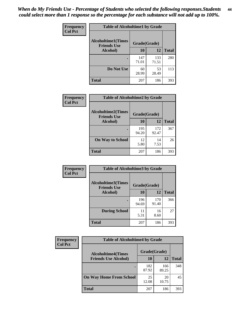| Frequency      | <b>Table of Alcoholtime1 by Grade</b> |              |              |              |
|----------------|---------------------------------------|--------------|--------------|--------------|
| <b>Col Pct</b> | <b>Alcoholtime1(Times</b>             | Grade(Grade) |              |              |
|                | <b>Friends Use</b><br>Alcohol)        | 10           | <b>12</b>    | <b>Total</b> |
|                |                                       | 147<br>71.01 | 133<br>71.51 | 280          |
|                | Do Not Use                            | 60<br>28.99  | 53<br>28.49  | 113          |
|                | <b>Total</b>                          | 207          | 186          | 393          |

| Frequency      | <b>Table of Alcoholtime2 by Grade</b>           |              |              |              |  |
|----------------|-------------------------------------------------|--------------|--------------|--------------|--|
| <b>Col Pct</b> | <b>Alcoholtime2(Times</b><br><b>Friends Use</b> | Grade(Grade) |              |              |  |
|                | Alcohol)                                        | 10           | 12           | <b>Total</b> |  |
|                |                                                 | 195<br>94.20 | 172<br>92.47 | 367          |  |
|                | <b>On Way to School</b>                         | 12<br>5.80   | 14<br>7.53   | 26           |  |
|                | <b>Total</b>                                    | 207          | 186          | 393          |  |

| Frequency      | <b>Table of Alcoholtime3 by Grade</b>           |              |              |              |
|----------------|-------------------------------------------------|--------------|--------------|--------------|
| <b>Col Pct</b> | <b>Alcoholtime3(Times</b><br><b>Friends Use</b> | Grade(Grade) |              |              |
|                | Alcohol)                                        | 10           | 12           | <b>Total</b> |
|                |                                                 | 196<br>94.69 | 170<br>91.40 | 366          |
|                | <b>During School</b>                            | 11<br>5.31   | 16<br>8.60   | 27           |
|                | <b>Total</b>                                    | 207          | 186          | 393          |

| <b>Frequency</b> | <b>Table of Alcoholtime4 by Grade</b> |              |              |              |  |
|------------------|---------------------------------------|--------------|--------------|--------------|--|
| <b>Col Pct</b>   | <b>Alcoholtime4(Times</b>             | Grade(Grade) |              |              |  |
|                  | <b>Friends Use Alcohol)</b>           | 10           | 12           | <b>Total</b> |  |
|                  | ٠                                     | 182<br>87.92 | 166<br>89.25 | 348          |  |
|                  | <b>On Way Home From School</b>        | 25<br>12.08  | 20<br>10.75  | 45           |  |
|                  | <b>Total</b>                          | 207          | 186          | 393          |  |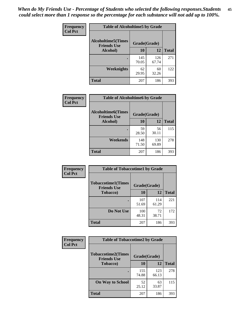*When do My Friends Use - Percentage of Students who selected the following responses.Students could select more than 1 response so the percentage for each substance will not add up to 100%.* **45**

| Frequency      | <b>Table of Alcoholtime5 by Grade</b>           |              |              |              |
|----------------|-------------------------------------------------|--------------|--------------|--------------|
| <b>Col Pct</b> | <b>Alcoholtime5(Times</b><br><b>Friends Use</b> | Grade(Grade) |              |              |
|                | Alcohol)                                        | 10           | 12           | <b>Total</b> |
|                |                                                 | 145<br>70.05 | 126<br>67.74 | 271          |
|                | Weeknights                                      | 62<br>29.95  | 60<br>32.26  | 122          |
|                | <b>Total</b>                                    | 207          | 186          | 393          |

| <b>Frequency</b> | <b>Table of Alcoholtime6 by Grade</b>           |              |              |              |
|------------------|-------------------------------------------------|--------------|--------------|--------------|
| <b>Col Pct</b>   | <b>Alcoholtime6(Times</b><br><b>Friends Use</b> | Grade(Grade) |              |              |
|                  | Alcohol)                                        | 10           | 12           | <b>Total</b> |
|                  |                                                 | 59<br>28.50  | 56<br>30.11  | 115          |
|                  | Weekends                                        | 148<br>71.50 | 130<br>69.89 | 278          |
|                  | <b>Total</b>                                    | 207          | 186          | 393          |

| <b>Frequency</b> | <b>Table of Tobaccotime1 by Grade</b>           |              |              |              |  |
|------------------|-------------------------------------------------|--------------|--------------|--------------|--|
| <b>Col Pct</b>   | <b>Tobaccotime1(Times</b><br><b>Friends Use</b> | Grade(Grade) |              |              |  |
|                  | <b>Tobacco</b> )                                | 10           | 12           | <b>Total</b> |  |
|                  |                                                 | 107<br>51.69 | 114<br>61.29 | 221          |  |
|                  | Do Not Use                                      | 100<br>48.31 | 72<br>38.71  | 172          |  |
|                  | <b>Total</b>                                    | 207          | 186          | 393          |  |

| <b>Frequency</b> | <b>Table of Tobaccotime2 by Grade</b>           |              |              |              |
|------------------|-------------------------------------------------|--------------|--------------|--------------|
| <b>Col Pct</b>   | <b>Tobaccotime2(Times</b><br><b>Friends Use</b> | Grade(Grade) |              |              |
|                  | <b>Tobacco</b> )                                | 10           | 12           | <b>Total</b> |
|                  |                                                 | 155<br>74.88 | 123<br>66.13 | 278          |
|                  | <b>On Way to School</b>                         | 52<br>25.12  | 63<br>33.87  | 115          |
|                  | <b>Total</b>                                    | 207          | 186          | 393          |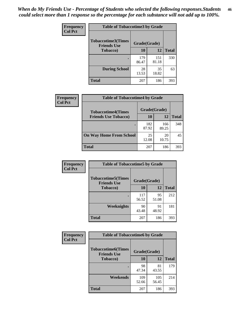| <b>Frequency</b> | <b>Table of Tobaccotime3 by Grade</b>           |              |              |              |  |
|------------------|-------------------------------------------------|--------------|--------------|--------------|--|
| <b>Col Pct</b>   | <b>Tobaccotime3(Times</b><br><b>Friends Use</b> | Grade(Grade) |              |              |  |
|                  | <b>Tobacco</b> )                                | 10           | 12           | <b>Total</b> |  |
|                  |                                                 | 179<br>86.47 | 151<br>81.18 | 330          |  |
|                  | <b>During School</b>                            | 28<br>13.53  | 35<br>18.82  | 63           |  |
|                  | <b>Total</b>                                    | 207          | 186          | 393          |  |

| <b>Frequency</b><br><b>Col Pct</b> | <b>Table of Tobaccotime4 by Grade</b> |              |              |              |
|------------------------------------|---------------------------------------|--------------|--------------|--------------|
|                                    | <b>Tobaccotime4(Times</b>             | Grade(Grade) |              |              |
|                                    | <b>Friends Use Tobacco)</b>           | 10           | 12           | <b>Total</b> |
|                                    |                                       | 182<br>87.92 | 166<br>89.25 | 348          |
|                                    | <b>On Way Home From School</b>        | 25<br>12.08  | 20<br>10.75  | 45           |
|                                    | <b>Total</b>                          | 207          | 186          | 393          |

| Frequency      | <b>Table of Tobaccotime5 by Grade</b>           |              |             |              |
|----------------|-------------------------------------------------|--------------|-------------|--------------|
| <b>Col Pct</b> | <b>Tobaccotime5(Times</b><br><b>Friends Use</b> | Grade(Grade) |             |              |
|                | <b>Tobacco</b> )                                | 10           | 12          | <b>Total</b> |
|                |                                                 | 117<br>56.52 | 95<br>51.08 | 212          |
|                | Weeknights                                      | 90<br>43.48  | 91<br>48.92 | 181          |
|                | <b>Total</b>                                    | 207          | 186         | 393          |

| Frequency<br><b>Col Pct</b> | <b>Table of Tobaccotime6 by Grade</b>           |              |              |              |
|-----------------------------|-------------------------------------------------|--------------|--------------|--------------|
|                             | <b>Tobaccotime6(Times</b><br><b>Friends Use</b> | Grade(Grade) |              |              |
|                             | <b>Tobacco</b> )                                | 10           | 12           | <b>Total</b> |
|                             |                                                 | 98<br>47.34  | 81<br>43.55  | 179          |
|                             | Weekends                                        | 109<br>52.66 | 105<br>56.45 | 214          |
|                             | <b>Total</b>                                    | 207          | 186          | 393          |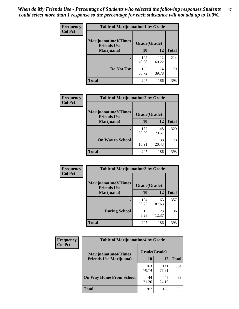| Frequency      | <b>Table of Marijuanatime1 by Grade</b>           |              |              |              |  |
|----------------|---------------------------------------------------|--------------|--------------|--------------|--|
| <b>Col Pct</b> | <b>Marijuanatime1(Times</b><br><b>Friends Use</b> | Grade(Grade) |              |              |  |
|                | Marijuana)                                        | 10           | 12           | <b>Total</b> |  |
|                |                                                   | 102<br>49.28 | 112<br>60.22 | 214          |  |
|                | Do Not Use                                        | 105<br>50.72 | 74<br>39.78  | 179          |  |
|                | <b>Total</b>                                      | 207          | 186          | 393          |  |

| <b>Frequency</b> | <b>Table of Marijuanatime2 by Grade</b>           |              |              |              |
|------------------|---------------------------------------------------|--------------|--------------|--------------|
| <b>Col Pct</b>   | <b>Marijuanatime2(Times</b><br><b>Friends Use</b> | Grade(Grade) |              |              |
|                  | Marijuana)                                        | 10           | 12           | <b>Total</b> |
|                  |                                                   | 172<br>83.09 | 148<br>79.57 | 320          |
|                  | <b>On Way to School</b>                           | 35<br>16.91  | 38<br>20.43  | 73           |
|                  | <b>Total</b>                                      | 207          | 186          | 393          |

| Frequency      | <b>Table of Marijuanatime3 by Grade</b>    |              |              |              |
|----------------|--------------------------------------------|--------------|--------------|--------------|
| <b>Col Pct</b> | Marijuanatime3(Times<br><b>Friends Use</b> | Grade(Grade) |              |              |
|                | Marijuana)                                 | 10           | 12           | <b>Total</b> |
|                |                                            | 194<br>93.72 | 163<br>87.63 | 357          |
|                | <b>During School</b>                       | 13<br>6.28   | 23<br>12.37  | 36           |
|                | <b>Total</b>                               | 207          | 186          | 393          |

| <b>Frequency</b> | <b>Table of Marijuanatime4 by Grade</b> |              |              |              |  |
|------------------|-----------------------------------------|--------------|--------------|--------------|--|
| <b>Col Pct</b>   | <b>Marijuanatime4</b> (Times            | Grade(Grade) |              |              |  |
|                  | <b>Friends Use Marijuana</b> )          | 10           | 12           | <b>Total</b> |  |
|                  |                                         | 163<br>78.74 | 141<br>75.81 | 304          |  |
|                  | <b>On Way Home From School</b>          | 44<br>21.26  | 45<br>24.19  | 89           |  |
|                  | <b>Total</b>                            | 207          | 186          | 393          |  |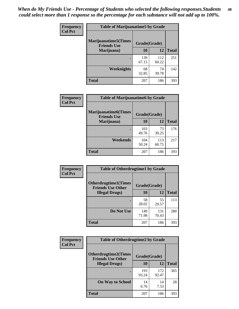| Frequency      | <b>Table of Marijuanatime5 by Grade</b>            |              |              |              |  |
|----------------|----------------------------------------------------|--------------|--------------|--------------|--|
| <b>Col Pct</b> | <b>Marijuanatime5</b> (Times<br><b>Friends Use</b> | Grade(Grade) |              |              |  |
|                | Marijuana)                                         | 10           | 12           | <b>Total</b> |  |
|                |                                                    | 139<br>67.15 | 112<br>60.22 | 251          |  |
|                | Weeknights                                         | 68<br>32.85  | 74<br>39.78  | 142          |  |
|                | <b>Total</b>                                       | 207          | 186          | 393          |  |

| Frequency      | <b>Table of Marijuanatime6 by Grade</b>           |              |              |              |
|----------------|---------------------------------------------------|--------------|--------------|--------------|
| <b>Col Pct</b> | <b>Marijuanatime6(Times</b><br><b>Friends Use</b> | Grade(Grade) |              |              |
|                | Marijuana)                                        | 10           | 12           | <b>Total</b> |
|                |                                                   | 103<br>49.76 | 73<br>39.25  | 176          |
|                | Weekends                                          | 104<br>50.24 | 113<br>60.75 | 217          |
|                | <b>Total</b>                                      | 207          | 186          | 393          |

| Frequency      | <b>Table of Otherdrugtime1 by Grade</b>                 |              |              |              |
|----------------|---------------------------------------------------------|--------------|--------------|--------------|
| <b>Col Pct</b> | <b>Otherdrugtime1(Times</b><br><b>Friends Use Other</b> | Grade(Grade) |              |              |
|                | <b>Illegal Drugs</b> )                                  | 10           | 12           | <b>Total</b> |
|                |                                                         | 58<br>28.02  | 55<br>29.57  | 113          |
|                | Do Not Use                                              | 149<br>71.98 | 131<br>70.43 | 280          |
|                | <b>Total</b>                                            | 207          | 186          | 393          |

| Frequency      | <b>Table of Otherdrugtime2 by Grade</b>                 |              |              |              |
|----------------|---------------------------------------------------------|--------------|--------------|--------------|
| <b>Col Pct</b> | <b>Otherdrugtime2(Times</b><br><b>Friends Use Other</b> | Grade(Grade) |              |              |
|                | <b>Illegal Drugs</b> )                                  | 10           | 12           | <b>Total</b> |
|                |                                                         | 193<br>93.24 | 172<br>92.47 | 365          |
|                | <b>On Way to School</b>                                 | 14<br>6.76   | 14<br>7.53   | 28           |
|                | Total                                                   | 207          | 186          | 393          |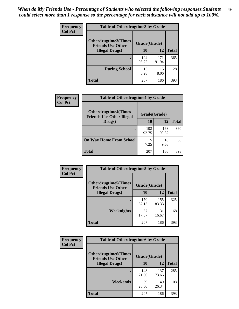| <b>Frequency</b> | <b>Table of Otherdrugtime3 by Grade</b>          |              |              |              |
|------------------|--------------------------------------------------|--------------|--------------|--------------|
| <b>Col Pct</b>   | Otherdrugtime3(Times<br><b>Friends Use Other</b> | Grade(Grade) |              |              |
|                  | <b>Illegal Drugs</b> )                           | 10           | 12           | <b>Total</b> |
|                  |                                                  | 194<br>93.72 | 171<br>91.94 | 365          |
|                  | <b>During School</b>                             | 13<br>6.28   | 15<br>8.06   | 28           |
|                  | Total                                            | 207          | 186          | 393          |

| Frequency      | <b>Table of Otherdrugtime4 by Grade</b>                         |              |              |              |
|----------------|-----------------------------------------------------------------|--------------|--------------|--------------|
| <b>Col Pct</b> | <b>Otherdrugtime4(Times</b><br><b>Friends Use Other Illegal</b> | Grade(Grade) |              |              |
|                | Drugs)                                                          | 10           | 12           | <b>Total</b> |
|                | ٠                                                               | 192<br>92.75 | 168<br>90.32 | 360          |
|                | <b>On Way Home From School</b>                                  | 15<br>7.25   | 18<br>9.68   | 33           |
|                | Total                                                           | 207          | 186          | 393          |

| <b>Frequency</b> | <b>Table of Otherdrugtime5 by Grade</b>                  |              |              |              |  |  |
|------------------|----------------------------------------------------------|--------------|--------------|--------------|--|--|
| <b>Col Pct</b>   | <b>Otherdrugtime5</b> (Times<br><b>Friends Use Other</b> | Grade(Grade) |              |              |  |  |
|                  | <b>Illegal Drugs</b> )                                   | 10           | 12           | <b>Total</b> |  |  |
|                  |                                                          | 170<br>82.13 | 155<br>83.33 | 325          |  |  |
|                  | Weeknights                                               | 37<br>17.87  | 31<br>16.67  | 68           |  |  |
|                  | Total                                                    | 207          | 186          | 393          |  |  |

| <b>Frequency</b> | <b>Table of Otherdrugtime6 by Grade</b>                 |              |              |              |  |  |
|------------------|---------------------------------------------------------|--------------|--------------|--------------|--|--|
| <b>Col Pct</b>   | <b>Otherdrugtime6(Times</b><br><b>Friends Use Other</b> | Grade(Grade) |              |              |  |  |
|                  | <b>Illegal Drugs</b> )                                  | 10           | 12           | <b>Total</b> |  |  |
|                  |                                                         | 148<br>71.50 | 137<br>73.66 | 285          |  |  |
|                  | Weekends                                                | 59<br>28.50  | 49<br>26.34  | 108          |  |  |
|                  | Total                                                   | 207          | 186          | 393          |  |  |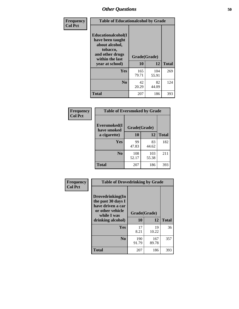| Frequency      | <b>Table of Educationalcohol by Grade</b>                                                                  |              |              |              |  |  |
|----------------|------------------------------------------------------------------------------------------------------------|--------------|--------------|--------------|--|--|
| <b>Col Pct</b> | Educationalcohol(I<br>have been taught<br>about alcohol,<br>tobacco,<br>and other drugs<br>within the last | Grade(Grade) |              |              |  |  |
|                | year at school)                                                                                            |              | 12           | <b>Total</b> |  |  |
|                | Yes                                                                                                        | 165<br>79.71 | 104<br>55.91 | 269          |  |  |
|                | N <sub>0</sub>                                                                                             | 42<br>20.29  | 82<br>44.09  | 124          |  |  |
|                | <b>Total</b>                                                                                               | 207          | 186          | 393          |  |  |

| Frequency      | <b>Table of Eversmoked by Grade</b> |              |              |              |  |  |
|----------------|-------------------------------------|--------------|--------------|--------------|--|--|
| <b>Col Pct</b> | Eversmoked(I<br>have smoked         | Grade(Grade) |              |              |  |  |
|                | a cigarette)                        | 10           | 12           | <b>Total</b> |  |  |
|                | Yes                                 | 99<br>47.83  | 83<br>44.62  | 182          |  |  |
|                | N <sub>0</sub>                      | 108<br>52.17 | 103<br>55.38 | 211          |  |  |
|                | <b>Total</b>                        | 207          | 186          | 393          |  |  |

| Frequency      | <b>Table of Drovedrinking by Grade</b>                                                                              |                    |              |     |
|----------------|---------------------------------------------------------------------------------------------------------------------|--------------------|--------------|-----|
| <b>Col Pct</b> | Drovedrinking(In<br>the past 30 days I<br>have driven a car<br>or other vehicle<br>while I was<br>drinking alcohol) | Grade(Grade)<br>10 | <b>Total</b> |     |
|                | <b>Yes</b>                                                                                                          | 17<br>8.21         | 19<br>10.22  | 36  |
|                | N <sub>0</sub>                                                                                                      | 190<br>91.79       | 167<br>89.78 | 357 |
|                | <b>Total</b>                                                                                                        | 207                | 186          | 393 |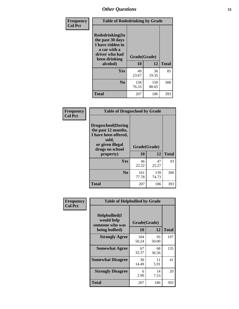| Frequency<br><b>Col Pct</b> | <b>Table of Rodedrinking by Grade</b>                                                                      |              |              |              |  |  |
|-----------------------------|------------------------------------------------------------------------------------------------------------|--------------|--------------|--------------|--|--|
|                             | Rodedrinking(In<br>the past 30 days<br>I have ridden in<br>a car with a<br>driver who had<br>been drinking | Grade(Grade) |              |              |  |  |
|                             | alcohol)                                                                                                   | 10           | 12           | <b>Total</b> |  |  |
|                             | <b>Yes</b>                                                                                                 | 49<br>23.67  | 36<br>19.35  | 85           |  |  |
|                             | N <sub>0</sub>                                                                                             | 158<br>76.33 | 150<br>80.65 | 308          |  |  |
|                             | <b>Total</b>                                                                                               | 207          | 186          | 393          |  |  |

#### **Frequency Col Pct**

| <b>Table of Drugsschool by Grade</b>                                                                                      |              |              |              |  |  |  |
|---------------------------------------------------------------------------------------------------------------------------|--------------|--------------|--------------|--|--|--|
| <b>Drugsschool</b> (During<br>the past 12 months,<br>I have been offered,<br>sold,<br>or given illegal<br>drugs on school | Grade(Grade) |              |              |  |  |  |
| property)                                                                                                                 | 10           | 12           | <b>Total</b> |  |  |  |
| Yes                                                                                                                       | 46<br>22.22  | 47<br>25.27  | 93           |  |  |  |
| N <sub>0</sub>                                                                                                            | 161<br>77.78 | 139<br>74.73 | 300          |  |  |  |
| Total                                                                                                                     | 207          | 186          | 393          |  |  |  |

| Frequency      | <b>Table of Helpbullied by Grade</b>                 |              |             |              |  |  |  |  |
|----------------|------------------------------------------------------|--------------|-------------|--------------|--|--|--|--|
| <b>Col Pct</b> | $Helpb$ ullied $(I$<br>would help<br>someone who was | Grade(Grade) |             |              |  |  |  |  |
|                | being bullied)                                       | 10           | 12          | <b>Total</b> |  |  |  |  |
|                | <b>Strongly Agree</b>                                | 104<br>50.24 | 93<br>50.00 | 197          |  |  |  |  |
|                | <b>Somewhat Agree</b>                                | 67<br>32.37  | 68<br>36.56 | 135          |  |  |  |  |
|                | <b>Somewhat Disagree</b>                             | 30<br>14.49  | 11<br>5.91  | 41           |  |  |  |  |
|                | <b>Strongly Disagree</b>                             | 6<br>2.90    | 14<br>7.53  | 20           |  |  |  |  |
|                | <b>Total</b>                                         | 207          | 186         | 393          |  |  |  |  |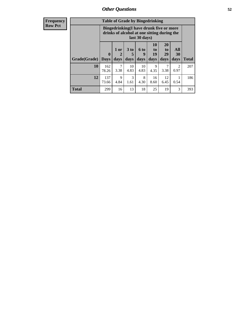| <b>Frequency</b> | <b>Table of Grade by Bingedrinking</b> |                             |                   |                                                                                        |                   |                               |                        |                          |              |
|------------------|----------------------------------------|-----------------------------|-------------------|----------------------------------------------------------------------------------------|-------------------|-------------------------------|------------------------|--------------------------|--------------|
| <b>Row Pct</b>   |                                        |                             |                   | Bingedrinking(I have drunk five or more<br>drinks of alcohol at one sitting during the | last 30 days)     |                               |                        |                          |              |
|                  | Grade(Grade)                           | $\mathbf{0}$<br><b>Days</b> | 1 or<br>2<br>days | 3 to<br>5<br>days                                                                      | 6 to<br>9<br>days | <b>10</b><br>to<br>19<br>days | 20<br>to<br>29<br>days | All<br><b>30</b><br>days | <b>Total</b> |
|                  | 10                                     | 162<br>78.26                | 7<br>3.38         | 10<br>4.83                                                                             | 10<br>4.83        | 9<br>4.35                     | 3.38                   | 2<br>0.97                | 207          |
|                  | 12                                     | 137<br>73.66                | 9<br>4.84         | 3<br>1.61                                                                              | 8<br>4.30         | 16<br>8.60                    | 12<br>6.45             | 0.54                     | 186          |
|                  | <b>Total</b>                           | 299                         | 16                | 13                                                                                     | 18                | 25                            | 19                     | 3                        | 393          |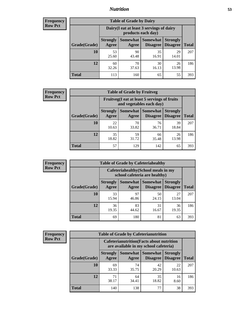## *Nutrition* **53**

| <b>Frequency</b><br>Row Pct |
|-----------------------------|
|                             |

| <b>Table of Grade by Dairy</b> |                          |                                                                 |                                    |                                    |              |  |  |
|--------------------------------|--------------------------|-----------------------------------------------------------------|------------------------------------|------------------------------------|--------------|--|--|
|                                |                          | Dairy (I eat at least 3 servings of dairy<br>products each day) |                                    |                                    |              |  |  |
| Grade(Grade)                   | <b>Strongly</b><br>Agree | <b>Somewhat</b><br>Agree                                        | <b>Somewhat</b><br><b>Disagree</b> | <b>Strongly</b><br><b>Disagree</b> | <b>Total</b> |  |  |
| 10                             | 53<br>25.60              | 90<br>43.48                                                     | 35<br>16.91                        | 29<br>14.01                        | 207          |  |  |
| 12                             | 60<br>32.26              | 70<br>37.63                                                     | 30<br>16.13                        | 26<br>13.98                        | 186          |  |  |
| <b>Total</b>                   | 113                      | 160                                                             | 65                                 | 55                                 | 393          |  |  |

| <b>Frequency</b> |  |
|------------------|--|
| <b>Row Pct</b>   |  |

| y | <b>Table of Grade by Fruitveg</b> |                          |                                                                          |                      |                                    |              |  |
|---|-----------------------------------|--------------------------|--------------------------------------------------------------------------|----------------------|------------------------------------|--------------|--|
|   |                                   |                          | Fruitveg(I eat at least 5 servings of fruits<br>and vegetables each day) |                      |                                    |              |  |
|   | Grade(Grade)                      | <b>Strongly</b><br>Agree | Somewhat  <br>Agree                                                      | Somewhat<br>Disagree | <b>Strongly</b><br><b>Disagree</b> | <b>Total</b> |  |
|   | 10                                | 22<br>10.63              | 70<br>33.82                                                              | 76<br>36.71          | 39<br>18.84                        | 207          |  |
|   | 12                                | 35<br>18.82              | 59<br>31.72                                                              | 66<br>35.48          | 26<br>13.98                        | 186          |  |
|   | <b>Total</b>                      | 57                       | 129                                                                      | 142                  | 65                                 | 393          |  |

| <b>Frequency</b> | <b>Table of Grade by Cafeteriahealthy</b> |                                                                       |             |                                   |                                    |              |  |  |
|------------------|-------------------------------------------|-----------------------------------------------------------------------|-------------|-----------------------------------|------------------------------------|--------------|--|--|
| <b>Row Pct</b>   |                                           | Cafeteriahealthy (School meals in my<br>school cafeteria are healthy) |             |                                   |                                    |              |  |  |
|                  | Grade(Grade)                              | <b>Strongly</b><br>Agree                                              | Agree       | Somewhat   Somewhat  <br>Disagree | <b>Strongly</b><br><b>Disagree</b> | <b>Total</b> |  |  |
|                  | 10                                        | 33<br>15.94                                                           | 97<br>46.86 | 50<br>24.15                       | 27<br>13.04                        | 207          |  |  |
|                  | 12                                        | 36<br>19.35                                                           | 83<br>44.62 | 31<br>16.67                       | 36<br>19.35                        | 186          |  |  |
|                  | Total                                     | 69                                                                    | 180         | 81                                | 63                                 | 393          |  |  |

| <b>Frequency</b><br>Row Pct |
|-----------------------------|
|                             |

| <b>Table of Grade by Cafeterianutrition</b> |                          |                                                                                           |                                    |                                    |              |  |  |
|---------------------------------------------|--------------------------|-------------------------------------------------------------------------------------------|------------------------------------|------------------------------------|--------------|--|--|
|                                             |                          | <b>Cafeterianutrition</b> (Facts about nutrition<br>are available in my school cafeteria) |                                    |                                    |              |  |  |
| Grade(Grade)                                | <b>Strongly</b><br>Agree | Somewhat  <br>Agree                                                                       | <b>Somewhat</b><br><b>Disagree</b> | <b>Strongly</b><br><b>Disagree</b> | <b>Total</b> |  |  |
| 10                                          | 69<br>33.33              | 74<br>35.75                                                                               | 42<br>20.29                        | 22<br>10.63                        | 207          |  |  |
| 12                                          | 71<br>38.17              | 64<br>34.41                                                                               | 35<br>18.82                        | 16<br>8.60                         | 186          |  |  |
| <b>Total</b>                                | 140                      | 138                                                                                       | 77                                 | 38                                 | 393          |  |  |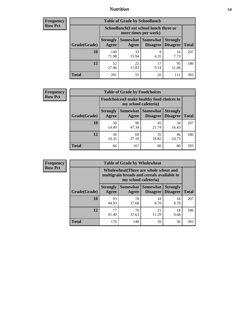## *Nutrition* **54**

| Frequency |
|-----------|
| Row Pct   |

| <b>Table of Grade by Schoollunch</b> |                                                                                                                      |                                                                 |            |             |     |  |  |
|--------------------------------------|----------------------------------------------------------------------------------------------------------------------|-----------------------------------------------------------------|------------|-------------|-----|--|--|
|                                      |                                                                                                                      | Schoollunch(I eat school lunch three or<br>more times per week) |            |             |     |  |  |
| Grade(Grade)                         | Somewhat  <br><b>Somewhat</b><br><b>Strongly</b><br><b>Strongly</b><br><b>Disagree</b><br>Disagree<br>Agree<br>Agree |                                                                 |            |             |     |  |  |
| 10                                   | 149<br>71.98                                                                                                         | 33<br>15.94                                                     | 9<br>4.35  | 16<br>7.73  | 207 |  |  |
| 12                                   | 52<br>27.96                                                                                                          | 22<br>11.83                                                     | 17<br>9.14 | 95<br>51.08 | 186 |  |  |
| <b>Total</b>                         | 201                                                                                                                  | 55                                                              | 26         | 111         | 393 |  |  |

| <b>Frequency</b> |  |
|------------------|--|
| <b>Row Pct</b>   |  |

| <b>Table of Grade by Foodchoices</b>                                |                          |             |                                 |                                    |              |  |
|---------------------------------------------------------------------|--------------------------|-------------|---------------------------------|------------------------------------|--------------|--|
| Foodchoices (I make healthy food choices in<br>my school cafeteria) |                          |             |                                 |                                    |              |  |
| Grade(Grade)                                                        | <b>Strongly</b><br>Agree | Agree       | Somewhat   Somewhat<br>Disagree | <b>Strongly</b><br><b>Disagree</b> | <b>Total</b> |  |
| 10                                                                  | 30<br>14.49              | 98<br>47.34 | 45<br>21.74                     | 34<br>16.43                        | 207          |  |
| 12                                                                  | 36<br>19.35              | 69<br>37.10 | 35<br>18.82                     | 46<br>24.73                        | 186          |  |
| <b>Total</b>                                                        | 66                       | 167         | 80                              | 80                                 | 393          |  |

| <b>Frequency</b><br>Row Pct |
|-----------------------------|
|                             |

| <b>Table of Grade by Wholewheat</b> |                                                                                                             |             |                                        |                                    |              |  |  |
|-------------------------------------|-------------------------------------------------------------------------------------------------------------|-------------|----------------------------------------|------------------------------------|--------------|--|--|
|                                     | Wholewheat (There are whole wheat and<br>multigrain breads and cereals available in<br>my school cafeteria) |             |                                        |                                    |              |  |  |
| Grade(Grade)                        | <b>Strongly</b><br>Agree                                                                                    | Agree       | Somewhat   Somewhat<br><b>Disagree</b> | <b>Strongly</b><br><b>Disagree</b> | <b>Total</b> |  |  |
| 10                                  | 93<br>44.93                                                                                                 | 78<br>37.68 | 18<br>8.70                             | 18<br>8.70                         | 207          |  |  |
| 12                                  | 77<br>41.40                                                                                                 | 70<br>37.63 | 21<br>11.29                            | 18<br>9.68                         | 186          |  |  |
| <b>Total</b>                        | 170                                                                                                         | 148         | 39                                     | 36                                 | 393          |  |  |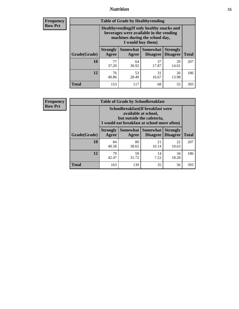## *Nutrition* **55**

**Frequency Row Pct**

| <b>Table of Grade by Healthyvending</b> |                                                                                                                                               |                          |                                    |                                    |              |  |  |
|-----------------------------------------|-----------------------------------------------------------------------------------------------------------------------------------------------|--------------------------|------------------------------------|------------------------------------|--------------|--|--|
|                                         | Healthyvending (If only healthy snacks and<br>beverages were available in the vending<br>machines during the school day,<br>I would buy them) |                          |                                    |                                    |              |  |  |
| Grade(Grade)                            | <b>Strongly</b><br>Agree                                                                                                                      | <b>Somewhat</b><br>Agree | <b>Somewhat</b><br><b>Disagree</b> | <b>Strongly</b><br><b>Disagree</b> | <b>Total</b> |  |  |
| 10                                      | 77<br>37.20                                                                                                                                   | 64<br>30.92              | 37<br>17.87                        | 29<br>14.01                        | 207          |  |  |
| 12                                      | 76<br>40.86                                                                                                                                   | 53<br>28.49              | 31<br>16.67                        | 26<br>13.98                        | 186          |  |  |
| <b>Total</b>                            | 153                                                                                                                                           | 117                      | 68                                 | 55                                 | 393          |  |  |

**Frequency Row Pct**

| <b>Table of Grade by Schoolbreakfast</b> |                                                                                                                                        |                     |                                    |                                    |              |
|------------------------------------------|----------------------------------------------------------------------------------------------------------------------------------------|---------------------|------------------------------------|------------------------------------|--------------|
|                                          | Schoolbreakfast(If breakfast were<br>available at school,<br>but outside the cafeteria,<br>I would eat breakfast at school more often) |                     |                                    |                                    |              |
| Grade(Grade)                             | <b>Strongly</b><br>Agree                                                                                                               | Somewhat  <br>Agree | <b>Somewhat</b><br><b>Disagree</b> | <b>Strongly</b><br><b>Disagree</b> | <b>Total</b> |
| 10                                       | 84<br>40.58                                                                                                                            | 80<br>38.65         | 21<br>10.14                        | 22<br>10.63                        | 207          |
| 12                                       | 79<br>42.47                                                                                                                            | 59<br>31.72         | 14<br>7.53                         | 34<br>18.28                        | 186          |
| <b>Total</b>                             | 163                                                                                                                                    | 139                 | 35                                 | 56                                 | 393          |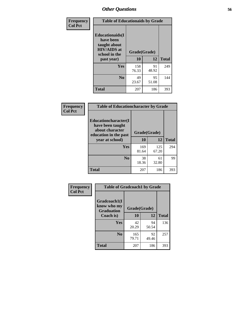| Frequency<br><b>Col Pct</b> | <b>Table of Educationaids by Grade</b>                                                                    |                    |             |              |
|-----------------------------|-----------------------------------------------------------------------------------------------------------|--------------------|-------------|--------------|
|                             | <b>Educationaids</b> (I<br>have been<br>taught about<br><b>HIV/AIDS</b> at<br>school in the<br>past year) | Grade(Grade)<br>10 | 12          | <b>Total</b> |
|                             | Yes                                                                                                       | 158<br>76.33       | 91<br>48.92 | 249          |
|                             | N <sub>0</sub>                                                                                            | 49<br>23.67        | 95<br>51.08 | 144          |
|                             | <b>Total</b>                                                                                              | 207                | 186         | 393          |

| <b>Frequency</b> | <b>Table of Educationcharacter by Grade</b>                                                             |              |              |              |
|------------------|---------------------------------------------------------------------------------------------------------|--------------|--------------|--------------|
| <b>Col Pct</b>   | Educationcharacter(I<br>have been taught<br>about character<br>education in the past<br>year at school) | Grade(Grade) |              |              |
|                  |                                                                                                         | 10           | 12           | <b>Total</b> |
|                  | Yes                                                                                                     | 169<br>81.64 | 125<br>67.20 | 294          |
|                  | N <sub>0</sub>                                                                                          | 38<br>18.36  | 61<br>32.80  | 99           |
|                  | <b>Total</b>                                                                                            | 207          | 186          | 393          |

| Frequency      | <b>Table of Gradcoach1 by Grade</b> |              |             |              |
|----------------|-------------------------------------|--------------|-------------|--------------|
| <b>Col Pct</b> | Gradcoach1(I<br>know who my         | Grade(Grade) |             |              |
|                | <b>Graduation</b><br>Coach is)      | 10           | 12          | <b>Total</b> |
|                | Yes                                 | 42<br>20.29  | 94<br>50.54 | 136          |
|                | N <sub>0</sub>                      | 165<br>79.71 | 92<br>49.46 | 257          |
|                | <b>Total</b>                        | 207          | 186         | 393          |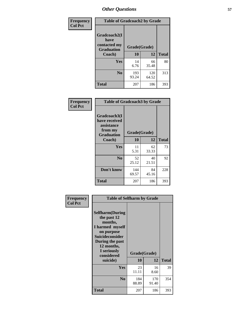| Frequency      | <b>Table of Gradcoach2 by Grade</b> |              |              |              |
|----------------|-------------------------------------|--------------|--------------|--------------|
| <b>Col Pct</b> | Gradcoach2(I<br>have                |              |              |              |
|                | contacted my<br><b>Graduation</b>   | Grade(Grade) |              |              |
|                | Coach)                              | 10           | 12           | <b>Total</b> |
|                | Yes                                 | 14<br>6.76   | 66<br>35.48  | 80           |
|                | N <sub>0</sub>                      | 193<br>93.24 | 120<br>64.52 | 313          |
|                | <b>Total</b>                        | 207          | 186          | 393          |

| <b>Frequency</b><br><b>Col Pct</b> | <b>Table of Gradcoach3 by Grade</b>                                         |              |             |              |
|------------------------------------|-----------------------------------------------------------------------------|--------------|-------------|--------------|
|                                    | Gradcoach3(I<br>have received<br>assistance<br>from my<br><b>Graduation</b> | Grade(Grade) |             |              |
|                                    | Coach)                                                                      | 10           | 12          | <b>Total</b> |
|                                    | Yes                                                                         | 11<br>5.31   | 62<br>33.33 | 73           |
|                                    | N <sub>0</sub>                                                              | 52<br>25.12  | 40<br>21.51 | 92           |
|                                    | Don't know                                                                  | 144<br>69.57 | 84<br>45.16 | 228          |
|                                    | <b>Total</b>                                                                | 207          | 186         | 393          |

| Frequency      | <b>Table of Selfharm by Grade</b>                                                                                                                                                      |                    |              |              |
|----------------|----------------------------------------------------------------------------------------------------------------------------------------------------------------------------------------|--------------------|--------------|--------------|
| <b>Col Pct</b> | <b>Selfharm</b> (During<br>the past 12<br>months,<br>I harmed myself<br>on purpose<br><b>Suicideconsider</b><br>During the past<br>12 months,<br>I seriously<br>considered<br>suicide) | Grade(Grade)<br>10 | 12           | <b>Total</b> |
|                | <b>Yes</b>                                                                                                                                                                             | 23<br>11.11        | 16<br>8.60   | 39           |
|                | N <sub>0</sub>                                                                                                                                                                         | 184<br>88.89       | 170<br>91.40 | 354          |
|                | Total                                                                                                                                                                                  | 207                | 186          | 393          |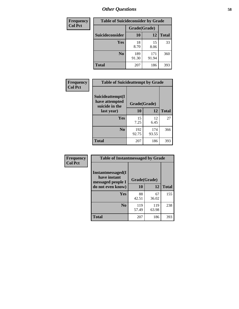| <b>Frequency</b> | <b>Table of Suicideconsider by Grade</b> |              |              |              |
|------------------|------------------------------------------|--------------|--------------|--------------|
| <b>Col Pct</b>   |                                          | Grade(Grade) |              |              |
|                  | Suicideconsider                          | <b>10</b>    | 12           | <b>Total</b> |
|                  | Yes                                      | 18<br>8.70   | 15<br>8.06   | 33           |
|                  | N <sub>0</sub>                           | 189<br>91.30 | 171<br>91.94 | 360          |
|                  | Total                                    | 207          | 186          | 393          |

| Frequency      | <b>Table of Suicideattempt by Grade</b>                            |              |              |              |
|----------------|--------------------------------------------------------------------|--------------|--------------|--------------|
| <b>Col Pct</b> | Suicideattempt(I<br>have attempted<br>suicide in the<br>last year) | Grade(Grade) |              |              |
|                |                                                                    | 10           | 12           | <b>Total</b> |
|                | Yes                                                                | 15<br>7.25   | 12<br>6.45   | 27           |
|                | N <sub>0</sub>                                                     | 192<br>92.75 | 174<br>93.55 | 366          |
|                | <b>Total</b>                                                       | 207          | 186          | 393          |

| Frequency      | <b>Table of Instantmessaged by Grade</b>               |              |              |              |
|----------------|--------------------------------------------------------|--------------|--------------|--------------|
| <b>Col Pct</b> | Instantmessaged(I<br>have instant<br>messaged people I | Grade(Grade) |              |              |
|                | do not even know)                                      | 10           | 12           | <b>Total</b> |
|                | Yes                                                    | 88<br>42.51  | 67<br>36.02  | 155          |
|                | N <sub>0</sub>                                         | 119<br>57.49 | 119<br>63.98 | 238          |
|                | <b>Total</b>                                           | 207          | 186          | 393          |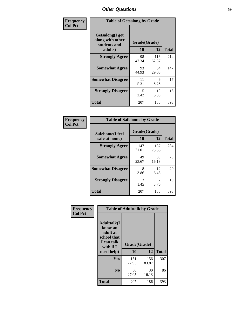| Frequency      | <b>Table of Getsalong by Grade</b>                          |              |              |              |
|----------------|-------------------------------------------------------------|--------------|--------------|--------------|
| <b>Col Pct</b> | <b>Getsalong</b> (I get<br>along with other<br>students and | Grade(Grade) |              |              |
|                | adults)                                                     | 10           | 12           | <b>Total</b> |
|                | <b>Strongly Agree</b>                                       | 98<br>47.34  | 116<br>62.37 | 214          |
|                | <b>Somewhat Agree</b>                                       | 93<br>44.93  | 54<br>29.03  | 147          |
|                | <b>Somewhat Disagree</b>                                    | 11<br>5.31   | 6<br>3.23    | 17           |
|                | <b>Strongly Disagree</b>                                    | 5<br>2.42    | 10<br>5.38   | 15           |
|                | Total                                                       | 207          | 186          | 393          |

| Frequency      | <b>Table of Safehome by Grade</b> |              |              |              |
|----------------|-----------------------------------|--------------|--------------|--------------|
| <b>Col Pct</b> | Safehome(I feel                   | Grade(Grade) |              |              |
|                | safe at home)                     | 10           | 12           | <b>Total</b> |
|                | <b>Strongly Agree</b>             | 147<br>71.01 | 137<br>73.66 | 284          |
|                | <b>Somewhat Agree</b>             | 49<br>23.67  | 30<br>16.13  | 79           |
|                | <b>Somewhat Disagree</b>          | 8<br>3.86    | 12<br>6.45   | 20           |
|                | <b>Strongly Disagree</b>          | 3<br>1.45    | 7<br>3.76    | 10           |
|                | <b>Total</b>                      | 207          | 186          | 393          |

| Frequency      |                                                                                      | <b>Table of Adulttalk by Grade</b> |              |              |
|----------------|--------------------------------------------------------------------------------------|------------------------------------|--------------|--------------|
| <b>Col Pct</b> | <b>Adulttalk</b> (I<br>know an<br>adult at<br>school that<br>I can talk<br>with if I | Grade(Grade)                       |              |              |
|                | need help)                                                                           | 10                                 | 12           | <b>Total</b> |
|                | <b>Yes</b>                                                                           | 151<br>72.95                       | 156<br>83.87 | 307          |
|                | N <sub>0</sub>                                                                       | 56<br>27.05                        | 30<br>16.13  | 86           |
|                | <b>Total</b>                                                                         | 207                                | 186          | 393          |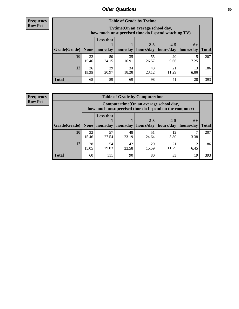**Frequency Row Pct**

| <b>Table of Grade by Tvtime</b> |             |                                                                                         |             |                      |                                    |            |              |  |  |  |
|---------------------------------|-------------|-----------------------------------------------------------------------------------------|-------------|----------------------|------------------------------------|------------|--------------|--|--|--|
|                                 |             | Tytime (On an average school day,<br>how much unsupervised time do I spend watching TV) |             |                      |                                    |            |              |  |  |  |
| Grade(Grade)   None             |             | <b>Less that</b><br>hour/day                                                            | hour/day    | $2 - 3$<br>hours/day | $4 - 5$<br>  hours/day   hours/day | $6+$       | <b>Total</b> |  |  |  |
| 10                              | 32<br>15.46 | 50<br>24.15                                                                             | 35<br>16.91 | 55<br>26.57          | 20<br>9.66                         | 15<br>7.25 | 207          |  |  |  |
| 12                              | 36<br>19.35 | 39<br>20.97                                                                             | 34<br>18.28 | 43<br>23.12          | 21<br>11.29                        | 13<br>6.99 | 186          |  |  |  |
| <b>Total</b>                    | 68          | 89                                                                                      | 69          | 98                   | 41                                 | 28         | 393          |  |  |  |

**Frequency Row Pct**

| <b>Table of Grade by Computertime</b> |             |                                                                                                   |                     |             |             |            |              |  |  |
|---------------------------------------|-------------|---------------------------------------------------------------------------------------------------|---------------------|-------------|-------------|------------|--------------|--|--|
|                                       |             | Computertime (On an average school day,<br>how much unsupervised time do I spend on the computer) |                     |             |             |            |              |  |  |
|                                       |             | <b>Less that</b><br>$4 - 5$<br>$2 - 3$<br>$6+$                                                    |                     |             |             |            |              |  |  |
| Grade(Grade)                          | None $ $    |                                                                                                   | hour/day   hour/day | hours/day   | hours/day   | hours/day  | <b>Total</b> |  |  |
| 10                                    | 32<br>15.46 | 57<br>27.54                                                                                       | 48<br>23.19         | 51<br>24.64 | 12<br>5.80  | 3.38       | 207          |  |  |
| 12                                    | 28<br>15.05 | 54<br>29.03                                                                                       | 42<br>22.58         | 29<br>15.59 | 21<br>11.29 | 12<br>6.45 | 186          |  |  |
| <b>Total</b>                          | 60          | 111                                                                                               | 90                  | 80          | 33          | 19         | 393          |  |  |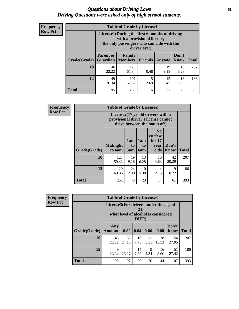### *Questions about Driving Laws* **61** *Driving Questions were asked only of high school students.*

| <b>Frequency</b> |
|------------------|
| <b>Row Pct</b>   |

| <b>Table of Grade by License1</b> |                                     |                                                                                                                                           |           |            |               |              |  |  |  |
|-----------------------------------|-------------------------------------|-------------------------------------------------------------------------------------------------------------------------------------------|-----------|------------|---------------|--------------|--|--|--|
|                                   |                                     | License1(During the first 6 months of driving<br>with a provisional license,<br>the only passengers who can ride with the<br>driver are:) |           |            |               |              |  |  |  |
| <b>Grade</b> (Grade)              | <b>Parent or</b><br><b>Guardian</b> | Family<br>  Members                                                                                                                       | Friends   | Anyone     | Don't<br>Know | <b>Total</b> |  |  |  |
| 10                                | 46<br>22.22                         | 128<br>61.84                                                                                                                              | 0.48      | 19<br>9.18 | 13<br>6.28    | 207          |  |  |  |
| 12                                | 49<br>26.34                         | 107<br>57.53                                                                                                                              | 5<br>2.69 | 12<br>6.45 | 13<br>6.99    | 186          |  |  |  |
| <b>Total</b>                      | 95                                  | 235                                                                                                                                       | 6         | 31         | 26            | 393          |  |  |  |

| <b>Frequency</b> | <b>Table of Grade by License2</b> |                           |                  |                  |                                                                                                          |                      |              |  |  |
|------------------|-----------------------------------|---------------------------|------------------|------------------|----------------------------------------------------------------------------------------------------------|----------------------|--------------|--|--|
| <b>Row Pct</b>   |                                   |                           |                  |                  | License2(17 yr old drivers with a<br>provisional driver's license cannot<br>drive between the hours of:) |                      |              |  |  |
|                  | Grade(Grade)                      | <b>Midnight</b><br>to 6am | 1am<br>to<br>5am | 1am<br>to<br>6am | N <sub>0</sub><br>curfew<br>for $17$<br>year<br>olds                                                     | Don't<br><b>Know</b> | <b>Total</b> |  |  |
|                  | 10                                | 123<br>59.42              | 19<br>9.18       | 13<br>6.28       | 10<br>4.83                                                                                               | 42<br>20.29          | 207          |  |  |
|                  | 12                                | 129<br>69.35              | 24<br>12.90      | 10<br>5.38       | $\overline{4}$<br>2.15                                                                                   | 19<br>10.22          | 186          |  |  |
|                  | <b>Total</b>                      | 252                       | 43               | 23               | 14                                                                                                       | 61                   | 393          |  |  |

| Frequency      | <b>Table of Grade by License3</b> |                                       |             |              |            |                                     |               |              |  |
|----------------|-----------------------------------|---------------------------------------|-------------|--------------|------------|-------------------------------------|---------------|--------------|--|
| <b>Row Pct</b> |                                   | License3(For drivers under the age of |             | 21,<br>DUI?) |            | what level of alcohol is considered |               |              |  |
|                | Grade(Grade)                      | Any<br><b>Amount</b>                  | 0.02        | 0.04         | 0.06       | 0.08                                | Don't<br>know | <b>Total</b> |  |
|                | 10                                | 46<br>22.22                           | 50<br>24.15 | 16<br>7.73   | 11<br>5.31 | 28<br>13.53                         | 56<br>27.05   | 207          |  |
|                | 12                                | 49<br>26.34                           | 47<br>25.27 | 14<br>7.53   | 9<br>4.84  | 16<br>8.60                          | 51<br>27.42   | 186          |  |
|                | <b>Total</b>                      | 95                                    | 97          | 30           | 20         | 44                                  | 107           | 393          |  |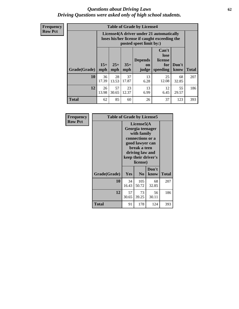### *Questions about Driving Laws* **62** *Driving Questions were asked only of high school students.*

**Frequency Row Pct**

| <b>Table of Grade by License4</b> |              |                                                                                                                      |              |                                      |                                             |               |              |  |  |
|-----------------------------------|--------------|----------------------------------------------------------------------------------------------------------------------|--------------|--------------------------------------|---------------------------------------------|---------------|--------------|--|--|
|                                   |              | License4(A driver under 21 automatically<br>loses his/her license if caught exceeding the<br>posted speet limit by:) |              |                                      |                                             |               |              |  |  |
| Grade(Grade)                      | $15+$<br>mph | $25+$<br>mph                                                                                                         | $35+$<br>mph | <b>Depends</b><br><b>on</b><br>judge | Can't<br>lose<br>license<br>for<br>speeding | Don't<br>know | <b>Total</b> |  |  |
| 10                                | 36<br>17.39  | 28<br>13.53                                                                                                          | 37<br>17.87  | 13<br>6.28                           | 25<br>12.08                                 | 68<br>32.85   | 207          |  |  |
| 12                                | 26<br>13.98  | 57<br>30.65                                                                                                          | 23<br>12.37  | 13<br>6.99                           | 12<br>6.45                                  | 55<br>29.57   | 186          |  |  |
| <b>Total</b>                      | 62           | 85                                                                                                                   | 60           | 26                                   | 37                                          | 123           | 393          |  |  |

| Frequency<br><b>Row Pct</b> | <b>Table of Grade by License5</b> |                                                                                                                                                             |                |               |       |
|-----------------------------|-----------------------------------|-------------------------------------------------------------------------------------------------------------------------------------------------------------|----------------|---------------|-------|
|                             |                                   | License5(A)<br>Georgia teenager<br>with family<br>connections or a<br>good lawyer can<br>break a teen<br>driving law and<br>keep their driver's<br>license) |                |               |       |
|                             | Grade(Grade)                      | <b>Yes</b>                                                                                                                                                  | N <sub>0</sub> | Don't<br>know | Total |
|                             | <b>10</b>                         | 34<br>16.43                                                                                                                                                 | 105<br>50.72   | 68<br>32.85   | 207   |
|                             | 12                                | 57<br>30.65                                                                                                                                                 | 73<br>39.25    | 56<br>30.11   | 186   |
|                             | <b>Total</b>                      | 91                                                                                                                                                          | 178            | 124           | 393   |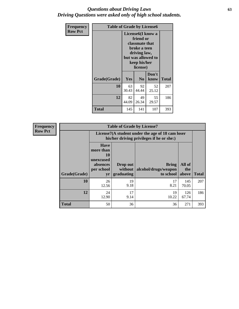## *Questions about Driving Laws* **63** *Driving Questions were asked only of high school students.*

| <b>Frequency</b> | <b>Table of Grade by License6</b> |             |                                                                                                                                                 |               |              |  |
|------------------|-----------------------------------|-------------|-------------------------------------------------------------------------------------------------------------------------------------------------|---------------|--------------|--|
| <b>Row Pct</b>   |                                   |             | License <sub>6</sub> (I know a<br>friend or<br>classmate that<br>broke a teen<br>driving law,<br>but was allowed to<br>keep his/her<br>license) |               |              |  |
|                  | Grade(Grade)                      | Yes         | N <sub>0</sub>                                                                                                                                  | Don't<br>know | <b>Total</b> |  |
|                  | 10                                | 63<br>30.43 | 92<br>44.44                                                                                                                                     | 52<br>25.12   | 207          |  |
|                  | 12                                | 82<br>44.09 | 49<br>26.34                                                                                                                                     | 55<br>29.57   | 186          |  |
|                  | <b>Total</b>                      | 145         | 141                                                                                                                                             | 107           | 393          |  |

| <b>Frequency</b> | <b>Table of Grade by License7</b> |                                                                             |                                     |                                                                                               |                        |              |  |  |  |  |
|------------------|-----------------------------------|-----------------------------------------------------------------------------|-------------------------------------|-----------------------------------------------------------------------------------------------|------------------------|--------------|--|--|--|--|
| <b>Row Pct</b>   |                                   |                                                                             |                                     | License7(A student under the age of 18 cam loser<br>his/her driving privileges if he or she:) |                        |              |  |  |  |  |
|                  | Grade(Grade)                      | <b>Have</b><br>more than<br>10<br>unexcused<br>absences<br>per school<br>yr | Drop out<br>without  <br>graduating | <b>Bring</b><br>alcohol/drugs/weapon<br>to school                                             | All of<br>the<br>above | <b>Total</b> |  |  |  |  |
|                  | 10                                | 26<br>12.56                                                                 | 19<br>9.18                          | 17<br>8.21                                                                                    | 145<br>70.05           | 207          |  |  |  |  |
|                  | 12                                | 24<br>12.90                                                                 | 17<br>9.14                          | 19<br>10.22                                                                                   | 126<br>67.74           | 186          |  |  |  |  |
|                  | <b>Total</b>                      | 50                                                                          | 36                                  | 36                                                                                            | 271                    | 393          |  |  |  |  |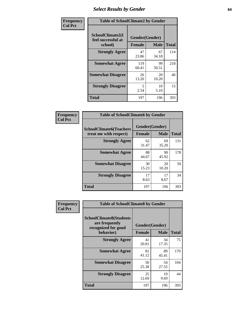# *Select Results by Gender* **64**

| Frequency      |                                                   | <b>Table of SchoolClimate2 by Gender</b> |             |              |  |  |  |  |
|----------------|---------------------------------------------------|------------------------------------------|-------------|--------------|--|--|--|--|
| <b>Col Pct</b> | SchoolClimate2(I<br>feel successful at<br>school) | Gender(Gender)<br><b>Female</b>          | <b>Male</b> | <b>Total</b> |  |  |  |  |
|                | <b>Strongly Agree</b>                             | 47<br>23.86                              | 67<br>34.18 | 114          |  |  |  |  |
|                | <b>Somewhat Agree</b>                             | 119<br>60.41                             | 99<br>50.51 | 218          |  |  |  |  |
|                | <b>Somewhat Disagree</b>                          | 26<br>13.20                              | 20<br>10.20 | 46           |  |  |  |  |
|                | <b>Strongly Disagree</b>                          | 5<br>2.54                                | 10<br>5.10  | 15           |  |  |  |  |
|                | <b>Total</b>                                      | 197                                      | 196         | 393          |  |  |  |  |

| Frequency      | <b>Table of SchoolClimate6 by Gender</b>                 |                                 |             |              |  |
|----------------|----------------------------------------------------------|---------------------------------|-------------|--------------|--|
| <b>Col Pct</b> | <b>SchoolClimate6(Teachers</b><br>treat me with respect) | Gender(Gender)<br><b>Female</b> | <b>Male</b> | <b>Total</b> |  |
|                | <b>Strongly Agree</b>                                    | 62<br>31.47                     | 69<br>35.20 | 131          |  |
|                | <b>Somewhat Agree</b>                                    | 88<br>44.67                     | 90<br>45.92 | 178          |  |
|                | <b>Somewhat Disagree</b>                                 | 30<br>15.23                     | 20<br>10.20 | 50           |  |
|                | <b>Strongly Disagree</b>                                 | 17<br>8.63                      | 17<br>8.67  | 34           |  |
|                | <b>Total</b>                                             | 197                             | 196         | 393          |  |

| <b>Frequency</b> | <b>Table of SchoolClimate8 by Gender</b>                                             |                                 |             |              |
|------------------|--------------------------------------------------------------------------------------|---------------------------------|-------------|--------------|
| <b>Col Pct</b>   | <b>SchoolClimate8(Students</b><br>are frequently<br>recognized for good<br>behavior) | Gender(Gender)<br><b>Female</b> | <b>Male</b> | <b>Total</b> |
|                  | <b>Strongly Agree</b>                                                                | 41<br>20.81                     | 34<br>17.35 | 75           |
|                  | <b>Somewhat Agree</b>                                                                | 81<br>41.12                     | 89<br>45.41 | 170          |
|                  | <b>Somewhat Disagree</b>                                                             | 50<br>25.38                     | 54<br>27.55 | 104          |
|                  | <b>Strongly Disagree</b>                                                             | 25<br>12.69                     | 19<br>9.69  | 44           |
|                  | <b>Total</b>                                                                         | 197                             | 196         | 393          |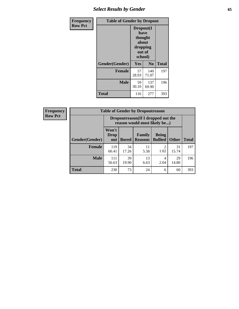# *Select Results by Gender* **65**

| Frequency      | <b>Table of Gender by Dropout</b> |                                                                        |                |              |
|----------------|-----------------------------------|------------------------------------------------------------------------|----------------|--------------|
| <b>Row Pct</b> |                                   | Dropout(I<br>have<br>thought<br>about<br>dropping<br>out of<br>school) |                |              |
|                | Gender(Gender)                    | <b>Yes</b>                                                             | N <sub>0</sub> | <b>Total</b> |
|                | <b>Female</b>                     | 57<br>28.93                                                            | 140<br>71.07   | 197          |
|                | <b>Male</b>                       | 59<br>30.10                                                            | 137<br>69.90   | 196          |
|                | <b>Total</b>                      | 116                                                                    | 277            | 393          |

| <b>Frequency</b> |                | <b>Table of Gender by Dropoutreason</b>                            |              |                          |                                |              |              |
|------------------|----------------|--------------------------------------------------------------------|--------------|--------------------------|--------------------------------|--------------|--------------|
| <b>Row Pct</b>   |                | Dropoutreason(If I dropped out the<br>reason would most likely be) |              |                          |                                |              |              |
|                  | Gender(Gender) | Won't<br><b>Drop</b><br>out                                        | <b>Bored</b> | Family<br><b>Reasons</b> | <b>Being</b><br><b>Bullied</b> | <b>Other</b> | <b>Total</b> |
|                  | Female         | 119<br>60.41                                                       | 34<br>17.26  | 11<br>5.58               | ↑<br>1.02                      | 31<br>15.74  | 197          |
|                  | <b>Male</b>    | 111<br>56.63                                                       | 39<br>19.90  | 13<br>6.63               | 4<br>2.04                      | 29<br>14.80  | 196          |
|                  | <b>Total</b>   | 230                                                                | 73           | 24                       | 6                              | 60           | 393          |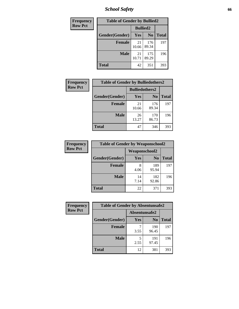*School Safety* **66**

| Frequency      | <b>Table of Gender by Bullied2</b> |                 |                |              |
|----------------|------------------------------------|-----------------|----------------|--------------|
| <b>Row Pct</b> |                                    | <b>Bullied2</b> |                |              |
|                | Gender(Gender)                     | <b>Yes</b>      | N <sub>0</sub> | <b>Total</b> |
|                | <b>Female</b>                      | 21<br>10.66     | 176<br>89.34   | 197          |
|                | <b>Male</b>                        | 21<br>10.71     | 175<br>89.29   | 196          |
|                | <b>Total</b>                       | 42              | 351            | 393          |

| Frequency      | <b>Table of Gender by Bulliedothers2</b> |                       |                |              |
|----------------|------------------------------------------|-----------------------|----------------|--------------|
| <b>Row Pct</b> |                                          | <b>Bulliedothers2</b> |                |              |
|                | Gender(Gender)                           | <b>Yes</b>            | N <sub>0</sub> | <b>Total</b> |
|                | <b>Female</b>                            | 21<br>10.66           | 176<br>89.34   | 197          |
|                | <b>Male</b>                              | 26<br>13.27           | 170<br>86.73   | 196          |
|                | <b>Total</b>                             | 47                    | 346            | 393          |

| Frequency      | <b>Table of Gender by Weaponschool2</b> |                      |                |              |
|----------------|-----------------------------------------|----------------------|----------------|--------------|
| <b>Row Pct</b> |                                         | <b>Weaponschool2</b> |                |              |
|                | Gender(Gender)                          | Yes                  | N <sub>0</sub> | <b>Total</b> |
|                | <b>Female</b>                           | 4.06                 | 189<br>95.94   | 197          |
|                | <b>Male</b>                             | 14<br>7.14           | 182<br>92.86   | 196          |
|                | <b>Total</b>                            | 22                   | 371            | 393          |

| Frequency      | <b>Table of Gender by Absentunsafe2</b> |               |                |              |
|----------------|-----------------------------------------|---------------|----------------|--------------|
| <b>Row Pct</b> |                                         | Absentunsafe2 |                |              |
|                | Gender(Gender)                          | Yes           | N <sub>0</sub> | <b>Total</b> |
|                | <b>Female</b>                           | 3.55          | 190<br>96.45   | 197          |
|                | <b>Male</b>                             | 2.55          | 191<br>97.45   | 196          |
|                | <b>Total</b>                            | 12            | 381            | 393          |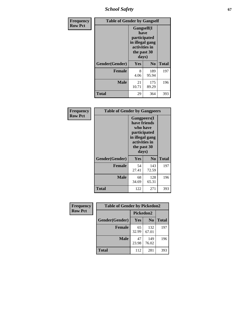*School Safety* **67**

| Frequency      | <b>Table of Gender by Gangself</b> |                                                                                                        |                |              |
|----------------|------------------------------------|--------------------------------------------------------------------------------------------------------|----------------|--------------|
| <b>Row Pct</b> |                                    | <b>Gangself</b> (I<br>have<br>participated<br>in illegal gang<br>activities in<br>the past 30<br>days) |                |              |
|                | Gender(Gender)                     | Yes                                                                                                    | N <sub>0</sub> | <b>Total</b> |
|                | <b>Female</b>                      | 8<br>4.06                                                                                              | 189<br>95.94   | 197          |
|                | <b>Male</b>                        | 21<br>10.71                                                                                            | 175<br>89.29   | 196          |
|                | <b>Total</b>                       | 29                                                                                                     | 364            | 393          |

| Frequency      | <b>Table of Gender by Gangpeers</b> |             |                                                                                                                             |              |
|----------------|-------------------------------------|-------------|-----------------------------------------------------------------------------------------------------------------------------|--------------|
| <b>Row Pct</b> |                                     |             | <b>Gangpeers</b> (I<br>have friends<br>who have<br>participated<br>in illegal gang<br>activities in<br>the past 30<br>days) |              |
|                | Gender(Gender)                      | Yes         | N <sub>0</sub>                                                                                                              | <b>Total</b> |
|                | <b>Female</b>                       | 54<br>27.41 | 143<br>72.59                                                                                                                | 197          |
|                | <b>Male</b>                         | 68<br>34.69 | 128<br>65.31                                                                                                                | 196          |
|                | <b>Total</b>                        | 122         | 271                                                                                                                         | 393          |

| Frequency      | <b>Table of Gender by Pickedon2</b> |             |                |              |
|----------------|-------------------------------------|-------------|----------------|--------------|
| <b>Row Pct</b> |                                     | Pickedon2   |                |              |
|                | Gender(Gender)                      | Yes         | N <sub>0</sub> | <b>Total</b> |
|                | <b>Female</b>                       | 65<br>32.99 | 132<br>67.01   | 197          |
|                | <b>Male</b>                         | 47<br>23.98 | 149<br>76.02   | 196          |
|                | <b>Total</b>                        | 112         | 281            | 393          |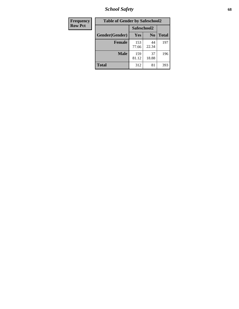*School Safety* **68**

| Frequency      | <b>Table of Gender by Safeschool2</b> |              |                |              |
|----------------|---------------------------------------|--------------|----------------|--------------|
| <b>Row Pct</b> |                                       | Safeschool2  |                |              |
|                | Gender(Gender)                        | Yes          | N <sub>0</sub> | <b>Total</b> |
|                | <b>Female</b>                         | 153<br>77.66 | 44<br>22.34    | 197          |
|                | Male                                  | 159<br>81.12 | 37<br>18.88    | 196          |
|                | <b>Total</b>                          | 312          | 81             | 393          |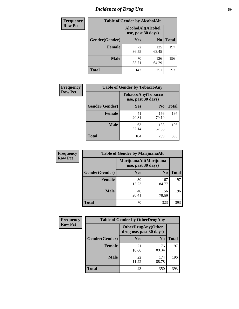# *Incidence of Drug Use* 69

| <b>Frequency</b> | <b>Table of Gender by AlcoholAlt</b> |                                          |                |              |
|------------------|--------------------------------------|------------------------------------------|----------------|--------------|
| <b>Row Pct</b>   |                                      | AlcoholAlt(Alcohol<br>use, past 30 days) |                |              |
|                  | Gender(Gender)                       | <b>Yes</b>                               | N <sub>0</sub> | <b>Total</b> |
|                  | <b>Female</b>                        | 72<br>36.55                              | 125<br>63.45   | 197          |
|                  | <b>Male</b>                          | 70<br>35.71                              | 126<br>64.29   | 196          |
|                  | <b>Total</b>                         | 142                                      | 251            | 393          |

| <b>Frequency</b> | <b>Table of Gender by TobaccoAny</b> |                                          |                |              |
|------------------|--------------------------------------|------------------------------------------|----------------|--------------|
| <b>Row Pct</b>   |                                      | TobaccoAny(Tobacco<br>use, past 30 days) |                |              |
|                  | Gender(Gender)                       | Yes                                      | N <sub>0</sub> | <b>Total</b> |
|                  | <b>Female</b>                        | 41<br>20.81                              | 156<br>79.19   | 197          |
|                  | <b>Male</b>                          | 63<br>32.14                              | 133<br>67.86   | 196          |
|                  | <b>Total</b>                         | 104                                      | 289            | 393          |

| <b>Frequency</b> | <b>Table of Gender by MarijuanaAlt</b> |             |                                              |              |
|------------------|----------------------------------------|-------------|----------------------------------------------|--------------|
| <b>Row Pct</b>   |                                        |             | MarijuanaAlt(Marijuana<br>use, past 30 days) |              |
|                  | Gender(Gender)                         | <b>Yes</b>  | N <sub>0</sub>                               | <b>Total</b> |
|                  | Female                                 | 30<br>15.23 | 167<br>84.77                                 | 197          |
|                  | <b>Male</b>                            | 40<br>20.41 | 156<br>79.59                                 | 196          |
|                  | <b>Total</b>                           | 70          | 323                                          | 393          |

| <b>Frequency</b> | <b>Table of Gender by OtherDrugAny</b> |                         |                            |              |
|------------------|----------------------------------------|-------------------------|----------------------------|--------------|
| <b>Row Pct</b>   |                                        | drug use, past 30 days) | <b>OtherDrugAny</b> (Other |              |
|                  | Gender(Gender)                         | <b>Yes</b>              | N <sub>0</sub>             | <b>Total</b> |
|                  | <b>Female</b>                          | 21<br>10.66             | 176<br>89.34               | 197          |
|                  | <b>Male</b>                            | 22<br>11.22             | 174<br>88.78               | 196          |
|                  | <b>Total</b>                           | 43                      | 350                        | 393          |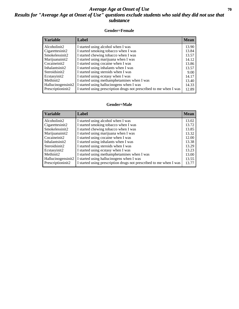## *Average Age at Onset of Use* **70** *Results for "Average Age at Onset of Use" questions exclude students who said they did not use that substance*

#### **Gender=Female**

| <b>Variable</b>                 | <b>Label</b>                                                       | <b>Mean</b> |
|---------------------------------|--------------------------------------------------------------------|-------------|
| Alcoholinit2                    | I started using alcohol when I was                                 | 13.90       |
| Cigarettesinit2                 | I started smoking tobacco when I was                               | 13.84       |
| Smokelessinit2                  | I started chewing tobacco when I was                               | 13.57       |
| Marijuanainit2                  | I started using marijuana when I was                               | 14.12       |
| Cocaineinit2                    | I started using cocaine when I was                                 | 13.86       |
| Inhalantsinit2                  | I started using inhalants when I was                               | 13.57       |
| Steroidsinit2                   | I started using steroids when I was                                | 9.00        |
| Ecstasyinit2                    | I started using ecstasy when I was                                 | 14.17       |
| Methinit2                       | I started using methamphetamines when I was                        | 13.40       |
| Hallucinogensinit2              | I started using hallucinogens when I was                           | 14.33       |
| Prescription in it <sub>2</sub> | I started using prescription drugs not prescribed to me when I was | 12.89       |

#### **Gender=Male**

| <b>Variable</b>                 | Label                                                              | <b>Mean</b> |
|---------------------------------|--------------------------------------------------------------------|-------------|
| Alcoholinit2                    | I started using alcohol when I was                                 | 13.02       |
| Cigarettesinit2                 | I started smoking tobacco when I was                               | 13.72       |
| Smokelessinit2                  | I started chewing tobacco when I was                               | 13.85       |
| Marijuanainit2                  | I started using marijuana when I was                               | 13.32       |
| Cocaineinit2                    | I started using cocaine when I was                                 | 12.00       |
| Inhalantsinit2                  | I started using inhalants when I was                               | 13.38       |
| Steroidsinit2                   | I started using steroids when I was                                | 13.29       |
| Ecstasyinit2                    | I started using ecstasy when I was                                 | 13.23       |
| Methinit2                       | I started using methamphetamines when I was                        | 13.00       |
| Hallucinogensinit2              | I started using hallucinogens when I was                           | 13.55       |
| Prescription in it <sub>2</sub> | I started using prescription drugs not prescribed to me when I was | 13.77       |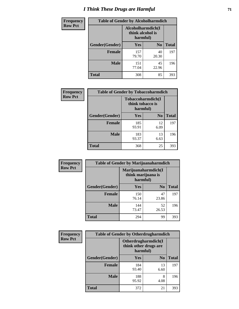# *I Think These Drugs are Harmful* **71**

| Frequency      | <b>Table of Gender by Alcoholharmdich</b> |                  |                               |              |
|----------------|-------------------------------------------|------------------|-------------------------------|--------------|
| <b>Row Pct</b> |                                           | think alcohol is | Alcoholharmdich(I<br>harmful) |              |
|                | Gender(Gender)                            | Yes              | N <sub>0</sub>                | <b>Total</b> |
|                | <b>Female</b>                             | 157<br>79.70     | 40<br>20.30                   | 197          |
|                | <b>Male</b>                               | 151<br>77.04     | 45<br>22.96                   | 196          |
|                | Total                                     | 308              | 85                            | 393          |

| Frequency      | <b>Table of Gender by Tobaccoharmdich</b> |                  |                               |              |
|----------------|-------------------------------------------|------------------|-------------------------------|--------------|
| <b>Row Pct</b> |                                           | think tobacco is | Tobaccoharmdich(I<br>harmful) |              |
|                | Gender(Gender)                            | <b>Yes</b>       | N <sub>0</sub>                | <b>Total</b> |
|                | <b>Female</b>                             | 185<br>93.91     | 12<br>6.09                    | 197          |
|                | <b>Male</b>                               | 183<br>93.37     | 13<br>6.63                    | 196          |
|                | <b>Total</b>                              | 368              | 25                            | 393          |

| Frequency      | <b>Table of Gender by Marijuanaharmdich</b> |                                                       |                |              |  |
|----------------|---------------------------------------------|-------------------------------------------------------|----------------|--------------|--|
| <b>Row Pct</b> |                                             | Marijuanaharmdich(I<br>think marijuana is<br>harmful) |                |              |  |
|                | Gender(Gender)                              | <b>Yes</b>                                            | N <sub>0</sub> | <b>Total</b> |  |
|                | <b>Female</b>                               | 150<br>76.14                                          | 47<br>23.86    | 197          |  |
|                | <b>Male</b>                                 | 144<br>73.47                                          | 52<br>26.53    | 196          |  |
|                | <b>Total</b>                                | 294                                                   | 99             | 393          |  |

| Frequency      | <b>Table of Gender by Otherdrugharmdich</b> |                                                          |                |              |  |
|----------------|---------------------------------------------|----------------------------------------------------------|----------------|--------------|--|
| <b>Row Pct</b> |                                             | Otherdrugharmdich(I<br>think other drugs are<br>harmful) |                |              |  |
|                | Gender(Gender)                              | <b>Yes</b>                                               | N <sub>0</sub> | <b>Total</b> |  |
|                | <b>Female</b>                               | 184<br>93.40                                             | 13<br>6.60     | 197          |  |
|                | <b>Male</b>                                 | 188<br>95.92                                             | 8<br>4.08      | 196          |  |
|                | <b>Total</b>                                | 372                                                      | 21             | 393          |  |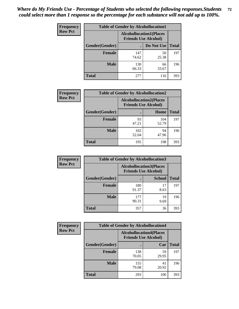| <b>Frequency</b> | <b>Table of Gender by Alcohollocation1</b> |                                                               |             |              |
|------------------|--------------------------------------------|---------------------------------------------------------------|-------------|--------------|
| <b>Row Pct</b>   |                                            | <b>Alcohollocation1(Places</b><br><b>Friends Use Alcohol)</b> |             |              |
|                  | Gender(Gender)                             |                                                               | Do Not Use  | <b>Total</b> |
|                  | <b>Female</b>                              | 147<br>74.62                                                  | 50<br>25.38 | 197          |
|                  | <b>Male</b>                                | 130<br>66.33                                                  | 66<br>33.67 | 196          |
|                  | <b>Total</b>                               | 277                                                           | 116         | 393          |

| <b>Frequency</b> | <b>Table of Gender by Alcohollocation2</b> |                                                               |              |              |
|------------------|--------------------------------------------|---------------------------------------------------------------|--------------|--------------|
| <b>Row Pct</b>   |                                            | <b>Alcohollocation2(Places</b><br><b>Friends Use Alcohol)</b> |              |              |
|                  | Gender(Gender)                             |                                                               | Home         | <b>Total</b> |
|                  | <b>Female</b>                              | 93<br>47.21                                                   | 104<br>52.79 | 197          |
|                  | <b>Male</b>                                | 102<br>52.04                                                  | 94<br>47.96  | 196          |
|                  | <b>Total</b>                               | 195                                                           | 198          | 393          |

| Frequency      | <b>Table of Gender by Alcohollocation3</b> |                                                               |               |              |
|----------------|--------------------------------------------|---------------------------------------------------------------|---------------|--------------|
| <b>Row Pct</b> |                                            | <b>Alcohollocation3(Places</b><br><b>Friends Use Alcohol)</b> |               |              |
|                | Gender(Gender)                             |                                                               | <b>School</b> | <b>Total</b> |
|                | <b>Female</b>                              | 180<br>91.37                                                  | 17<br>8.63    | 197          |
|                | <b>Male</b>                                | 177<br>90.31                                                  | 19<br>9.69    | 196          |
|                | <b>Total</b>                               | 357                                                           | 36            | 393          |

| Frequency      | <b>Table of Gender by Alcohollocation4</b> |                                                               |             |              |  |
|----------------|--------------------------------------------|---------------------------------------------------------------|-------------|--------------|--|
| <b>Row Pct</b> |                                            | <b>Alcohollocation4(Places</b><br><b>Friends Use Alcohol)</b> |             |              |  |
|                | <b>Gender</b> (Gender)                     |                                                               | Car         | <b>Total</b> |  |
|                | <b>Female</b>                              | 138<br>70.05                                                  | 59<br>29.95 | 197          |  |
|                | <b>Male</b>                                | 155<br>79.08                                                  | 41<br>20.92 | 196          |  |
|                | <b>Total</b>                               | 293                                                           | 100         | 393          |  |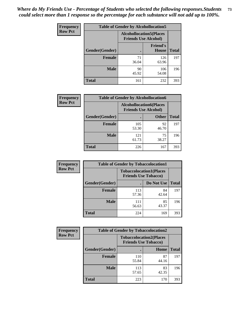| <b>Frequency</b> | <b>Table of Gender by Alcohollocation5</b> |                                                                |                                 |              |
|------------------|--------------------------------------------|----------------------------------------------------------------|---------------------------------|--------------|
| <b>Row Pct</b>   |                                            | <b>Alcohollocation5</b> (Places<br><b>Friends Use Alcohol)</b> |                                 |              |
|                  | Gender(Gender)                             | $\bullet$                                                      | <b>Friend's</b><br><b>House</b> | <b>Total</b> |
|                  | <b>Female</b>                              | 71<br>36.04                                                    | 126<br>63.96                    | 197          |
|                  | <b>Male</b>                                | 90<br>45.92                                                    | 106<br>54.08                    | 196          |
|                  | <b>Total</b>                               | 161                                                            | 232                             | 393          |

| Frequency      | <b>Table of Gender by Alcohollocation6</b> |                                                               |              |              |  |
|----------------|--------------------------------------------|---------------------------------------------------------------|--------------|--------------|--|
| <b>Row Pct</b> |                                            | <b>Alcohollocation6(Places</b><br><b>Friends Use Alcohol)</b> |              |              |  |
|                | Gender(Gender)                             |                                                               | <b>Other</b> | <b>Total</b> |  |
|                | <b>Female</b>                              | 105<br>53.30                                                  | 92<br>46.70  | 197          |  |
|                | <b>Male</b>                                | 121<br>61.73                                                  | 75<br>38.27  | 196          |  |
|                | <b>Total</b>                               | 226                                                           | 167          | 393          |  |

| Frequency      | <b>Table of Gender by Tobaccolocation1</b> |                                                               |             |              |  |
|----------------|--------------------------------------------|---------------------------------------------------------------|-------------|--------------|--|
| <b>Row Pct</b> |                                            | <b>Tobaccolocation1(Places</b><br><b>Friends Use Tobacco)</b> |             |              |  |
|                | Gender(Gender)                             |                                                               | Do Not Use  | <b>Total</b> |  |
|                | Female                                     | 113<br>57.36                                                  | 84<br>42.64 | 197          |  |
|                | <b>Male</b>                                | 111<br>56.63                                                  | 85<br>43.37 | 196          |  |
|                | <b>Total</b>                               | 224                                                           | 169         | 393          |  |

| <b>Frequency</b> | <b>Table of Gender by Tobaccolocation2</b> |                                                               |             |              |
|------------------|--------------------------------------------|---------------------------------------------------------------|-------------|--------------|
| <b>Row Pct</b>   |                                            | <b>Tobaccolocation2(Places</b><br><b>Friends Use Tobacco)</b> |             |              |
|                  | Gender(Gender)                             |                                                               | Home        | <b>Total</b> |
|                  | Female                                     | 110<br>55.84                                                  | 87<br>44.16 | 197          |
|                  | <b>Male</b>                                | 113<br>57.65                                                  | 83<br>42.35 | 196          |
|                  | <b>Total</b>                               | 223                                                           | 170         | 393          |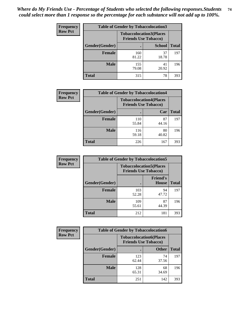| <b>Frequency</b> | <b>Table of Gender by Tobaccolocation3</b> |              |                                                               |              |
|------------------|--------------------------------------------|--------------|---------------------------------------------------------------|--------------|
| <b>Row Pct</b>   |                                            |              | <b>Tobaccolocation3(Places</b><br><b>Friends Use Tobacco)</b> |              |
|                  | Gender(Gender)                             |              | <b>School</b>                                                 | <b>Total</b> |
|                  | Female                                     | 160<br>81.22 | 37<br>18.78                                                   | 197          |
|                  | <b>Male</b>                                | 155<br>79.08 | 41<br>20.92                                                   | 196          |
|                  | <b>Total</b>                               | 315          | 78                                                            | 393          |

| <b>Frequency</b> | <b>Table of Gender by Tobaccolocation4</b> |                                                               |             |              |
|------------------|--------------------------------------------|---------------------------------------------------------------|-------------|--------------|
| <b>Row Pct</b>   |                                            | <b>Tobaccolocation4(Places</b><br><b>Friends Use Tobacco)</b> |             |              |
|                  | Gender(Gender)                             |                                                               | Car         | <b>Total</b> |
|                  | <b>Female</b>                              | 110<br>55.84                                                  | 87<br>44.16 | 197          |
|                  | <b>Male</b>                                | 116<br>59.18                                                  | 80<br>40.82 | 196          |
|                  | <b>Total</b>                               | 226                                                           | 167         | 393          |

| <b>Frequency</b> | <b>Table of Gender by Tobaccolocation5</b> |                                                               |                                 |              |
|------------------|--------------------------------------------|---------------------------------------------------------------|---------------------------------|--------------|
| <b>Row Pct</b>   |                                            | <b>Tobaccolocation5(Places</b><br><b>Friends Use Tobacco)</b> |                                 |              |
|                  | Gender(Gender)                             |                                                               | <b>Friend's</b><br><b>House</b> | <b>Total</b> |
|                  | <b>Female</b>                              | 103<br>52.28                                                  | 94<br>47.72                     | 197          |
|                  | <b>Male</b>                                | 109<br>55.61                                                  | 87<br>44.39                     | 196          |
|                  | <b>Total</b>                               | 212                                                           | 181                             | 393          |

| <b>Frequency</b> | <b>Table of Gender by Tobaccolocation6</b> |                                                               |              |              |
|------------------|--------------------------------------------|---------------------------------------------------------------|--------------|--------------|
| <b>Row Pct</b>   |                                            | <b>Tobaccolocation6(Places</b><br><b>Friends Use Tobacco)</b> |              |              |
|                  | Gender(Gender)                             |                                                               | <b>Other</b> | <b>Total</b> |
|                  | Female                                     | 123<br>62.44                                                  | 74<br>37.56  | 197          |
|                  | <b>Male</b>                                | 128<br>65.31                                                  | 68<br>34.69  | 196          |
|                  | <b>Total</b>                               | 251                                                           | 142          | 393          |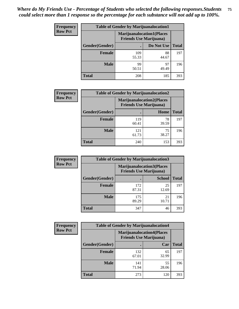| <b>Frequency</b> | <b>Table of Gender by Marijuanalocation1</b> |                                                                    |             |              |  |
|------------------|----------------------------------------------|--------------------------------------------------------------------|-------------|--------------|--|
| <b>Row Pct</b>   |                                              | <b>Marijuanalocation1(Places</b><br><b>Friends Use Marijuana</b> ) |             |              |  |
|                  | <b>Gender</b> (Gender)                       |                                                                    | Do Not Use  | <b>Total</b> |  |
|                  | <b>Female</b>                                | 109<br>55.33                                                       | 88<br>44.67 | 197          |  |
|                  | <b>Male</b>                                  | 99<br>50.51                                                        | 97<br>49.49 | 196          |  |
|                  | <b>Total</b>                                 | 208                                                                | 185         | 393          |  |

| <b>Frequency</b> | <b>Table of Gender by Marijuanalocation2</b> |                                                                    |             |              |  |
|------------------|----------------------------------------------|--------------------------------------------------------------------|-------------|--------------|--|
| <b>Row Pct</b>   |                                              | <b>Marijuanalocation2(Places</b><br><b>Friends Use Marijuana</b> ) |             |              |  |
|                  | Gender(Gender)                               |                                                                    | Home        | <b>Total</b> |  |
|                  | <b>Female</b>                                | 119<br>60.41                                                       | 78<br>39.59 | 197          |  |
|                  | <b>Male</b>                                  | 121<br>61.73                                                       | 75<br>38.27 | 196          |  |
|                  | <b>Total</b>                                 | 240                                                                | 153         | 393          |  |

| Frequency      | <b>Table of Gender by Marijuanalocation3</b> |                                                                    |               |              |
|----------------|----------------------------------------------|--------------------------------------------------------------------|---------------|--------------|
| <b>Row Pct</b> |                                              | <b>Marijuanalocation3(Places</b><br><b>Friends Use Marijuana</b> ) |               |              |
|                | Gender(Gender)                               |                                                                    | <b>School</b> | <b>Total</b> |
|                | Female                                       | 172<br>87.31                                                       | 25<br>12.69   | 197          |
|                | <b>Male</b>                                  | 175<br>89.29                                                       | 21<br>10.71   | 196          |
|                | <b>Total</b>                                 | 347                                                                | 46            | 393          |

| Frequency      | <b>Table of Gender by Marijuanalocation4</b> |                                |                                  |              |
|----------------|----------------------------------------------|--------------------------------|----------------------------------|--------------|
| <b>Row Pct</b> |                                              | <b>Friends Use Marijuana</b> ) | <b>Marijuanalocation4(Places</b> |              |
|                | <b>Gender</b> (Gender)                       |                                | Car                              | <b>Total</b> |
|                | <b>Female</b>                                | 132<br>67.01                   | 65<br>32.99                      | 197          |
|                | <b>Male</b>                                  | 141<br>71.94                   | 55<br>28.06                      | 196          |
|                | <b>Total</b>                                 | 273                            | 120                              | 393          |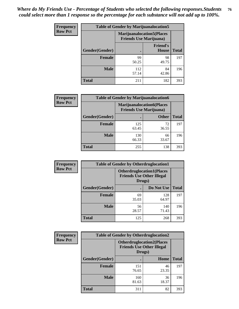| <b>Frequency</b> | <b>Table of Gender by Marijuanalocation5</b> |                                                                     |                          |              |
|------------------|----------------------------------------------|---------------------------------------------------------------------|--------------------------|--------------|
| <b>Row Pct</b>   |                                              | <b>Marijuanalocation5</b> (Places<br><b>Friends Use Marijuana</b> ) |                          |              |
|                  | <b>Gender</b> (Gender)                       |                                                                     | <b>Friend's</b><br>House | <b>Total</b> |
|                  | <b>Female</b>                                | 99<br>50.25                                                         | 98<br>49.75              | 197          |
|                  | <b>Male</b>                                  | 112<br>57.14                                                        | 84<br>42.86              | 196          |
|                  | <b>Total</b>                                 | 211                                                                 | 182                      | 393          |

| <b>Frequency</b> | <b>Table of Gender by Marijuanalocation6</b> |                                                                    |              |              |
|------------------|----------------------------------------------|--------------------------------------------------------------------|--------------|--------------|
| <b>Row Pct</b>   |                                              | <b>Marijuanalocation6(Places</b><br><b>Friends Use Marijuana</b> ) |              |              |
|                  | <b>Gender</b> (Gender)                       |                                                                    | <b>Other</b> | <b>Total</b> |
|                  | Female                                       | 125<br>63.45                                                       | 72<br>36.55  | 197          |
|                  | <b>Male</b>                                  | 130<br>66.33                                                       | 66<br>33.67  | 196          |
|                  | Total                                        | 255                                                                | 138          | 393          |

| <b>Frequency</b> | <b>Table of Gender by Otherdruglocation1</b> |                                                                                |              |              |
|------------------|----------------------------------------------|--------------------------------------------------------------------------------|--------------|--------------|
| <b>Row Pct</b>   |                                              | <b>Otherdruglocation1(Places</b><br><b>Friends Use Other Illegal</b><br>Drugs) |              |              |
|                  | Gender(Gender)                               |                                                                                | Do Not Use   | <b>Total</b> |
|                  | Female                                       | 69<br>35.03                                                                    | 128<br>64.97 | 197          |
|                  | <b>Male</b>                                  | 56<br>28.57                                                                    | 140<br>71.43 | 196          |
|                  | <b>Total</b>                                 | 125                                                                            | 268          | 393          |

| <b>Frequency</b> | <b>Table of Gender by Otherdruglocation2</b> |                                                                                |             |              |
|------------------|----------------------------------------------|--------------------------------------------------------------------------------|-------------|--------------|
| <b>Row Pct</b>   |                                              | <b>Otherdruglocation2(Places</b><br><b>Friends Use Other Illegal</b><br>Drugs) |             |              |
|                  | Gender(Gender)                               |                                                                                | Home        | <b>Total</b> |
|                  | <b>Female</b>                                | 151<br>76.65                                                                   | 46<br>23.35 | 197          |
|                  | <b>Male</b>                                  | 160<br>81.63                                                                   | 36<br>18.37 | 196          |
|                  | <b>Total</b>                                 | 311                                                                            | 82          | 393          |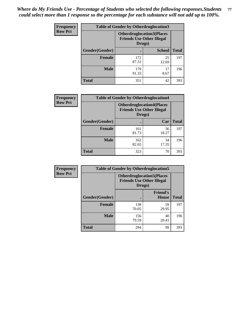| <b>Frequency</b> | <b>Table of Gender by Otherdruglocation3</b> |                                                                                |               |              |
|------------------|----------------------------------------------|--------------------------------------------------------------------------------|---------------|--------------|
| <b>Row Pct</b>   |                                              | <b>Otherdruglocation3(Places</b><br><b>Friends Use Other Illegal</b><br>Drugs) |               |              |
|                  | Gender(Gender)                               |                                                                                | <b>School</b> | <b>Total</b> |
|                  | <b>Female</b>                                | 172<br>87.31                                                                   | 25<br>12.69   | 197          |
|                  | <b>Male</b>                                  | 179<br>91.33                                                                   | 17<br>8.67    | 196          |
|                  | <b>Total</b>                                 | 351                                                                            | 42            | 393          |

| Frequency      | <b>Table of Gender by Otherdruglocation4</b> |                                                                                |             |              |
|----------------|----------------------------------------------|--------------------------------------------------------------------------------|-------------|--------------|
| <b>Row Pct</b> |                                              | <b>Otherdruglocation4(Places</b><br><b>Friends Use Other Illegal</b><br>Drugs) |             |              |
|                | Gender(Gender)                               |                                                                                | Car         | <b>Total</b> |
|                | Female                                       | 161<br>81.73                                                                   | 36<br>18.27 | 197          |
|                | <b>Male</b>                                  | 162<br>82.65                                                                   | 34<br>17.35 | 196          |
|                | <b>Total</b>                                 | 323                                                                            | 70          | 393          |

| <b>Frequency</b> | <b>Table of Gender by Otherdruglocation5</b> |                                                                                |                                 |              |
|------------------|----------------------------------------------|--------------------------------------------------------------------------------|---------------------------------|--------------|
| <b>Row Pct</b>   |                                              | <b>Otherdruglocation5(Places</b><br><b>Friends Use Other Illegal</b><br>Drugs) |                                 |              |
|                  | Gender(Gender)                               |                                                                                | <b>Friend's</b><br><b>House</b> | <b>Total</b> |
|                  | <b>Female</b>                                | 138<br>70.05                                                                   | 59<br>29.95                     | 197          |
|                  | <b>Male</b>                                  | 156<br>79.59                                                                   | 40<br>20.41                     | 196          |
|                  | <b>Total</b>                                 | 294                                                                            | 99                              | 393          |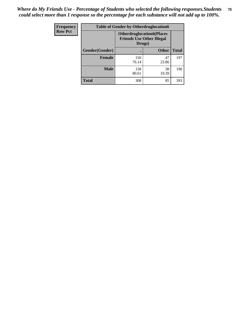| <b>Frequency</b> | <b>Table of Gender by Otherdruglocation6</b> |                                                                                |              |              |
|------------------|----------------------------------------------|--------------------------------------------------------------------------------|--------------|--------------|
| <b>Row Pct</b>   |                                              | <b>Otherdruglocation6(Places</b><br><b>Friends Use Other Illegal</b><br>Drugs) |              |              |
|                  | Gender(Gender)                               |                                                                                | <b>Other</b> | <b>Total</b> |
|                  | Female                                       | 150<br>76.14                                                                   | 47<br>23.86  | 197          |
|                  | <b>Male</b>                                  | 158<br>80.61                                                                   | 38<br>19.39  | 196          |
|                  | <b>Total</b>                                 | 308                                                                            | 85           | 393          |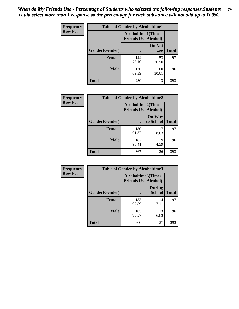| <b>Frequency</b> | <b>Table of Gender by Alcoholtime1</b> |                                                          |                      |              |
|------------------|----------------------------------------|----------------------------------------------------------|----------------------|--------------|
| <b>Row Pct</b>   |                                        | <b>Alcoholtime1(Times</b><br><b>Friends Use Alcohol)</b> |                      |              |
|                  | Gender(Gender)                         | $\bullet$                                                | Do Not<br><b>Use</b> | <b>Total</b> |
|                  | <b>Female</b>                          | 144<br>73.10                                             | 53<br>26.90          | 197          |
|                  | <b>Male</b>                            | 136<br>69.39                                             | 60<br>30.61          | 196          |
|                  | <b>Total</b>                           | 280                                                      | 113                  | 393          |

| Frequency      | <b>Table of Gender by Alcoholtime2</b> |                                                          |                            |              |
|----------------|----------------------------------------|----------------------------------------------------------|----------------------------|--------------|
| <b>Row Pct</b> |                                        | <b>Alcoholtime2(Times</b><br><b>Friends Use Alcohol)</b> |                            |              |
|                | Gender(Gender)                         |                                                          | <b>On Way</b><br>to School | <b>Total</b> |
|                | <b>Female</b>                          | 180<br>91.37                                             | 17<br>8.63                 | 197          |
|                | <b>Male</b>                            | 187<br>95.41                                             | 9<br>4.59                  | 196          |
|                | <b>Total</b>                           | 367                                                      | 26                         | 393          |

| Frequency      | <b>Table of Gender by Alcoholtime3</b> |                                                          |                                |              |
|----------------|----------------------------------------|----------------------------------------------------------|--------------------------------|--------------|
| <b>Row Pct</b> |                                        | <b>Alcoholtime3(Times</b><br><b>Friends Use Alcohol)</b> |                                |              |
|                | Gender(Gender)                         |                                                          | <b>During</b><br><b>School</b> | <b>Total</b> |
|                | Female                                 | 183<br>92.89                                             | 14<br>7.11                     | 197          |
|                | <b>Male</b>                            | 183<br>93.37                                             | 13<br>6.63                     | 196          |
|                | <b>Total</b>                           | 366                                                      | 27                             | 393          |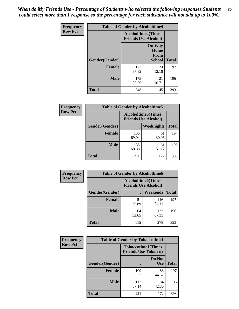*When do My Friends Use - Percentage of Students who selected the following responses.Students could select more than 1 response so the percentage for each substance will not add up to 100%.* **80**

| <b>Frequency</b> | <b>Table of Gender by Alcoholtime4</b> |                                                          |                                                |              |
|------------------|----------------------------------------|----------------------------------------------------------|------------------------------------------------|--------------|
| <b>Row Pct</b>   |                                        | <b>Alcoholtime4(Times</b><br><b>Friends Use Alcohol)</b> |                                                |              |
|                  | Gender(Gender)                         |                                                          | <b>On Way</b><br>Home<br>From<br><b>School</b> | <b>Total</b> |
|                  | <b>Female</b>                          | 173<br>87.82                                             | 24<br>12.18                                    | 197          |
|                  | <b>Male</b>                            | 175<br>89.29                                             | 21<br>10.71                                    | 196          |
|                  | <b>Total</b>                           | 348                                                      | 45                                             | 393          |

| <b>Frequency</b> | <b>Table of Gender by Alcoholtime5</b> |                                                           |                   |              |
|------------------|----------------------------------------|-----------------------------------------------------------|-------------------|--------------|
| <b>Row Pct</b>   |                                        | <b>Alcoholtime5</b> (Times<br><b>Friends Use Alcohol)</b> |                   |              |
|                  | Gender(Gender)                         |                                                           | <b>Weeknights</b> | <b>Total</b> |
|                  | <b>Female</b>                          | 136<br>69.04                                              | 61<br>30.96       | 197          |
|                  | <b>Male</b>                            | 135<br>68.88                                              | 61<br>31.12       | 196          |
|                  | <b>Total</b>                           | 271                                                       | 122               | 393          |

| <b>Frequency</b> | <b>Table of Gender by Alcoholtime6</b> |             |                                                           |              |
|------------------|----------------------------------------|-------------|-----------------------------------------------------------|--------------|
| <b>Row Pct</b>   |                                        |             | <b>Alcoholtime6</b> (Times<br><b>Friends Use Alcohol)</b> |              |
|                  | Gender(Gender)                         |             | Weekends                                                  | <b>Total</b> |
|                  | Female                                 | 51<br>25.89 | 146<br>74.11                                              | 197          |
|                  | <b>Male</b>                            | 64<br>32.65 | 132<br>67.35                                              | 196          |
|                  | <b>Total</b>                           | 115         | 278                                                       | 393          |

| Frequency      | <b>Table of Gender by Tobaccotime1</b> |                                                          |                      |              |
|----------------|----------------------------------------|----------------------------------------------------------|----------------------|--------------|
| <b>Row Pct</b> |                                        | <b>Tobaccotime1(Times</b><br><b>Friends Use Tobacco)</b> |                      |              |
|                | Gender(Gender)                         |                                                          | Do Not<br><b>Use</b> | <b>Total</b> |
|                | <b>Female</b>                          | 109<br>55.33                                             | 88<br>44.67          | 197          |
|                | <b>Male</b>                            | 112<br>57.14                                             | 84<br>42.86          | 196          |
|                | <b>Total</b>                           | 221                                                      | 172                  | 393          |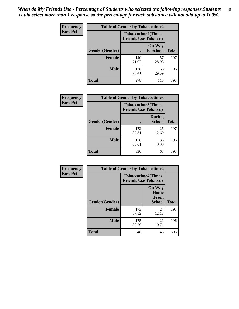*When do My Friends Use - Percentage of Students who selected the following responses.Students could select more than 1 response so the percentage for each substance will not add up to 100%.* **81**

| Frequency      | <b>Table of Gender by Tobaccotime2</b> |                                                          |                            |              |
|----------------|----------------------------------------|----------------------------------------------------------|----------------------------|--------------|
| <b>Row Pct</b> |                                        | <b>Tobaccotime2(Times</b><br><b>Friends Use Tobacco)</b> |                            |              |
|                | Gender(Gender)                         | $\bullet$                                                | <b>On Way</b><br>to School | <b>Total</b> |
|                | <b>Female</b>                          | 140<br>71.07                                             | 57<br>28.93                | 197          |
|                | <b>Male</b>                            | 138<br>70.41                                             | 58<br>29.59                | 196          |
|                | <b>Total</b>                           | 278                                                      | 115                        | 393          |

| Frequency      | <b>Table of Gender by Tobaccotime3</b>                   |              |                                |              |
|----------------|----------------------------------------------------------|--------------|--------------------------------|--------------|
| <b>Row Pct</b> | <b>Tobaccotime3(Times</b><br><b>Friends Use Tobacco)</b> |              |                                |              |
|                | Gender(Gender)                                           |              | <b>During</b><br><b>School</b> | <b>Total</b> |
|                | Female                                                   | 172<br>87.31 | 25<br>12.69                    | 197          |
|                | <b>Male</b>                                              | 158<br>80.61 | 38<br>19.39                    | 196          |
|                | <b>Total</b>                                             | 330          | 63                             | 393          |

| <b>Frequency</b> |                | <b>Table of Gender by Tobaccotime4</b>                   |                                                |              |
|------------------|----------------|----------------------------------------------------------|------------------------------------------------|--------------|
| <b>Row Pct</b>   |                | <b>Tobaccotime4(Times</b><br><b>Friends Use Tobacco)</b> |                                                |              |
|                  | Gender(Gender) |                                                          | <b>On Way</b><br>Home<br>From<br><b>School</b> | <b>Total</b> |
|                  | <b>Female</b>  | 173<br>87.82                                             | 24<br>12.18                                    | 197          |
|                  | <b>Male</b>    | 175<br>89.29                                             | 21<br>10.71                                    | 196          |
|                  | <b>Total</b>   | 348                                                      | 45                                             | 393          |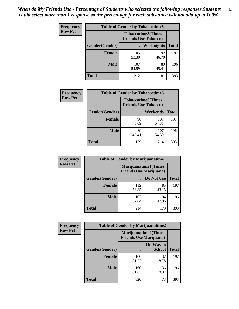| <b>Frequency</b> | <b>Table of Gender by Tobaccotime5</b> |                                                           |             |              |  |
|------------------|----------------------------------------|-----------------------------------------------------------|-------------|--------------|--|
| <b>Row Pct</b>   |                                        | <b>Tobaccotime5</b> (Times<br><b>Friends Use Tobacco)</b> |             |              |  |
|                  | Gender(Gender)                         |                                                           | Weeknights  | <b>Total</b> |  |
|                  | <b>Female</b>                          | 105<br>53.30                                              | 92<br>46.70 | 197          |  |
|                  | <b>Male</b>                            | 107<br>54.59                                              | 89<br>45.41 | 196          |  |
|                  | <b>Total</b>                           | 212                                                       | 181         | 393          |  |

| <b>Frequency</b> | <b>Table of Gender by Tobaccotime6</b> |                             |                           |              |
|------------------|----------------------------------------|-----------------------------|---------------------------|--------------|
| <b>Row Pct</b>   |                                        | <b>Friends Use Tobacco)</b> | <b>Tobaccotime6(Times</b> |              |
|                  | Gender(Gender)                         |                             | Weekends                  | <b>Total</b> |
|                  | Female                                 | 90<br>45.69                 | 107<br>54.31              | 197          |
|                  | <b>Male</b>                            | 89<br>45.41                 | 107<br>54.59              | 196          |
|                  | <b>Total</b>                           | 179                         | 214                       | 393          |

| <b>Frequency</b> | <b>Table of Gender by Marijuanatime1</b> |                                |                      |              |
|------------------|------------------------------------------|--------------------------------|----------------------|--------------|
| <b>Row Pct</b>   |                                          | <b>Friends Use Marijuana</b> ) | Marijuanatime1(Times |              |
|                  | Gender(Gender)                           |                                | Do Not Use           | <b>Total</b> |
|                  | <b>Female</b>                            | 112<br>56.85                   | 85<br>43.15          | 197          |
|                  | <b>Male</b>                              | 102<br>52.04                   | 94<br>47.96          | 196          |
|                  | <b>Total</b>                             | 214                            | 179                  | 393          |

| <b>Frequency</b> | <b>Table of Gender by Marijuanatime2</b> |                                                               |                            |              |
|------------------|------------------------------------------|---------------------------------------------------------------|----------------------------|--------------|
| <b>Row Pct</b>   |                                          | <b>Marijuanatime2(Times</b><br><b>Friends Use Marijuana</b> ) |                            |              |
|                  | Gender(Gender)                           |                                                               | On Way to<br><b>School</b> | <b>Total</b> |
|                  | <b>Female</b>                            | 160<br>81.22                                                  | 37<br>18.78                | 197          |
|                  | <b>Male</b>                              | 160<br>81.63                                                  | 36<br>18.37                | 196          |
|                  | <b>Total</b>                             | 320                                                           | 73                         | 393          |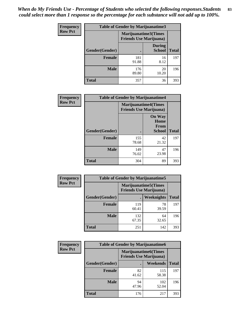*When do My Friends Use - Percentage of Students who selected the following responses.Students could select more than 1 response so the percentage for each substance will not add up to 100%.* **83**

| <b>Frequency</b> | Table of Gender by Marijuanatime3 |                                                        |                                |              |
|------------------|-----------------------------------|--------------------------------------------------------|--------------------------------|--------------|
| <b>Row Pct</b>   |                                   | Marijuanatime3(Times<br><b>Friends Use Marijuana</b> ) |                                |              |
|                  | Gender(Gender)                    |                                                        | <b>During</b><br><b>School</b> | <b>Total</b> |
|                  | <b>Female</b>                     | 181<br>91.88                                           | 16<br>8.12                     | 197          |
|                  | <b>Male</b>                       | 176<br>89.80                                           | 20<br>10.20                    | 196          |
|                  | <b>Total</b>                      | 357                                                    | 36                             | 393          |

| Frequency      | <b>Table of Gender by Marijuanatime4</b> |                                |                                                       |              |
|----------------|------------------------------------------|--------------------------------|-------------------------------------------------------|--------------|
| <b>Row Pct</b> |                                          | <b>Friends Use Marijuana</b> ) | <b>Marijuanatime4</b> (Times                          |              |
|                | Gender(Gender)                           |                                | <b>On Way</b><br>Home<br><b>From</b><br><b>School</b> | <b>Total</b> |
|                | <b>Female</b>                            | 155<br>78.68                   | 42<br>21.32                                           | 197          |
|                | <b>Male</b>                              | 149<br>76.02                   | 47<br>23.98                                           | 196          |
|                | <b>Total</b>                             | 304                            | 89                                                    | 393          |

| <b>Frequency</b> | <b>Table of Gender by Marijuanatime5</b> |                                                                |             |              |  |
|------------------|------------------------------------------|----------------------------------------------------------------|-------------|--------------|--|
| <b>Row Pct</b>   |                                          | <b>Marijuanatime5</b> (Times<br><b>Friends Use Marijuana</b> ) |             |              |  |
|                  | Gender(Gender)                           | ٠                                                              | Weeknights  | <b>Total</b> |  |
|                  | <b>Female</b>                            | 119<br>60.41                                                   | 78<br>39.59 | 197          |  |
|                  | <b>Male</b>                              | 132<br>67.35                                                   | 64<br>32.65 | 196          |  |
|                  | <b>Total</b>                             | 251                                                            | 142         | 393          |  |

| <b>Frequency</b> | <b>Table of Gender by Marijuanatime6</b> |                                                               |              |              |  |
|------------------|------------------------------------------|---------------------------------------------------------------|--------------|--------------|--|
| <b>Row Pct</b>   |                                          | <b>Marijuanatime6(Times</b><br><b>Friends Use Marijuana</b> ) |              |              |  |
|                  | Gender(Gender)                           |                                                               | Weekends     | <b>Total</b> |  |
|                  | <b>Female</b>                            | 82<br>41.62                                                   | 115<br>58.38 | 197          |  |
|                  | <b>Male</b>                              | 94<br>47.96                                                   | 102<br>52.04 | 196          |  |
|                  | <b>Total</b>                             | 176                                                           | 217          | 393          |  |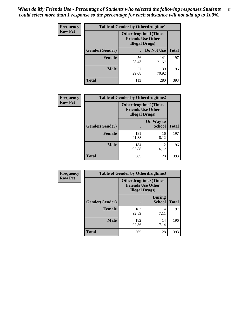*When do My Friends Use - Percentage of Students who selected the following responses.Students could select more than 1 response so the percentage for each substance will not add up to 100%.* **84**

| <b>Frequency</b> |                                                                                    |             | <b>Table of Gender by Otherdrugtime1</b> |              |  |
|------------------|------------------------------------------------------------------------------------|-------------|------------------------------------------|--------------|--|
| <b>Row Pct</b>   | <b>Otherdrugtime1</b> (Times<br><b>Friends Use Other</b><br><b>Illegal Drugs</b> ) |             |                                          |              |  |
|                  | Gender(Gender)                                                                     |             | Do Not Use                               | <b>Total</b> |  |
|                  | <b>Female</b>                                                                      | 56<br>28.43 | 141<br>71.57                             | 197          |  |
|                  | <b>Male</b>                                                                        | 57<br>29.08 | 139<br>70.92                             | 196          |  |
|                  | <b>Total</b>                                                                       | 113         | 280                                      | 393          |  |

| <b>Frequency</b> | <b>Table of Gender by Otherdrugtime2</b> |                                                                                   |                            |              |  |
|------------------|------------------------------------------|-----------------------------------------------------------------------------------|----------------------------|--------------|--|
| <b>Row Pct</b>   |                                          | <b>Otherdrugtime2(Times</b><br><b>Friends Use Other</b><br><b>Illegal Drugs</b> ) |                            |              |  |
|                  | Gender(Gender)                           |                                                                                   | On Way to<br><b>School</b> | <b>Total</b> |  |
|                  | <b>Female</b>                            | 181<br>91.88                                                                      | 16<br>8.12                 | 197          |  |
|                  | <b>Male</b>                              | 184<br>93.88                                                                      | 12<br>6.12                 | 196          |  |
|                  | <b>Total</b>                             | 365                                                                               | 28                         | 393          |  |

| <b>Frequency</b> | <b>Table of Gender by Otherdrugtime3</b> |                                                                            |                                |              |  |
|------------------|------------------------------------------|----------------------------------------------------------------------------|--------------------------------|--------------|--|
| <b>Row Pct</b>   |                                          | Otherdrugtime3(Times<br><b>Friends Use Other</b><br><b>Illegal Drugs</b> ) |                                |              |  |
|                  | Gender(Gender)                           |                                                                            | <b>During</b><br><b>School</b> | <b>Total</b> |  |
|                  | <b>Female</b>                            | 183<br>92.89                                                               | 14<br>7.11                     | 197          |  |
|                  | <b>Male</b>                              | 182<br>92.86                                                               | 14<br>7.14                     | 196          |  |
|                  | <b>Total</b>                             | 365                                                                        | 28                             | 393          |  |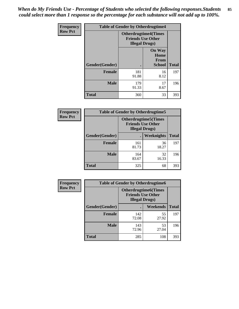*When do My Friends Use - Percentage of Students who selected the following responses.Students could select more than 1 response so the percentage for each substance will not add up to 100%.* **85**

| <b>Frequency</b> | <b>Table of Gender by Otherdrugtime4</b> |                                                                                   |                                                |              |
|------------------|------------------------------------------|-----------------------------------------------------------------------------------|------------------------------------------------|--------------|
| <b>Row Pct</b>   |                                          | <b>Otherdrugtime4(Times</b><br><b>Friends Use Other</b><br><b>Illegal Drugs</b> ) |                                                |              |
|                  | <b>Gender</b> (Gender)                   |                                                                                   | <b>On Way</b><br>Home<br>From<br><b>School</b> | <b>Total</b> |
|                  | <b>Female</b>                            | 181<br>91.88                                                                      | 16<br>8.12                                     | 197          |
|                  | <b>Male</b>                              | 179<br>91.33                                                                      | 17<br>8.67                                     | 196          |
|                  | <b>Total</b>                             | 360                                                                               | 33                                             | 393          |

| <b>Frequency</b> |                | <b>Table of Gender by Otherdrugtime5</b>                                           |             |              |
|------------------|----------------|------------------------------------------------------------------------------------|-------------|--------------|
| <b>Row Pct</b>   |                | <b>Otherdrugtime5</b> (Times<br><b>Friends Use Other</b><br><b>Illegal Drugs</b> ) |             |              |
|                  | Gender(Gender) |                                                                                    | Weeknights  | <b>Total</b> |
|                  | <b>Female</b>  | 161<br>81.73                                                                       | 36<br>18.27 | 197          |
|                  | <b>Male</b>    | 164<br>83.67                                                                       | 32<br>16.33 | 196          |
|                  | Total          | 325                                                                                | 68          | 393          |

| <b>Frequency</b> | <b>Table of Gender by Otherdrugtime6</b>                                          |              |             |              |  |
|------------------|-----------------------------------------------------------------------------------|--------------|-------------|--------------|--|
| <b>Row Pct</b>   | <b>Otherdrugtime6(Times</b><br><b>Friends Use Other</b><br><b>Illegal Drugs</b> ) |              |             |              |  |
|                  | Gender(Gender)                                                                    |              | Weekends    | <b>Total</b> |  |
|                  | <b>Female</b>                                                                     | 142<br>72.08 | 55<br>27.92 | 197          |  |
|                  | <b>Male</b>                                                                       | 143<br>72.96 | 53<br>27.04 | 196          |  |
|                  | <b>Total</b>                                                                      | 285          | 108         | 393          |  |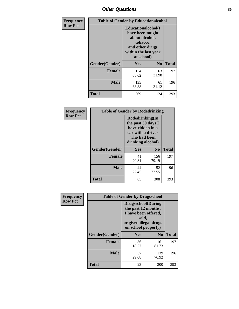# *Other Questions* **86**

| <b>Frequency</b> | <b>Table of Gender by Educationalcohol</b> |                                                                                                                                       |                |              |
|------------------|--------------------------------------------|---------------------------------------------------------------------------------------------------------------------------------------|----------------|--------------|
| <b>Row Pct</b>   |                                            | <b>Educationalcohol</b> (I<br>have been taught<br>about alcohol,<br>tobacco,<br>and other drugs<br>within the last year<br>at school) |                |              |
|                  | Gender(Gender)                             | <b>Yes</b>                                                                                                                            | N <sub>0</sub> | <b>Total</b> |
|                  | <b>Female</b>                              | 134<br>68.02                                                                                                                          | 63<br>31.98    | 197          |
|                  | <b>Male</b>                                | 135<br>68.88                                                                                                                          | 61<br>31.12    | 196          |
|                  | <b>Total</b>                               | 269                                                                                                                                   | 124            | 393          |

| Frequency      | <b>Table of Gender by Rodedrinking</b> |                                                                                                                     |                |              |
|----------------|----------------------------------------|---------------------------------------------------------------------------------------------------------------------|----------------|--------------|
| <b>Row Pct</b> |                                        | Rodedrinking(In<br>the past 30 days I<br>have ridden in a<br>car with a driver<br>who had been<br>drinking alcohol) |                |              |
|                | Gender(Gender)                         | Yes                                                                                                                 | N <sub>0</sub> | <b>Total</b> |
|                | <b>Female</b>                          | 41<br>20.81                                                                                                         | 156<br>79.19   | 197          |
|                | <b>Male</b>                            | 44<br>22.45                                                                                                         | 152<br>77.55   | 196          |
|                | <b>Total</b>                           | 85                                                                                                                  | 308            | 393          |

| Frequency      |                | <b>Table of Gender by Drugsschool</b>                                                                                               |                |              |
|----------------|----------------|-------------------------------------------------------------------------------------------------------------------------------------|----------------|--------------|
| <b>Row Pct</b> |                | <b>Drugsschool</b> (During<br>the past 12 months,<br>I have been offered,<br>sold,<br>or given illegal drugs<br>on school property) |                |              |
|                | Gender(Gender) | Yes                                                                                                                                 | N <sub>0</sub> | <b>Total</b> |
|                | <b>Female</b>  | 36<br>18.27                                                                                                                         | 161<br>81.73   | 197          |
|                | <b>Male</b>    | 57<br>29.08                                                                                                                         | 139<br>70.92   | 196          |
|                | <b>Total</b>   | 93                                                                                                                                  | 300            | 393          |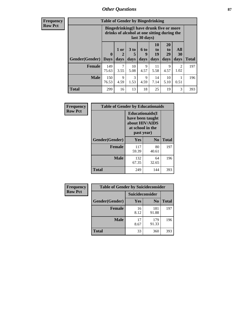## *Other Questions* **87**

**Frequency Row Pct**

| <b>Table of Gender by Bingedrinking</b> |                         |                                                                                                         |                   |                   |                               |                               |                        |              |
|-----------------------------------------|-------------------------|---------------------------------------------------------------------------------------------------------|-------------------|-------------------|-------------------------------|-------------------------------|------------------------|--------------|
|                                         |                         | Bingedrinking(I have drunk five or more<br>drinks of alcohol at one sitting during the<br>last 30 days) |                   |                   |                               |                               |                        |              |
| <b>Gender</b> (Gender)                  | $\bf{0}$<br><b>Days</b> | 1 or<br>days                                                                                            | 3 to<br>5<br>days | 6 to<br>9<br>days | <b>10</b><br>to<br>19<br>days | <b>20</b><br>to<br>29<br>days | All<br>30<br>days      | <b>Total</b> |
| <b>Female</b>                           | 149<br>75.63            | 7<br>3.55                                                                                               | 10<br>5.08        | 9<br>4.57         | 11<br>5.58                    | 9<br>4.57                     | $\mathfrak{D}$<br>1.02 | 197          |
| <b>Male</b>                             | 150                     | 9                                                                                                       | 3                 | 9                 | 14                            | 10                            |                        | 196          |
|                                         | 76.53                   | 4.59                                                                                                    | 1.53              | 4.59              | 7.14                          | 5.10                          | 0.51                   |              |

| Frequency      | <b>Table of Gender by Educationaids</b> |                                                                                                 |             |              |
|----------------|-----------------------------------------|-------------------------------------------------------------------------------------------------|-------------|--------------|
| <b>Row Pct</b> |                                         | <b>Educationaids</b> (I<br>have been taught<br>about HIV/AIDS<br>at school in the<br>past year) |             |              |
|                | Gender(Gender)                          | Yes                                                                                             | $\bf N_0$   | <b>Total</b> |
|                | <b>Female</b>                           | 117<br>59.39                                                                                    | 80<br>40.61 | 197          |
|                | <b>Male</b>                             | 132<br>67.35                                                                                    | 64<br>32.65 | 196          |
|                | <b>Total</b>                            | 249                                                                                             | 144         | 393          |

| <b>Frequency</b> | <b>Table of Gender by Suicideconsider</b> |                 |                |              |
|------------------|-------------------------------------------|-----------------|----------------|--------------|
| <b>Row Pct</b>   |                                           | Suicideconsider |                |              |
|                  | Gender(Gender)                            | Yes             | N <sub>0</sub> | <b>Total</b> |
|                  | <b>Female</b>                             | 16<br>8.12      | 181<br>91.88   | 197          |
|                  | <b>Male</b>                               | 17<br>8.67      | 179<br>91.33   | 196          |
|                  | <b>Total</b>                              | 33              | 360            | 393          |